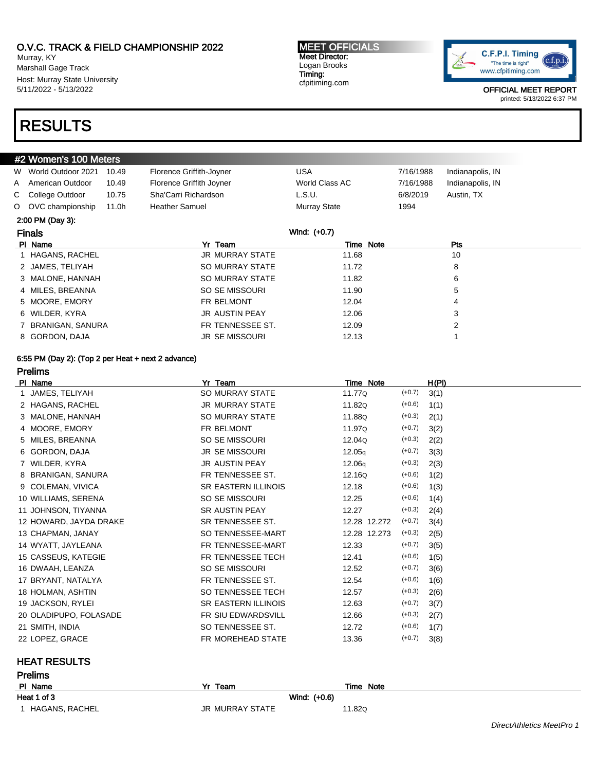Murray, KY Marshall Gage Track Host: Murray State University 5/11/2022 - 5/13/2022

#2 Women's 100 Meters

# RESULTS

### MEET OFFICIALS Meet Director: Logan Brooks Timing: cfpitiming.com



OFFICIAL MEET REPORT printed: 5/13/2022 6:37 PM

| W       | World Outdoor 2021 | 10.49 | Florence Griffith-Joyner | USA            | 7/16/1988 | Indianapolis, IN |  |
|---------|--------------------|-------|--------------------------|----------------|-----------|------------------|--|
| A       | American Outdoor   | 10.49 | Florence Griffith Joyner | World Class AC | 7/16/1988 | Indianapolis, IN |  |
| C       | College Outdoor    | 10.75 | Sha'Carri Richardson     | L.S.U.         | 6/8/2019  | Austin, TX       |  |
| $\circ$ | OVC championship   | 11.0h | <b>Heather Samuel</b>    | Murray State   | 1994      |                  |  |
|         | 2:00 PM (Day 3):   |       |                          |                |           |                  |  |
|         | <b>Finals</b>      |       |                          | Wind: (+0.7)   |           |                  |  |
|         | PI Name            |       | Yr Team                  | Time Note      |           | Pts              |  |
|         | 1 HAGANS, RACHEL   |       | <b>JR MURRAY STATE</b>   | 11.68          |           | 10               |  |
|         | 2 JAMES, TELIYAH   |       | SO MURRAY STATE          | 11.72          |           | 8                |  |
|         | 3 MALONE, HANNAH   |       | SO MURRAY STATE          | 11.82          |           | 6                |  |
|         | 4 MILES, BREANNA   |       | SO SE MISSOURI           | 11.90          |           | 5                |  |
|         | 5 MOORE, EMORY     |       | FR BELMONT               | 12.04          |           | 4                |  |
|         | 6 WILDER, KYRA     |       | <b>JR AUSTIN PEAY</b>    | 12.06          |           | 3                |  |
|         | 7 BRANIGAN, SANURA |       | FR TENNESSEE ST.         | 12.09          |           | 2                |  |
|         | 8 GORDON, DAJA     |       | <b>JR SE MISSOURI</b>    | 12.13          |           |                  |  |
|         |                    |       |                          |                |           |                  |  |

# 6:55 PM (Day 2): (Top 2 per Heat + next 2 advance)

Prelims

| PI Name                | Yr Team                    | Time Note    |          | H(PI) |
|------------------------|----------------------------|--------------|----------|-------|
| 1 JAMES, TELIYAH       | SO MURRAY STATE            | 11.77Q       | $(+0.7)$ | 3(1)  |
| 2 HAGANS, RACHEL       | <b>JR MURRAY STATE</b>     | 11.82Q       | $(+0.6)$ | 1(1)  |
| 3 MALONE, HANNAH       | SO MURRAY STATE            | 11.88Q       | $(+0.3)$ | 2(1)  |
| 4 MOORE, EMORY         | FR BELMONT                 | 11.97Q       | $(+0.7)$ | 3(2)  |
| 5 MILES, BREANNA       | SO SE MISSOURI             | 12.04Q       | $(+0.3)$ | 2(2)  |
| 6 GORDON, DAJA         | <b>JR SE MISSOURI</b>      | 12.05q       | $(+0.7)$ | 3(3)  |
| 7 WILDER, KYRA         | <b>JR AUSTIN PEAY</b>      | 12.06q       | $(+0.3)$ | 2(3)  |
| 8 BRANIGAN, SANURA     | FR TENNESSEE ST.           | 12.16Q       | $(+0.6)$ | 1(2)  |
| 9 COLEMAN, VIVICA      | <b>SR EASTERN ILLINOIS</b> | 12.18        | $(+0.6)$ | 1(3)  |
| 10 WILLIAMS, SERENA    | SO SE MISSOURI             | 12.25        | $(+0.6)$ | 1(4)  |
| 11 JOHNSON, TIYANNA    | <b>SR AUSTIN PEAY</b>      | 12.27        | $(+0.3)$ | 2(4)  |
| 12 HOWARD, JAYDA DRAKE | SR TENNESSEE ST.           | 12.28 12.272 | $(+0.7)$ | 3(4)  |
| 13 CHAPMAN, JANAY      | SO TENNESSEE-MART          | 12.28 12.273 | $(+0.3)$ | 2(5)  |
| 14 WYATT, JAYLEANA     | FR TENNESSEE-MART          | 12.33        | $(+0.7)$ | 3(5)  |
| 15 CASSEUS, KATEGIE    | FR TENNESSEE TECH          | 12.41        | $(+0.6)$ | 1(5)  |
| 16 DWAAH, LEANZA       | SO SE MISSOURI             | 12.52        | $(+0.7)$ | 3(6)  |
| 17 BRYANT, NATALYA     | FR TENNESSEE ST.           | 12.54        | $(+0.6)$ | 1(6)  |
| 18 HOLMAN, ASHTIN      | SO TENNESSEE TECH          | 12.57        | $(+0.3)$ | 2(6)  |
| 19 JACKSON, RYLEI      | <b>SR EASTERN ILLINOIS</b> | 12.63        | $(+0.7)$ | 3(7)  |
| 20 OLADIPUPO, FOLASADE | <b>FR SIU EDWARDSVILL</b>  | 12.66        | $(+0.3)$ | 2(7)  |
| 21 SMITH, INDIA        | SO TENNESSEE ST.           | 12.72        | $(+0.6)$ | 1(7)  |
| 22 LOPEZ, GRACE        | FR MOREHEAD STATE          | 13.36        | $(+0.7)$ | 3(8)  |

## HEAT RESULTS

| <b>Prelims</b>   |                 |           |
|------------------|-----------------|-----------|
| PI Name          | Yr Team         | Time Note |
| Heat 1 of 3      | Wind: (+0.6)    |           |
| 1 HAGANS, RACHEL | JR MURRAY STATE | 11.82Q    |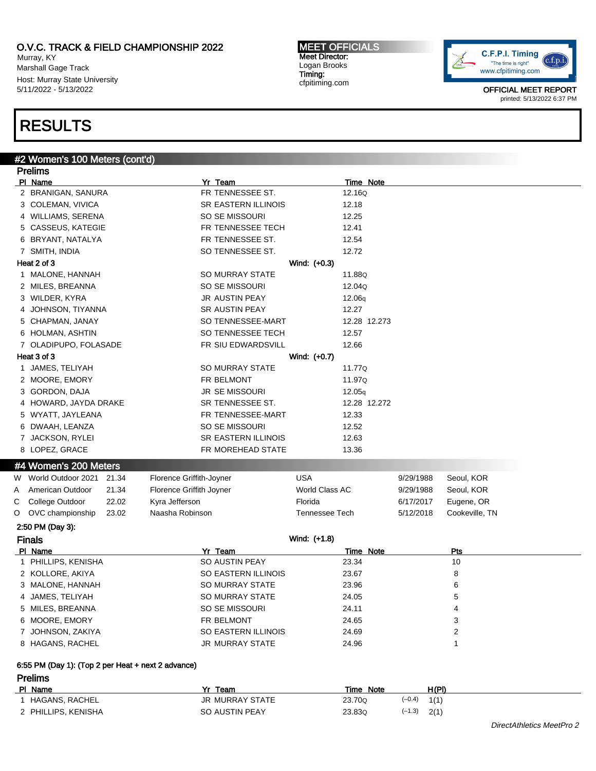Murray, KY Marshall Gage Track Host: Murray State University 5/11/2022 - 5/13/2022

#### MEET OFFICIALS Meet Director: Logan Brooks Timing: cfpitiming.com



OFFICIAL MEET REPORT printed: 5/13/2022 6:37 PM

# RESULTS

# #2 Women's 100 Meters (cont'd)

| <b>Prelims</b>                                     |                          |                       |              |                |
|----------------------------------------------------|--------------------------|-----------------------|--------------|----------------|
| PI Name                                            | Yr Team                  | Time Note             |              |                |
| 2 BRANIGAN, SANURA                                 | FR TENNESSEE ST.         | 12.16Q                |              |                |
| 3 COLEMAN, VIVICA                                  | SR EASTERN ILLINOIS      | 12.18                 |              |                |
| 4 WILLIAMS, SERENA                                 | SO SE MISSOURI           | 12.25                 |              |                |
| 5 CASSEUS, KATEGIE                                 | FR TENNESSEE TECH        | 12.41                 |              |                |
| 6 BRYANT, NATALYA                                  | FR TENNESSEE ST.         | 12.54                 |              |                |
| 7 SMITH, INDIA                                     | SO TENNESSEE ST.         | 12.72                 |              |                |
| Heat 2 of 3                                        |                          | Wind: (+0.3)          |              |                |
| 1 MALONE, HANNAH                                   | SO MURRAY STATE          | 11.88Q                |              |                |
| 2 MILES, BREANNA                                   | SO SE MISSOURI           | 12.04Q                |              |                |
| 3 WILDER, KYRA                                     | JR AUSTIN PEAY           | 12.06q                |              |                |
| JOHNSON, TIYANNA<br>4                              | <b>SR AUSTIN PEAY</b>    | 12.27                 |              |                |
| 5 CHAPMAN, JANAY                                   | SO TENNESSEE-MART        | 12.28 12.273          |              |                |
| 6 HOLMAN, ASHTIN                                   | SO TENNESSEE TECH        | 12.57                 |              |                |
| 7 OLADIPUPO, FOLASADE                              | FR SIU EDWARDSVILL       | 12.66                 |              |                |
| Heat 3 of 3                                        |                          | Wind: (+0.7)          |              |                |
| JAMES, TELIYAH<br>$\mathbf{1}$                     | SO MURRAY STATE          | 11.77Q                |              |                |
| 2 MOORE, EMORY                                     | FR BELMONT               | 11.97Q                |              |                |
| 3 GORDON, DAJA                                     | <b>JR SE MISSOURI</b>    | 12.05q                |              |                |
| 4 HOWARD, JAYDA DRAKE                              | SR TENNESSEE ST.         | 12.28 12.272          |              |                |
| 5 WYATT, JAYLEANA                                  | FR TENNESSEE-MART        | 12.33                 |              |                |
| 6 DWAAH, LEANZA                                    | SO SE MISSOURI           | 12.52                 |              |                |
| 7 JACKSON, RYLEI                                   | SR EASTERN ILLINOIS      | 12.63                 |              |                |
| 8 LOPEZ, GRACE                                     | FR MOREHEAD STATE        | 13.36                 |              |                |
| #4 Women's 200 Meters                              |                          |                       |              |                |
| W World Outdoor 2021<br>21.34                      | Florence Griffith-Joyner | USA                   | 9/29/1988    | Seoul, KOR     |
| American Outdoor<br>21.34<br>A                     | Florence Griffith Joyner | World Class AC        | 9/29/1988    | Seoul, KOR     |
| College Outdoor<br>22.02<br>С                      | Kyra Jefferson           | Florida               | 6/17/2017    | Eugene, OR     |
| OVC championship<br>23.02<br>O                     | Naasha Robinson          | <b>Tennessee Tech</b> | 5/12/2018    | Cookeville, TN |
| 2:50 PM (Day 3):                                   |                          |                       |              |                |
| <b>Finals</b>                                      |                          | Wind: (+1.8)          |              |                |
| PI Name                                            | Yr Team                  | Time Note             |              | Pts            |
| 1 PHILLIPS, KENISHA                                | SO AUSTIN PEAY           | 23.34                 |              | 10             |
| 2 KOLLORE, AKIYA                                   | SO EASTERN ILLINOIS      | 23.67                 |              | 8              |
| 3 MALONE, HANNAH                                   | SO MURRAY STATE          | 23.96                 |              | 6              |
| 4 JAMES, TELIYAH                                   | SO MURRAY STATE          | 24.05                 |              | 5              |
| 5 MILES, BREANNA                                   | SO SE MISSOURI           | 24.11                 |              | 4              |
| 6 MOORE, EMORY                                     | FR BELMONT               | 24.65                 |              | 3              |
| 7 JOHNSON, ZAKIYA                                  | SO EASTERN ILLINOIS      | 24.69                 |              | 2              |
| 8 HAGANS, RACHEL                                   | JR MURRAY STATE          | 24.96                 |              | 1              |
| 6:55 PM (Day 1): (Top 2 per Heat + next 2 advance) |                          |                       |              |                |
| <b>Prelims</b>                                     |                          |                       |              |                |
| PI Name                                            | Yr Team                  | <b>Time Note</b>      | <u>H(PI)</u> |                |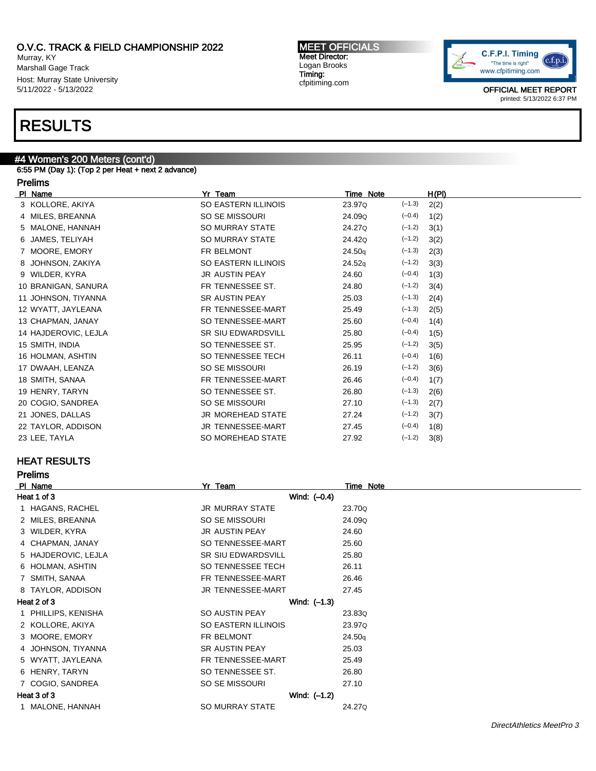Murray, KY Marshall Gage Track Host: Murray State University 5/11/2022 - 5/13/2022

# RESULTS

# #4 Women's 200 Meters (cont'd)

6:55 PM (Day 1): (Top 2 per Heat + next 2 advance)

# Prelims

| PI Name              | Yr Team               | Time Note |          | H(PI) |  |
|----------------------|-----------------------|-----------|----------|-------|--|
| 3 KOLLORE, AKIYA     | SO EASTERN ILLINOIS   | 23.97Q    | $(-1.3)$ | 2(2)  |  |
| 4 MILES, BREANNA     | SO SE MISSOURI        | 24.09Q    | $(-0.4)$ | 1(2)  |  |
| 5 MALONE, HANNAH     | SO MURRAY STATE       | 24.27Q    | $(-1.2)$ | 3(1)  |  |
| 6 JAMES, TELIYAH     | SO MURRAY STATE       | 24.42Q    | $(-1.2)$ | 3(2)  |  |
| 7 MOORE, EMORY       | FR BELMONT            | 24.50q    | $(-1.3)$ | 2(3)  |  |
| 8 JOHNSON, ZAKIYA    | SO EASTERN ILLINOIS   | 24.52q    | $(-1.2)$ | 3(3)  |  |
| 9 WILDER, KYRA       | <b>JR AUSTIN PEAY</b> | 24.60     | $(-0.4)$ | 1(3)  |  |
| 10 BRANIGAN, SANURA  | FR TENNESSEE ST.      | 24.80     | $(-1.2)$ | 3(4)  |  |
| 11 JOHNSON, TIYANNA  | <b>SR AUSTIN PEAY</b> | 25.03     | $(-1.3)$ | 2(4)  |  |
| 12 WYATT, JAYLEANA   | FR TENNESSEE-MART     | 25.49     | $(-1.3)$ | 2(5)  |  |
| 13 CHAPMAN, JANAY    | SO TENNESSEE-MART     | 25.60     | $(-0.4)$ | 1(4)  |  |
| 14 HAJDEROVIC, LEJLA | SR SIU EDWARDSVILL    | 25.80     | $(-0.4)$ | 1(5)  |  |
| 15 SMITH, INDIA      | SO TENNESSEE ST.      | 25.95     | $(-1.2)$ | 3(5)  |  |
| 16 HOLMAN, ASHTIN    | SO TENNESSEE TECH     | 26.11     | $(-0.4)$ | 1(6)  |  |
| 17 DWAAH, LEANZA     | SO SE MISSOURI        | 26.19     | $(-1.2)$ | 3(6)  |  |
| 18 SMITH, SANAA      | FR TENNESSEE-MART     | 26.46     | $(-0.4)$ | 1(7)  |  |
| 19 HENRY, TARYN      | SO TENNESSEE ST.      | 26.80     | $(-1.3)$ | 2(6)  |  |
| 20 COGIO, SANDREA    | SO SE MISSOURI        | 27.10     | $(-1.3)$ | 2(7)  |  |
| 21 JONES, DALLAS     | JR MOREHEAD STATE     | 27.24     | $(-1.2)$ | 3(7)  |  |
| 22 TAYLOR, ADDISON   | JR TENNESSEE-MART     | 27.45     | $(-0.4)$ | 1(8)  |  |
| 23 LEE, TAYLA        | SO MOREHEAD STATE     | 27.92     | $(-1.2)$ | 3(8)  |  |

## HEAT RESULTS

| <b>Prelims</b>      |                           |                  |  |  |
|---------------------|---------------------------|------------------|--|--|
| PI Name             | Yr Team                   | <b>Time Note</b> |  |  |
| Heat 1 of 3         | Wind: (-0.4)              |                  |  |  |
| 1 HAGANS, RACHEL    | <b>JR MURRAY STATE</b>    | 23.70Q           |  |  |
| 2 MILES, BREANNA    | SO SE MISSOURI            | 24.09Q           |  |  |
| 3 WILDER, KYRA      | <b>JR AUSTIN PEAY</b>     | 24.60            |  |  |
| 4 CHAPMAN, JANAY    | SO TENNESSEE-MART         | 25.60            |  |  |
| 5 HAJDEROVIC, LEJLA | <b>SR SIU EDWARDSVILL</b> | 25.80            |  |  |
| 6 HOLMAN, ASHTIN    | SO TENNESSEE TECH         | 26.11            |  |  |
| 7 SMITH, SANAA      | FR TENNESSEE-MART         | 26.46            |  |  |
| 8 TAYLOR, ADDISON   | JR TENNESSEE-MART         | 27.45            |  |  |
| Heat 2 of 3         | Wind: $(-1.3)$            |                  |  |  |
| 1 PHILLIPS, KENISHA | SO AUSTIN PEAY            | 23.83Q           |  |  |
| 2 KOLLORE, AKIYA    | SO EASTERN ILLINOIS       | 23.97Q           |  |  |
| 3 MOORE, EMORY      | FR BELMONT                | 24.50q           |  |  |
| 4 JOHNSON, TIYANNA  | <b>SR AUSTIN PEAY</b>     | 25.03            |  |  |
| 5 WYATT, JAYLEANA   | FR TENNESSEE-MART         | 25.49            |  |  |
| 6 HENRY, TARYN      | SO TENNESSEE ST.          | 26.80            |  |  |
| 7 COGIO, SANDREA    | SO SE MISSOURI            | 27.10            |  |  |
| Heat 3 of 3         | Wind: (-1.2)              |                  |  |  |
| 1 MALONE, HANNAH    | <b>SO MURRAY STATE</b>    | 24.27Q           |  |  |

MEET OFFICIALS Meet Director: Logan Brooks Timing: cfpitiming.com

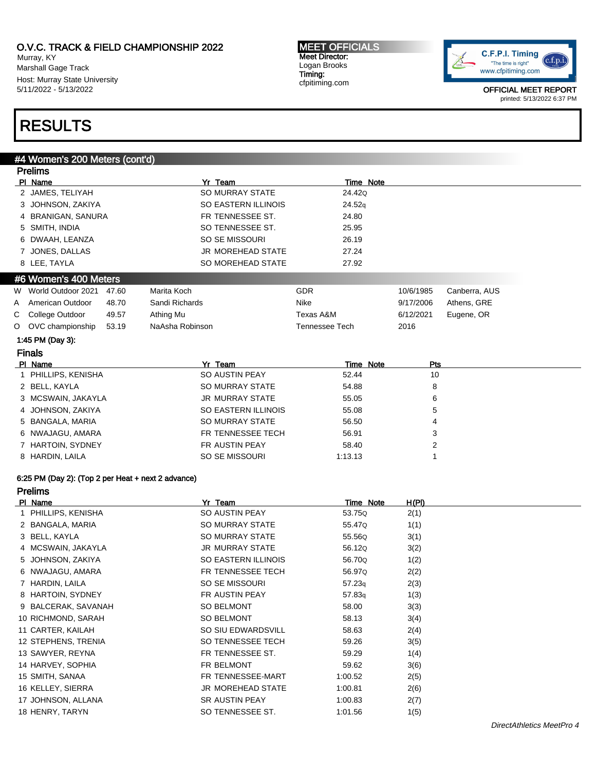Murray, KY Marshall Gage Track Host: Murray State University 5/11/2022 - 5/13/2022

MEET OFFICIALS Meet Director: Logan Brooks Timing: cfpitiming.com



OFFICIAL MEET REPORT printed: 5/13/2022 6:37 PM

# RESULTS

## #4 Women's 200 Meters (cont'd)

|   | <b>Prelims</b>        |       |                          |                       |           |                |               |
|---|-----------------------|-------|--------------------------|-----------------------|-----------|----------------|---------------|
|   | PI Name               |       | Yr Team                  |                       | Time Note |                |               |
|   | 2 JAMES, TELIYAH      |       | <b>SO MURRAY STATE</b>   |                       | 24.42Q    |                |               |
|   | 3 JOHNSON, ZAKIYA     |       | SO EASTERN ILLINOIS      |                       | 24.52q    |                |               |
|   | 4 BRANIGAN, SANURA    |       | FR TENNESSEE ST.         |                       | 24.80     |                |               |
|   | 5 SMITH, INDIA        |       | SO TENNESSEE ST.         |                       | 25.95     |                |               |
|   | 6 DWAAH, LEANZA       |       | SO SE MISSOURI           |                       | 26.19     |                |               |
|   | 7 JONES, DALLAS       |       | <b>JR MOREHEAD STATE</b> |                       | 27.24     |                |               |
|   | 8 LEE, TAYLA          |       | SO MOREHEAD STATE        |                       | 27.92     |                |               |
|   | #6 Women's 400 Meters |       |                          |                       |           |                |               |
| W | World Outdoor 2021    | 47.60 | Marita Koch              | <b>GDR</b>            |           | 10/6/1985      | Canberra, AUS |
| A | American Outdoor      | 48.70 | Sandi Richards           | Nike                  |           | 9/17/2006      | Athens, GRE   |
| С | College Outdoor       | 49.57 | Athing Mu                | Texas A&M             |           | 6/12/2021      | Eugene, OR    |
| O | OVC championship      | 53.19 | NaAsha Robinson          | <b>Tennessee Tech</b> |           | 2016           |               |
|   | 1:45 PM (Day 3):      |       |                          |                       |           |                |               |
|   | <b>Finals</b>         |       |                          |                       |           |                |               |
|   | PI Name               |       | Yr Team                  |                       | Time Note | Pts            |               |
|   | PHILLIPS, KENISHA     |       | SO AUSTIN PEAY           |                       | 52.44     | 10             |               |
|   | 2 BELL, KAYLA         |       | <b>SO MURRAY STATE</b>   |                       | 54.88     | 8              |               |
|   | 3 MCSWAIN, JAKAYLA    |       | <b>JR MURRAY STATE</b>   |                       | 55.05     | 6              |               |
|   | 4 JOHNSON, ZAKIYA     |       | SO EASTERN ILLINOIS      |                       | 55.08     | 5              |               |
|   | 5 BANGALA, MARIA      |       | <b>SO MURRAY STATE</b>   |                       | 56.50     | 4              |               |
|   | 6 NWAJAGU, AMARA      |       | FR TENNESSEE TECH        |                       | 56.91     | 3              |               |
|   | 7 HARTOIN, SYDNEY     |       | FR AUSTIN PEAY           |                       | 58.40     | $\overline{2}$ |               |
|   | 8 HARDIN, LAILA       |       | SO SE MISSOURI           | 1:13.13               |           | 1              |               |
|   |                       |       |                          |                       |           |                |               |

### 6:25 PM (Day 2): (Top 2 per Heat + next 2 advance)

### Prelims

| PI Name             | Yr Team                  | Time Note | H(PI) |
|---------------------|--------------------------|-----------|-------|
| 1 PHILLIPS, KENISHA | SO AUSTIN PEAY           | 53.75Q    | 2(1)  |
| 2 BANGALA, MARIA    | SO MURRAY STATE          | 55.47Q    | 1(1)  |
| 3 BELL, KAYLA       | SO MURRAY STATE          | 55.56Q    | 3(1)  |
| 4 MCSWAIN, JAKAYLA  | <b>JR MURRAY STATE</b>   | 56.12Q    | 3(2)  |
| 5 JOHNSON, ZAKIYA   | SO EASTERN ILLINOIS      | 56.70Q    | 1(2)  |
| 6 NWAJAGU, AMARA    | FR TENNESSEE TECH        | 56.97Q    | 2(2)  |
| 7 HARDIN, LAILA     | SO SE MISSOURI           | 57.23q    | 2(3)  |
| 8 HARTOIN, SYDNEY   | FR AUSTIN PEAY           | 57.83q    | 1(3)  |
| 9 BALCERAK, SAVANAH | <b>SO BELMONT</b>        | 58.00     | 3(3)  |
| 10 RICHMOND, SARAH  | SO BELMONT               | 58.13     | 3(4)  |
| 11 CARTER, KAILAH   | SO SIU EDWARDSVILL       | 58.63     | 2(4)  |
| 12 STEPHENS, TRENIA | SO TENNESSEE TECH        | 59.26     | 3(5)  |
| 13 SAWYER, REYNA    | FR TENNESSEE ST.         | 59.29     | 1(4)  |
| 14 HARVEY, SOPHIA   | FR BELMONT               | 59.62     | 3(6)  |
| 15 SMITH, SANAA     | FR TENNESSEE-MART        | 1:00.52   | 2(5)  |
| 16 KELLEY, SIERRA   | <b>JR MOREHEAD STATE</b> | 1:00.81   | 2(6)  |
| 17 JOHNSON, ALLANA  | SR AUSTIN PEAY           | 1:00.83   | 2(7)  |
| 18 HENRY, TARYN     | SO TENNESSEE ST.         | 1:01.56   | 1(5)  |
|                     |                          |           |       |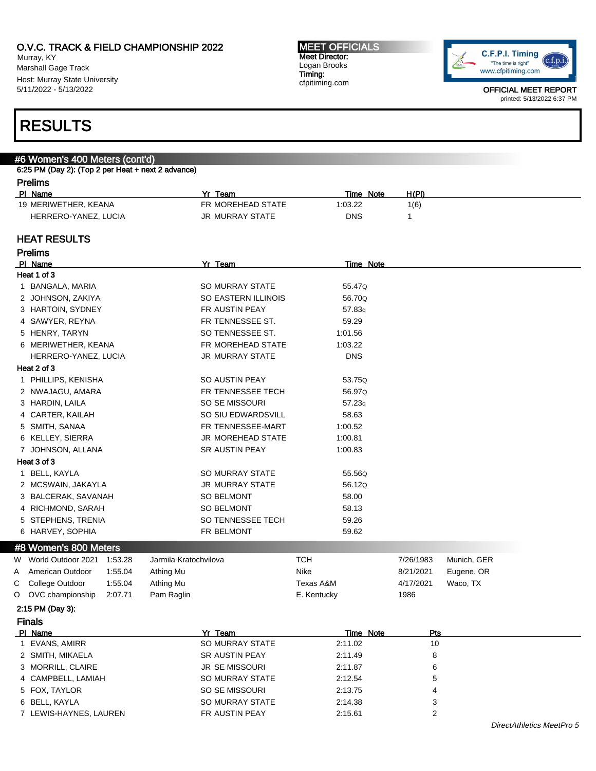Murray, KY Marshall Gage Track Host: Murray State University 5/11/2022 - 5/13/2022

#### MEET OFFICIALS Meet Director: Logan Brooks Timing: cfpitiming.com



OFFICIAL MEET REPORT printed: 5/13/2022 6:37 PM

# RESULTS

# #6 Women's 400 Meters (cont'd)

### 6:25 PM (Day 2): (Top 2 per Heat + next 2 advance) Prelims

| .                    |                   |                     |       |  |
|----------------------|-------------------|---------------------|-------|--|
| PI Name              | Team<br>v.        | <b>Note</b><br>Time | H(PI) |  |
| 19 MERIWETHER, KEANA | FR MOREHEAD STATE | 0.03.22             | 1(6)  |  |
| HERRERO-YANEZ, LUCIA | JR MURRAY STATE   | DNS                 |       |  |

### HEAT RESULTS

| <b>Prelims</b> |                                 |                        |                    |            |             |  |
|----------------|---------------------------------|------------------------|--------------------|------------|-------------|--|
|                | PI Name                         | Yr Team                | <b>Time Note</b>   |            |             |  |
|                | Heat 1 of 3                     |                        |                    |            |             |  |
|                | 1 BANGALA, MARIA                | <b>SO MURRAY STATE</b> | 55.47Q             |            |             |  |
|                | 2 JOHNSON, ZAKIYA               | SO EASTERN ILLINOIS    | 56.70Q             |            |             |  |
|                | 3 HARTOIN, SYDNEY               | FR AUSTIN PEAY         | 57.83 <sub>q</sub> |            |             |  |
|                | 4 SAWYER, REYNA                 | FR TENNESSEE ST.       | 59.29              |            |             |  |
|                | 5 HENRY, TARYN                  | SO TENNESSEE ST.       | 1:01.56            |            |             |  |
|                | 6 MERIWETHER, KEANA             | FR MOREHEAD STATE      | 1:03.22            |            |             |  |
|                | HERRERO-YANEZ, LUCIA            | JR MURRAY STATE        | <b>DNS</b>         |            |             |  |
|                | Heat 2 of 3                     |                        |                    |            |             |  |
|                | 1 PHILLIPS, KENISHA             | SO AUSTIN PEAY         | 53.75Q             |            |             |  |
|                | 2 NWAJAGU, AMARA                | FR TENNESSEE TECH      | 56.97Q             |            |             |  |
|                | 3 HARDIN, LAILA                 | SO SE MISSOURI         | 57.23q             |            |             |  |
|                | 4 CARTER, KAILAH                | SO SIU EDWARDSVILL     | 58.63              |            |             |  |
|                | 5 SMITH, SANAA                  | FR TENNESSEE-MART      | 1:00.52            |            |             |  |
|                | 6 KELLEY, SIERRA                | JR MOREHEAD STATE      | 1:00.81            |            |             |  |
|                | 7 JOHNSON, ALLANA               | SR AUSTIN PEAY         | 1:00.83            |            |             |  |
|                | Heat 3 of 3                     |                        |                    |            |             |  |
|                | 1 BELL, KAYLA                   | <b>SO MURRAY STATE</b> | 55.56Q             |            |             |  |
|                | 2 MCSWAIN, JAKAYLA              | JR MURRAY STATE        | 56.12Q             |            |             |  |
|                | 3 BALCERAK, SAVANAH             | <b>SO BELMONT</b>      | 58.00              |            |             |  |
|                | 4 RICHMOND, SARAH               | <b>SO BELMONT</b>      | 58.13              |            |             |  |
|                | 5 STEPHENS, TRENIA              | SO TENNESSEE TECH      | 59.26              |            |             |  |
|                | 6 HARVEY, SOPHIA                | FR BELMONT             | 59.62              |            |             |  |
|                | #8 Women's 800 Meters           |                        |                    |            |             |  |
|                | 1:53.28<br>W World Outdoor 2021 | Jarmila Kratochvilova  | <b>TCH</b>         | 7/26/1983  | Munich, GER |  |
| Α              | American Outdoor<br>1:55.04     | Athing Mu              | <b>Nike</b>        | 8/21/2021  | Eugene, OR  |  |
| С              | College Outdoor<br>1:55.04      | Athing Mu              | Texas A&M          | 4/17/2021  | Waco, TX    |  |
| O              | OVC championship<br>2:07.71     | Pam Raglin             | E. Kentucky        | 1986       |             |  |
|                | 2:15 PM (Day 3):                |                        |                    |            |             |  |
|                | <b>Finals</b>                   |                        |                    |            |             |  |
|                | <b>PI Name</b>                  | Yr Team                | <b>Time Note</b>   | <u>Pts</u> |             |  |
|                | 1 EVANS, AMIRR                  | <b>SO MURRAY STATE</b> | 2:11.02            | 10         |             |  |
|                | 2 SMITH, MIKAELA                | <b>SR AUSTIN PEAY</b>  | 2:11.49            | 8          |             |  |
|                | 3 MORRILL, CLAIRE               | JR SE MISSOURI         | 2:11.87            | 6          |             |  |
|                | 4 CAMPBELL, LAMIAH              | <b>SO MURRAY STATE</b> | 2:12.54            | 5          |             |  |
|                | 5 FOX, TAYLOR                   | SO SE MISSOURI         | 2:13.75            | 4          |             |  |
|                | 6 BELL KAYLA                    | SO MURRAY STATE        | 2:14.38            | 3          |             |  |

7 LEWIS-HAYNES, LAUREN FR AUSTIN PEAY 2:15.61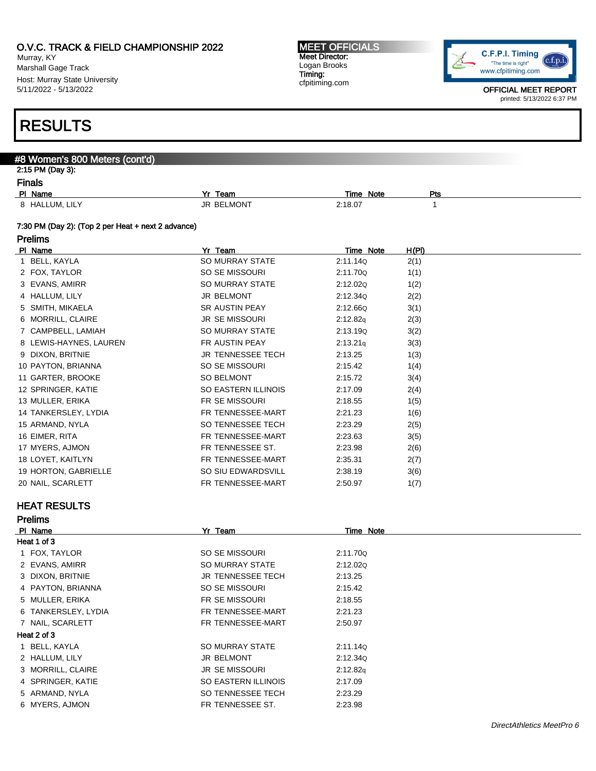Murray, KY Marshall Gage Track Host: Murray State University 5/11/2022 - 5/13/2022

#### MEET OFFICIALS Meet Director: Logan Brooks Timing: cfpitiming.com



OFFICIAL MEET REPORT printed: 5/13/2022 6:37 PM

# RESULTS

## #8 Women's 800 Meters (cont'd) 2:15 PM (Day 3): Finals<br>PL Name Pl Time Note Pts<br>
Plus Time Note Pts<br>
2:18.07 1 8 HALLUM, LILY **1** SELMONT 2:18.07 1

### 7:30 PM (Day 2): (Top 2 per Heat + next 2 advance)

| <sup>o</sup> relims |  |
|---------------------|--|
|---------------------|--|

| PI Name                | Yr Team                  | Time Note | H(PI) |
|------------------------|--------------------------|-----------|-------|
| 1 BELL, KAYLA          | SO MURRAY STATE          | 2:11.14Q  | 2(1)  |
| 2 FOX, TAYLOR          | SO SE MISSOURI           | 2:11.70Q  | 1(1)  |
| 3 EVANS, AMIRR         | SO MURRAY STATE          | 2:12.02Q  | 1(2)  |
| 4 HALLUM, LILY         | <b>JR BELMONT</b>        | 2:12.34Q  | 2(2)  |
| 5 SMITH, MIKAELA       | <b>SR AUSTIN PEAY</b>    | 2:12.66Q  | 3(1)  |
| 6 MORRILL, CLAIRE      | <b>JR SE MISSOURI</b>    | 2:12.82q  | 2(3)  |
| 7 CAMPBELL, LAMIAH     | SO MURRAY STATE          | 2:13.19Q  | 3(2)  |
| 8 LEWIS-HAYNES, LAUREN | FR AUSTIN PEAY           | 2:13.21q  | 3(3)  |
| 9 DIXON, BRITNIE       | <b>JR TENNESSEE TECH</b> | 2:13.25   | 1(3)  |
| 10 PAYTON, BRIANNA     | SO SE MISSOURI           | 2:15.42   | 1(4)  |
| 11 GARTER, BROOKE      | SO BELMONT               | 2:15.72   | 3(4)  |
| 12 SPRINGER, KATIE     | SO EASTERN ILLINOIS      | 2:17.09   | 2(4)  |
| 13 MULLER, ERIKA       | FR SE MISSOURI           | 2:18.55   | 1(5)  |
| 14 TANKERSLEY, LYDIA   | FR TENNESSEE-MART        | 2:21.23   | 1(6)  |
| 15 ARMAND, NYLA        | SO TENNESSEE TECH        | 2:23.29   | 2(5)  |
| 16 EIMER, RITA         | FR TENNESSEE-MART        | 2:23.63   | 3(5)  |
| 17 MYERS, AJMON        | FR TENNESSEE ST.         | 2:23.98   | 2(6)  |
| 18 LOYET, KAITLYN      | FR TENNESSEE-MART        | 2:35.31   | 2(7)  |
| 19 HORTON, GABRIELLE   | SO SIU EDWARDSVILL       | 2:38.19   | 3(6)  |
| 20 NAIL, SCARLETT      | FR TENNESSEE-MART        | 2:50.97   | 1(7)  |

# HEAT RESULTS

| <b>Prelims</b>      |                          |           |  |
|---------------------|--------------------------|-----------|--|
| PI Name             | Yr Team                  | Time Note |  |
| Heat 1 of 3         |                          |           |  |
| 1 FOX, TAYLOR       | SO SE MISSOURI           | 2:11.70Q  |  |
| 2 EVANS, AMIRR      | SO MURRAY STATE          | 2:12.02Q  |  |
| 3 DIXON, BRITNIE    | <b>JR TENNESSEE TECH</b> | 2:13.25   |  |
| 4 PAYTON, BRIANNA   | SO SE MISSOURI           | 2:15.42   |  |
| 5 MULLER, ERIKA     | FR SE MISSOURI           | 2:18.55   |  |
| 6 TANKERSLEY, LYDIA | FR TENNESSEE-MART        | 2:21.23   |  |
| 7 NAIL, SCARLETT    | FR TENNESSEE-MART        | 2:50.97   |  |
| Heat 2 of 3         |                          |           |  |
| 1 BELL, KAYLA       | SO MURRAY STATE          | 2:11.14Q  |  |
| 2 HALLUM, LILY      | <b>JR BELMONT</b>        | 2:12.34Q  |  |
| 3 MORRILL, CLAIRE   | <b>JR SE MISSOURI</b>    | 2:12.82q  |  |
| 4 SPRINGER, KATIE   | SO EASTERN ILLINOIS      | 2:17.09   |  |
| 5 ARMAND, NYLA      | SO TENNESSEE TECH        | 2:23.29   |  |
| 6 MYERS, AJMON      | FR TENNESSEE ST.         | 2:23.98   |  |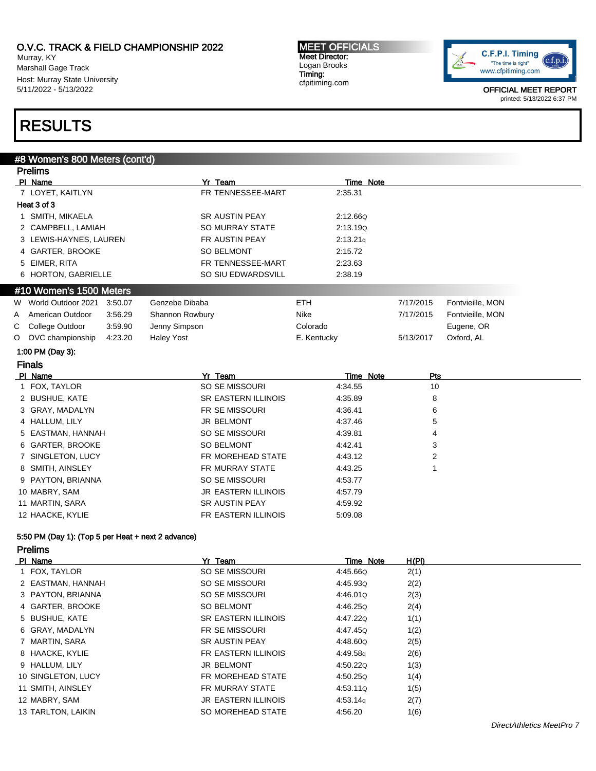Murray, KY Marshall Gage Track Host: Murray State University 5/11/2022 - 5/13/2022

#### MEET OFFICIALS Meet Director: Logan Brooks Timing: cfpitiming.com



OFFICIAL MEET REPORT printed: 5/13/2022 6:37 PM

# RESULTS

## #8 Women's 800 Meters (cont'd)

| PI Name<br>Yr Team<br>Time Note<br>7 LOYET, KAITLYN<br>FR TENNESSEE-MART<br>2:35.31<br>Heat 3 of 3<br>1 SMITH, MIKAELA<br><b>SR AUSTIN PEAY</b><br>2:12.66Q<br><b>SO MURRAY STATE</b><br>2 CAMPBELL, LAMIAH<br>2:13.19Q<br>3 LEWIS-HAYNES, LAUREN<br>FR AUSTIN PEAY<br>2:13.21q<br>4 GARTER, BROOKE<br><b>SO BELMONT</b><br>2:15.72<br>5 EIMER, RITA<br>FR TENNESSEE-MART<br>2:23.63<br>SO SIU EDWARDSVILL<br>6 HORTON, GABRIELLE<br>2:38.19<br>#10 Women's 1500 Meters<br>World Outdoor 2021<br>Genzebe Dibaba<br><b>ETH</b><br>3:50.07<br>7/17/2015<br>Fontvieille, MON<br>W<br>Nike<br>American Outdoor<br>3:56.29<br>Shannon Rowbury<br>7/17/2015<br>Fontvieille, MON<br>A<br>С<br>College Outdoor<br>3:59.90<br>Jenny Simpson<br>Colorado<br>Eugene, OR<br>OVC championship<br>4:23.20<br>E. Kentucky<br>5/13/2017<br>Oxford, AL<br>O<br><b>Haley Yost</b><br>1:00 PM (Day 3):<br><b>Finals</b><br>PI Name<br>Yr Team<br>Time Note<br>Pts<br>SO SE MISSOURI<br>10<br>1 FOX, TAYLOR<br>4:34.55<br><b>SR EASTERN ILLINOIS</b><br>2 BUSHUE, KATE<br>4:35.89<br>8<br>FR SE MISSOURI<br>3 GRAY, MADALYN<br>4:36.41<br>6<br><b>JR BELMONT</b><br>4 HALLUM, LILY<br>4:37.46<br>5<br>5 EASTMAN, HANNAH<br>SO SE MISSOURI<br>4:39.81<br>4<br>6 GARTER, BROOKE<br><b>SO BELMONT</b><br>4:42.41<br>3<br>FR MOREHEAD STATE<br>7 SINGLETON, LUCY<br>4:43.12<br>2<br><b>FR MURRAY STATE</b><br>8 SMITH, AINSLEY<br>4:43.25<br>SO SE MISSOURI<br>9 PAYTON, BRIANNA<br>4:53.77<br><b>JR EASTERN ILLINOIS</b><br>10 MABRY, SAM<br>4:57.79<br><b>SR AUSTIN PEAY</b><br>11 MARTIN, SARA<br>4:59.92<br>12 HAACKE, KYLIE<br>FR EASTERN ILLINOIS<br>5:09.08 | <b>Prelims</b> |  |  |  |
|--------------------------------------------------------------------------------------------------------------------------------------------------------------------------------------------------------------------------------------------------------------------------------------------------------------------------------------------------------------------------------------------------------------------------------------------------------------------------------------------------------------------------------------------------------------------------------------------------------------------------------------------------------------------------------------------------------------------------------------------------------------------------------------------------------------------------------------------------------------------------------------------------------------------------------------------------------------------------------------------------------------------------------------------------------------------------------------------------------------------------------------------------------------------------------------------------------------------------------------------------------------------------------------------------------------------------------------------------------------------------------------------------------------------------------------------------------------------------------------------------------------------------------------------------------------------------------------------------------------------------------------------|----------------|--|--|--|
|                                                                                                                                                                                                                                                                                                                                                                                                                                                                                                                                                                                                                                                                                                                                                                                                                                                                                                                                                                                                                                                                                                                                                                                                                                                                                                                                                                                                                                                                                                                                                                                                                                            |                |  |  |  |
|                                                                                                                                                                                                                                                                                                                                                                                                                                                                                                                                                                                                                                                                                                                                                                                                                                                                                                                                                                                                                                                                                                                                                                                                                                                                                                                                                                                                                                                                                                                                                                                                                                            |                |  |  |  |
|                                                                                                                                                                                                                                                                                                                                                                                                                                                                                                                                                                                                                                                                                                                                                                                                                                                                                                                                                                                                                                                                                                                                                                                                                                                                                                                                                                                                                                                                                                                                                                                                                                            |                |  |  |  |
|                                                                                                                                                                                                                                                                                                                                                                                                                                                                                                                                                                                                                                                                                                                                                                                                                                                                                                                                                                                                                                                                                                                                                                                                                                                                                                                                                                                                                                                                                                                                                                                                                                            |                |  |  |  |
|                                                                                                                                                                                                                                                                                                                                                                                                                                                                                                                                                                                                                                                                                                                                                                                                                                                                                                                                                                                                                                                                                                                                                                                                                                                                                                                                                                                                                                                                                                                                                                                                                                            |                |  |  |  |
|                                                                                                                                                                                                                                                                                                                                                                                                                                                                                                                                                                                                                                                                                                                                                                                                                                                                                                                                                                                                                                                                                                                                                                                                                                                                                                                                                                                                                                                                                                                                                                                                                                            |                |  |  |  |
|                                                                                                                                                                                                                                                                                                                                                                                                                                                                                                                                                                                                                                                                                                                                                                                                                                                                                                                                                                                                                                                                                                                                                                                                                                                                                                                                                                                                                                                                                                                                                                                                                                            |                |  |  |  |
|                                                                                                                                                                                                                                                                                                                                                                                                                                                                                                                                                                                                                                                                                                                                                                                                                                                                                                                                                                                                                                                                                                                                                                                                                                                                                                                                                                                                                                                                                                                                                                                                                                            |                |  |  |  |
|                                                                                                                                                                                                                                                                                                                                                                                                                                                                                                                                                                                                                                                                                                                                                                                                                                                                                                                                                                                                                                                                                                                                                                                                                                                                                                                                                                                                                                                                                                                                                                                                                                            |                |  |  |  |
|                                                                                                                                                                                                                                                                                                                                                                                                                                                                                                                                                                                                                                                                                                                                                                                                                                                                                                                                                                                                                                                                                                                                                                                                                                                                                                                                                                                                                                                                                                                                                                                                                                            |                |  |  |  |
|                                                                                                                                                                                                                                                                                                                                                                                                                                                                                                                                                                                                                                                                                                                                                                                                                                                                                                                                                                                                                                                                                                                                                                                                                                                                                                                                                                                                                                                                                                                                                                                                                                            |                |  |  |  |
|                                                                                                                                                                                                                                                                                                                                                                                                                                                                                                                                                                                                                                                                                                                                                                                                                                                                                                                                                                                                                                                                                                                                                                                                                                                                                                                                                                                                                                                                                                                                                                                                                                            |                |  |  |  |
|                                                                                                                                                                                                                                                                                                                                                                                                                                                                                                                                                                                                                                                                                                                                                                                                                                                                                                                                                                                                                                                                                                                                                                                                                                                                                                                                                                                                                                                                                                                                                                                                                                            |                |  |  |  |
|                                                                                                                                                                                                                                                                                                                                                                                                                                                                                                                                                                                                                                                                                                                                                                                                                                                                                                                                                                                                                                                                                                                                                                                                                                                                                                                                                                                                                                                                                                                                                                                                                                            |                |  |  |  |
|                                                                                                                                                                                                                                                                                                                                                                                                                                                                                                                                                                                                                                                                                                                                                                                                                                                                                                                                                                                                                                                                                                                                                                                                                                                                                                                                                                                                                                                                                                                                                                                                                                            |                |  |  |  |
|                                                                                                                                                                                                                                                                                                                                                                                                                                                                                                                                                                                                                                                                                                                                                                                                                                                                                                                                                                                                                                                                                                                                                                                                                                                                                                                                                                                                                                                                                                                                                                                                                                            |                |  |  |  |
|                                                                                                                                                                                                                                                                                                                                                                                                                                                                                                                                                                                                                                                                                                                                                                                                                                                                                                                                                                                                                                                                                                                                                                                                                                                                                                                                                                                                                                                                                                                                                                                                                                            |                |  |  |  |
|                                                                                                                                                                                                                                                                                                                                                                                                                                                                                                                                                                                                                                                                                                                                                                                                                                                                                                                                                                                                                                                                                                                                                                                                                                                                                                                                                                                                                                                                                                                                                                                                                                            |                |  |  |  |
|                                                                                                                                                                                                                                                                                                                                                                                                                                                                                                                                                                                                                                                                                                                                                                                                                                                                                                                                                                                                                                                                                                                                                                                                                                                                                                                                                                                                                                                                                                                                                                                                                                            |                |  |  |  |
|                                                                                                                                                                                                                                                                                                                                                                                                                                                                                                                                                                                                                                                                                                                                                                                                                                                                                                                                                                                                                                                                                                                                                                                                                                                                                                                                                                                                                                                                                                                                                                                                                                            |                |  |  |  |
|                                                                                                                                                                                                                                                                                                                                                                                                                                                                                                                                                                                                                                                                                                                                                                                                                                                                                                                                                                                                                                                                                                                                                                                                                                                                                                                                                                                                                                                                                                                                                                                                                                            |                |  |  |  |
|                                                                                                                                                                                                                                                                                                                                                                                                                                                                                                                                                                                                                                                                                                                                                                                                                                                                                                                                                                                                                                                                                                                                                                                                                                                                                                                                                                                                                                                                                                                                                                                                                                            |                |  |  |  |
|                                                                                                                                                                                                                                                                                                                                                                                                                                                                                                                                                                                                                                                                                                                                                                                                                                                                                                                                                                                                                                                                                                                                                                                                                                                                                                                                                                                                                                                                                                                                                                                                                                            |                |  |  |  |
|                                                                                                                                                                                                                                                                                                                                                                                                                                                                                                                                                                                                                                                                                                                                                                                                                                                                                                                                                                                                                                                                                                                                                                                                                                                                                                                                                                                                                                                                                                                                                                                                                                            |                |  |  |  |
|                                                                                                                                                                                                                                                                                                                                                                                                                                                                                                                                                                                                                                                                                                                                                                                                                                                                                                                                                                                                                                                                                                                                                                                                                                                                                                                                                                                                                                                                                                                                                                                                                                            |                |  |  |  |
|                                                                                                                                                                                                                                                                                                                                                                                                                                                                                                                                                                                                                                                                                                                                                                                                                                                                                                                                                                                                                                                                                                                                                                                                                                                                                                                                                                                                                                                                                                                                                                                                                                            |                |  |  |  |
|                                                                                                                                                                                                                                                                                                                                                                                                                                                                                                                                                                                                                                                                                                                                                                                                                                                                                                                                                                                                                                                                                                                                                                                                                                                                                                                                                                                                                                                                                                                                                                                                                                            |                |  |  |  |
|                                                                                                                                                                                                                                                                                                                                                                                                                                                                                                                                                                                                                                                                                                                                                                                                                                                                                                                                                                                                                                                                                                                                                                                                                                                                                                                                                                                                                                                                                                                                                                                                                                            |                |  |  |  |
|                                                                                                                                                                                                                                                                                                                                                                                                                                                                                                                                                                                                                                                                                                                                                                                                                                                                                                                                                                                                                                                                                                                                                                                                                                                                                                                                                                                                                                                                                                                                                                                                                                            |                |  |  |  |

# 5:50 PM (Day 1): (Top 5 per Heat + next 2 advance)

### Prelims

| PI Name |                    | Yr Team                    | Time Note            | H(PI) |
|---------|--------------------|----------------------------|----------------------|-------|
|         | 1 FOX, TAYLOR      | SO SE MISSOURI             | 4:45.660             | 2(1)  |
|         | 2 EASTMAN, HANNAH  | SO SE MISSOURI             | 4:45.93Q             | 2(2)  |
|         | 3 PAYTON, BRIANNA  | SO SE MISSOURI             | 4:46.01Q             | 2(3)  |
|         | 4 GARTER, BROOKE   | SO BELMONT                 | 4:46.250             | 2(4)  |
|         | 5 BUSHUE, KATE     | <b>SR EASTERN ILLINOIS</b> | 4:47.220             | 1(1)  |
|         | 6 GRAY, MADALYN    | <b>FR SE MISSOURI</b>      | 4:47.45Q             | 1(2)  |
|         | 7 MARTIN, SARA     | <b>SR AUSTIN PEAY</b>      | 4:48.600             | 2(5)  |
|         | 8 HAACKE, KYLIE    | FR EASTERN ILLINOIS        | 4:49.58g             | 2(6)  |
|         | 9 HALLUM, LILY     | <b>JR BELMONT</b>          | 4:50.220             | 1(3)  |
|         | 10 SINGLETON, LUCY | FR MOREHEAD STATE          | 4:50.250             | 1(4)  |
|         | 11 SMITH, AINSLEY  | FR MURRAY STATE            | 4:53.11Q             | 1(5)  |
|         | 12 MABRY, SAM      | <b>JR EASTERN ILLINOIS</b> | 4:53.14 <sub>q</sub> | 2(7)  |
|         | 13 TARLTON, LAIKIN | SO MOREHEAD STATE          | 4:56.20              | 1(6)  |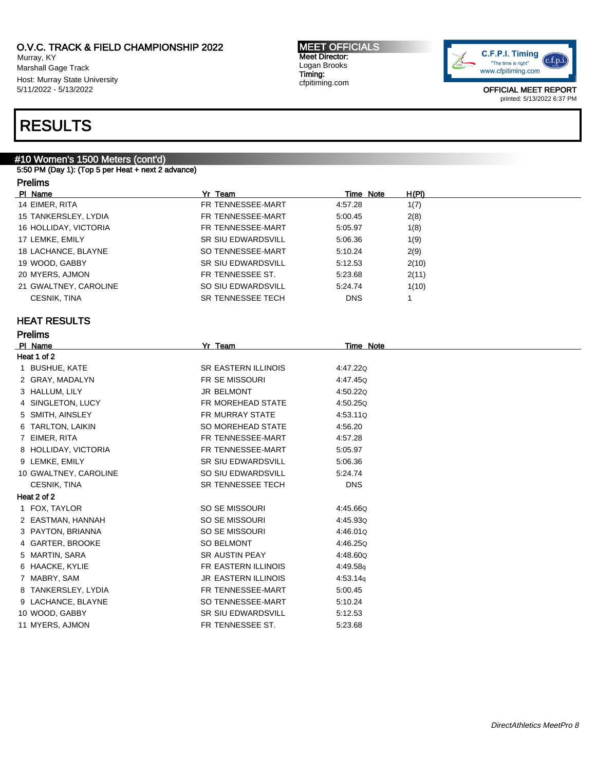Murray, KY Marshall Gage Track Host: Murray State University 5/11/2022 - 5/13/2022

# RESULTS

# #10 Women's 1500 Meters (cont'd)

5:50 PM (Day 1): (Top 5 per Heat + next 2 advance)

# Prelims

| PI Name               | Yr Team                   | Time Note  | H(PI) |
|-----------------------|---------------------------|------------|-------|
| 14 EIMER, RITA        | FR TENNESSEE-MART         | 4:57.28    | 1(7)  |
| 15 TANKERSLEY, LYDIA  | FR TENNESSEE-MART         | 5:00.45    | 2(8)  |
| 16 HOLLIDAY, VICTORIA | FR TENNESSEE-MART         | 5:05.97    | 1(8)  |
| 17 LEMKE, EMILY       | <b>SR SIU EDWARDSVILL</b> | 5:06.36    | 1(9)  |
| 18 LACHANCE, BLAYNE   | SO TENNESSEE-MART         | 5:10.24    | 2(9)  |
| 19 WOOD, GABBY        | <b>SR SIU EDWARDSVILL</b> | 5:12.53    | 2(10) |
| 20 MYERS, AJMON       | FR TENNESSEE ST.          | 5.23.68    | 2(11) |
| 21 GWALTNEY, CAROLINE | SO SIU EDWARDSVILL        | 5:24.74    | 1(10) |
| <b>CESNIK, TINA</b>   | <b>SR TENNESSEE TECH</b>  | <b>DNS</b> |       |

# HEAT RESULTS

| <b>Prelims</b>        |                            |            |
|-----------------------|----------------------------|------------|
| PI Name               | Yr Team                    | Time Note  |
| Heat 1 of 2           |                            |            |
| 1 BUSHUE, KATE        | <b>SR EASTERN ILLINOIS</b> | 4:47.22Q   |
| 2 GRAY, MADALYN       | <b>FR SE MISSOURI</b>      | 4:47.45Q   |
| 3 HALLUM, LILY        | JR BELMONT                 | 4:50.22Q   |
| 4 SINGLETON, LUCY     | FR MOREHEAD STATE          | 4:50.25Q   |
| 5 SMITH, AINSLEY      | <b>FR MURRAY STATE</b>     | 4:53.11Q   |
| 6 TARLTON, LAIKIN     | SO MOREHEAD STATE          | 4:56.20    |
| 7 EIMER, RITA         | FR TENNESSEE-MART          | 4:57.28    |
| 8 HOLLIDAY, VICTORIA  | FR TENNESSEE-MART          | 5:05.97    |
| 9 LEMKE, EMILY        | <b>SR SIU EDWARDSVILL</b>  | 5:06.36    |
| 10 GWALTNEY, CAROLINE | SO SIU EDWARDSVILL         | 5:24.74    |
| <b>CESNIK, TINA</b>   | SR TENNESSEE TECH          | <b>DNS</b> |
| Heat 2 of 2           |                            |            |
| 1 FOX, TAYLOR         | SO SE MISSOURI             | 4:45.66Q   |
| 2 EASTMAN, HANNAH     | SO SE MISSOURI             | 4:45.93Q   |
| 3 PAYTON, BRIANNA     | SO SE MISSOURI             | 4:46.01Q   |
| 4 GARTER, BROOKE      | <b>SO BELMONT</b>          | 4:46.250   |
| 5 MARTIN, SARA        | <b>SR AUSTIN PEAY</b>      | 4:48.60Q   |
| 6 HAACKE, KYLIE       | FR EASTERN ILLINOIS        | 4:49.58g   |
| 7 MABRY, SAM          | <b>JR EASTERN ILLINOIS</b> | 4:53.14q   |
| 8 TANKERSLEY, LYDIA   | FR TENNESSEE-MART          | 5:00.45    |
| 9 LACHANCE, BLAYNE    | SO TENNESSEE-MART          | 5:10.24    |
| 10 WOOD, GABBY        | <b>SR SIU EDWARDSVILL</b>  | 5:12.53    |
| 11 MYERS, AJMON       | FR TENNESSEE ST.           | 5:23.68    |

MEET OFFICIALS Meet Director: Logan Brooks Timing: cfpitiming.com

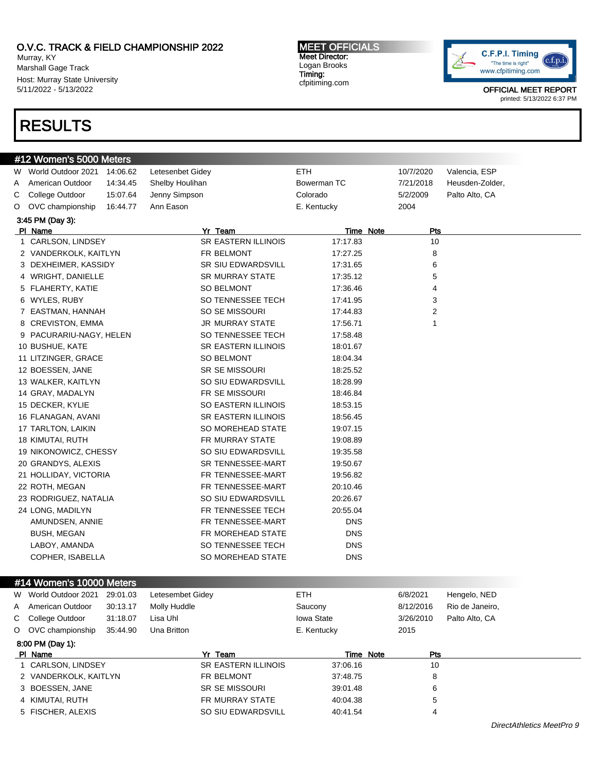Murray, KY Marshall Gage Track Host: Murray State University 5/11/2022 - 5/13/2022

# RESULTS

### MEET OFFICIALS Meet Director: Logan Brooks Timing: cfpitiming.com



OFFICIAL MEET REPORT printed: 5/13/2022 6:37 PM

|   | #12 Women's 5000 Meters  |          |                            |             |           |                |                 |
|---|--------------------------|----------|----------------------------|-------------|-----------|----------------|-----------------|
|   | W World Outdoor 2021     | 14:06.62 | Letesenbet Gidey           | ETH.        |           | 10/7/2020      | Valencia, ESP   |
| A | American Outdoor         | 14:34.45 | Shelby Houlihan            | Bowerman TC |           | 7/21/2018      | Heusden-Zolder, |
| С | College Outdoor          | 15:07.64 | Jenny Simpson              | Colorado    |           | 5/2/2009       | Palto Alto, CA  |
| O | OVC championship         | 16:44.77 | Ann Eason                  | E. Kentucky |           | 2004           |                 |
|   | 3:45 PM (Day 3):         |          |                            |             |           |                |                 |
|   | PI Name                  |          | Yr Team                    |             | Time Note | Pts            |                 |
|   | 1 CARLSON, LINDSEY       |          | SR EASTERN ILLINOIS        | 17:17.83    |           | 10             |                 |
|   | 2 VANDERKOLK, KAITLYN    |          | FR BELMONT                 | 17:27.25    |           | 8              |                 |
|   | 3 DEXHEIMER, KASSIDY     |          | <b>SR SIU EDWARDSVILL</b>  | 17:31.65    |           | 6              |                 |
|   | 4 WRIGHT, DANIELLE       |          | <b>SR MURRAY STATE</b>     | 17:35.12    |           | 5              |                 |
|   | 5 FLAHERTY, KATIE        |          | <b>SO BELMONT</b>          | 17:36.46    |           | 4              |                 |
|   | 6 WYLES, RUBY            |          | SO TENNESSEE TECH          | 17:41.95    |           | 3              |                 |
|   | 7 EASTMAN, HANNAH        |          | SO SE MISSOURI             | 17:44.83    |           | $\overline{2}$ |                 |
|   | 8 CREVISTON, EMMA        |          | <b>JR MURRAY STATE</b>     | 17:56.71    |           | $\mathbf{1}$   |                 |
|   | 9 PACURARIU-NAGY, HELEN  |          | SO TENNESSEE TECH          | 17:58.48    |           |                |                 |
|   | 10 BUSHUE, KATE          |          | <b>SR EASTERN ILLINOIS</b> | 18:01.67    |           |                |                 |
|   | 11 LITZINGER, GRACE      |          | <b>SO BELMONT</b>          | 18:04.34    |           |                |                 |
|   | 12 BOESSEN, JANE         |          | <b>SR SE MISSOURI</b>      | 18:25.52    |           |                |                 |
|   | 13 WALKER, KAITLYN       |          | SO SIU EDWARDSVILL         | 18:28.99    |           |                |                 |
|   | 14 GRAY, MADALYN         |          | FR SE MISSOURI             | 18:46.84    |           |                |                 |
|   | 15 DECKER, KYLIE         |          | SO EASTERN ILLINOIS        | 18:53.15    |           |                |                 |
|   | 16 FLANAGAN, AVANI       |          | <b>SR EASTERN ILLINOIS</b> | 18:56.45    |           |                |                 |
|   | 17 TARLTON, LAIKIN       |          | SO MOREHEAD STATE          | 19:07.15    |           |                |                 |
|   | 18 KIMUTAI, RUTH         |          | FR MURRAY STATE            | 19:08.89    |           |                |                 |
|   | 19 NIKONOWICZ, CHESSY    |          | SO SIU EDWARDSVILL         | 19:35.58    |           |                |                 |
|   | 20 GRANDYS, ALEXIS       |          | SR TENNESSEE-MART          | 19:50.67    |           |                |                 |
|   | 21 HOLLIDAY, VICTORIA    |          | FR TENNESSEE-MART          | 19:56.82    |           |                |                 |
|   | 22 ROTH, MEGAN           |          | FR TENNESSEE-MART          | 20:10.46    |           |                |                 |
|   | 23 RODRIGUEZ, NATALIA    |          | SO SIU EDWARDSVILL         | 20:26.67    |           |                |                 |
|   | 24 LONG, MADILYN         |          | FR TENNESSEE TECH          | 20:55.04    |           |                |                 |
|   | AMUNDSEN, ANNIE          |          | FR TENNESSEE-MART          | <b>DNS</b>  |           |                |                 |
|   | <b>BUSH, MEGAN</b>       |          | FR MOREHEAD STATE          | <b>DNS</b>  |           |                |                 |
|   | LABOY, AMANDA            |          | SO TENNESSEE TECH          | <b>DNS</b>  |           |                |                 |
|   | COPHER, ISABELLA         |          | SO MOREHEAD STATE          | <b>DNS</b>  |           |                |                 |
|   |                          |          |                            |             |           |                |                 |
|   | #14 Women's 10000 Meters |          |                            |             |           |                |                 |
|   | W World Outdoor 2021     | 29:01.03 | Letesembet Gidey           | ETH         |           | 6/8/2021       | Hengelo, NED    |
| A | American Outdoor         | 30:13.17 | Molly Huddle               | Saucony     |           | 8/12/2016      | Rio de Janeiro. |

| O OVC championship | 35:44.90 | Una Britton |                     | E. Kentucky | 2015 |
|--------------------|----------|-------------|---------------------|-------------|------|
| 8:00 PM (Day 1):   |          |             |                     |             |      |
| PI Name            |          |             | Yr Team             | Time Note   | Pt   |
| CARLSON, LINDSEY   |          |             | SR EASTERN ILLINOIS | 37:06.16    | 10   |

| PI Name               | Team                  | Time Note | Pts |
|-----------------------|-----------------------|-----------|-----|
| 1 CARLSON, LINDSEY    | SR EASTERN ILLINOIS   | 37:06.16  | 10  |
| 2 VANDERKOLK, KAITLYN | FR BELMONT            | 37:48.75  |     |
| 3 BOESSEN, JANE       | <b>SR SE MISSOURI</b> | 39:01.48  |     |
| 4 KIMUTAI. RUTH       | FR MURRAY STATE       | 40:04.38  |     |
| 5 FISCHER, ALEXIS     | SO SIU EDWARDSVILL    | 40:41.54  | 4   |

C College Outdoor 31:18.07 Lisa Uhl Iowa State 3/26/2010 Palto Alto, CA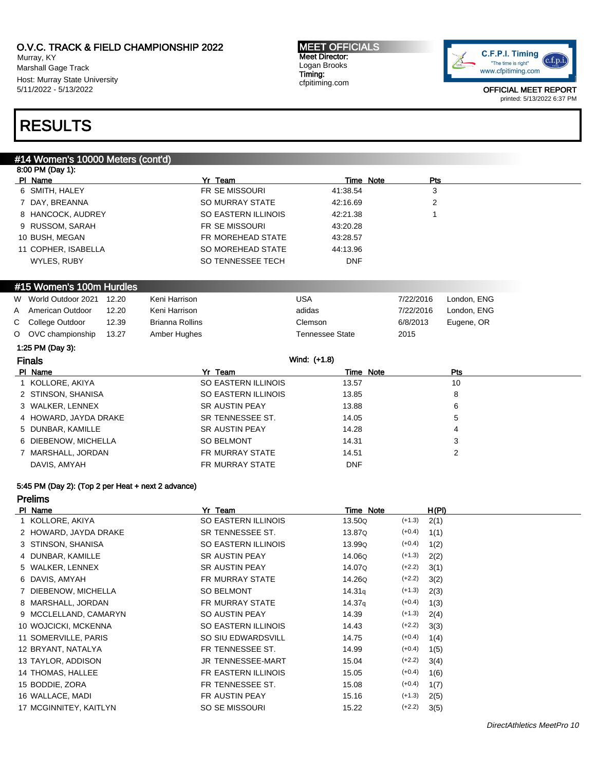Murray, KY Marshall Gage Track Host: Murray State University 5/11/2022 - 5/13/2022

#### MEET OFFICIALS Meet Director: Logan Brooks Timing: cfpitiming.com



OFFICIAL MEET REPORT printed: 5/13/2022 6:37 PM

# RESULTS

## #14 Women's 10000 Meters (cont'd)

|               | 8:00 PM (Day 1):         |       |                        |                        |           |             |
|---------------|--------------------------|-------|------------------------|------------------------|-----------|-------------|
|               | PI Name                  |       | Yr Team                | Time Note              | Pts       |             |
|               | 6 SMITH, HALEY           |       | FR SE MISSOURI         | 41:38.54               | 3         |             |
|               | DAY, BREANNA             |       | <b>SO MURRAY STATE</b> | 42:16.69               | 2         |             |
|               | 8 HANCOCK, AUDREY        |       | SO EASTERN ILLINOIS    | 42:21.38               |           |             |
| 9             | RUSSOM, SARAH            |       | <b>FR SE MISSOURI</b>  | 43:20.28               |           |             |
|               | 10 BUSH, MEGAN           |       | FR MOREHEAD STATE      | 43:28.57               |           |             |
|               | 11 COPHER, ISABELLA      |       | SO MOREHEAD STATE      | 44:13.96               |           |             |
|               | WYLES, RUBY              |       | SO TENNESSEE TECH      | <b>DNF</b>             |           |             |
|               |                          |       |                        |                        |           |             |
|               | #15 Women's 100m Hurdles |       |                        |                        |           |             |
| W             | World Outdoor 2021       | 12.20 | Keni Harrison          | <b>USA</b>             | 7/22/2016 | London, ENG |
| A             | American Outdoor         | 12.20 | Keni Harrison          | adidas                 | 7/22/2016 | London, ENG |
| C             | College Outdoor          | 12.39 | <b>Brianna Rollins</b> | Clemson                | 6/8/2013  | Eugene, OR  |
| $\circ$       | OVC championship         | 13.27 | Amber Hughes           | <b>Tennessee State</b> | 2015      |             |
|               | 1:25 PM (Day 3):         |       |                        |                        |           |             |
| <b>Finals</b> |                          |       |                        | Wind: (+1.8)           |           |             |
|               | PI Name                  |       | Yr Team                | Time Note              |           | Pts         |
|               | KOLLORE, AKIYA           |       | SO EASTERN ILLINOIS    | 13.57                  |           | 10          |
|               | 2 STINSON, SHANISA       |       | SO EASTERN ILLINOIS    | 13.85                  |           | 8           |
|               | 3 WALKER, LENNEX         |       | <b>SR AUSTIN PEAY</b>  | 13.88                  |           | 6           |
|               | 4 HOWARD, JAYDA DRAKE    |       | SR TENNESSEE ST.       | 14.05                  |           | 5           |

| 5 DUNBAR. KAMILLE    | <b>SR AUSTIN PEAY</b> | 14.28      |  |
|----------------------|-----------------------|------------|--|
| 6 DIEBENOW, MICHELLA | SO BELMONT            | 14.31      |  |
| 7 MARSHALL, JORDAN   | FR MURRAY STATE       | 14.51      |  |
| DAVIS, AMYAH         | FR MURRAY STATE       | <b>DNF</b> |  |

### 5:45 PM (Day 2): (Top 2 per Heat + next 2 advance)

Prelims

| PI Name |                        | Yr Team                  | Time Note          |          | H(PI) |
|---------|------------------------|--------------------------|--------------------|----------|-------|
|         | 1 KOLLORE, AKIYA       | SO EASTERN ILLINOIS      | 13.50Q             | $(+1.3)$ | 2(1)  |
|         | 2 HOWARD, JAYDA DRAKE  | SR TENNESSEE ST.         | 13.87Q             | $(+0.4)$ | 1(1)  |
|         | 3 STINSON, SHANISA     | SO EASTERN ILLINOIS      | 13.99Q             | $(+0.4)$ | 1(2)  |
|         | 4 DUNBAR, KAMILLE      | <b>SR AUSTIN PEAY</b>    | 14.06Q             | $(+1.3)$ | 2(2)  |
|         | 5 WALKER, LENNEX       | <b>SR AUSTIN PEAY</b>    | 14.07Q             | $(+2.2)$ | 3(1)  |
|         | 6 DAVIS, AMYAH         | FR MURRAY STATE          | 14.26Q             | $(+2.2)$ | 3(2)  |
|         | 7 DIEBENOW, MICHELLA   | <b>SO BELMONT</b>        | 14.31 <sub>q</sub> | $(+1.3)$ | 2(3)  |
|         | 8 MARSHALL, JORDAN     | FR MURRAY STATE          | 14.37 <sub>q</sub> | $(+0.4)$ | 1(3)  |
|         | 9 MCCLELLAND, CAMARYN  | SO AUSTIN PEAY           | 14.39              | $(+1.3)$ | 2(4)  |
|         | 10 WOJCICKI, MCKENNA   | SO EASTERN ILLINOIS      | 14.43              | $(+2.2)$ | 3(3)  |
|         | 11 SOMERVILLE, PARIS   | SO SIU EDWARDSVILL       | 14.75              | $(+0.4)$ | 1(4)  |
|         | 12 BRYANT, NATALYA     | FR TENNESSEE ST.         | 14.99              | $(+0.4)$ | 1(5)  |
|         | 13 TAYLOR, ADDISON     | <b>JR TENNESSEE-MART</b> | 15.04              | $(+2.2)$ | 3(4)  |
|         | 14 THOMAS, HALLEE      | FR EASTERN ILLINOIS      | 15.05              | $(+0.4)$ | 1(6)  |
|         | 15 BODDIE, ZORA        | FR TENNESSEE ST.         | 15.08              | $(+0.4)$ | 1(7)  |
|         | 16 WALLACE, MADI       | FR AUSTIN PEAY           | 15.16              | $(+1.3)$ | 2(5)  |
|         | 17 MCGINNITEY, KAITLYN | SO SE MISSOURI           | 15.22              | $(+2.2)$ | 3(5)  |
|         |                        |                          |                    |          |       |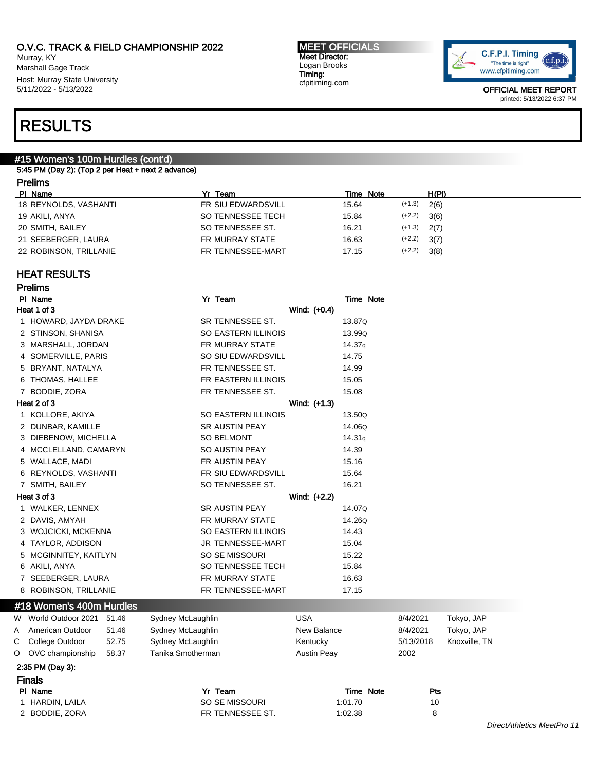Murray, KY Marshall Gage Track Host: Murray State University 5/11/2022 - 5/13/2022

MEET OFFICIALS Meet Director: Logan Brooks Timing: cfpitiming.com



OFFICIAL MEET REPORT printed: 5/13/2022 6:37 PM

# RESULTS

# #15 Women's 100m Hurdles (cont'd)

### 5:45 PM (Day 2): (Top 2 per Heat + next 2 advance)

# Prelims

| PI Name                | Yr Team            | Time Note         | H(PI) |
|------------------------|--------------------|-------------------|-------|
| 18 REYNOLDS, VASHANTI  | FR SIU EDWARDSVILL | $(+1.3)$<br>15.64 | 2(6)  |
| 19 AKILI, ANYA         | SO TENNESSEE TECH  | $(+2.2)$<br>15.84 | 3(6)  |
| 20 SMITH, BAILEY       | SO TENNESSEE ST.   | $(+1.3)$<br>16.21 | 2(7)  |
| 21 SEEBERGER, LAURA    | FR MURRAY STATE    | $(+2.2)$<br>16.63 | 3(7)  |
| 22 ROBINSON, TRILLANIE | FR TENNESSEE-MART  | $(+2.2)$<br>17.15 | 3(8)  |

# HEAT RESULTS

|   | <b>Prelims</b>             |       |                       |              |           |           |               |                            |
|---|----------------------------|-------|-----------------------|--------------|-----------|-----------|---------------|----------------------------|
|   | PI Name                    |       | Yr Team               |              | Time Note |           |               |                            |
|   | Heat 1 of 3                |       |                       | Wind: (+0.4) |           |           |               |                            |
|   | 1 HOWARD, JAYDA DRAKE      |       | SR TENNESSEE ST.      |              | 13.87Q    |           |               |                            |
|   | 2 STINSON, SHANISA         |       | SO EASTERN ILLINOIS   |              | 13.99Q    |           |               |                            |
|   | 3 MARSHALL, JORDAN         |       | FR MURRAY STATE       |              | 14.37q    |           |               |                            |
|   | 4 SOMERVILLE, PARIS        |       | SO SIU EDWARDSVILL    |              | 14.75     |           |               |                            |
|   | 5 BRYANT, NATALYA          |       | FR TENNESSEE ST.      |              | 14.99     |           |               |                            |
|   | 6 THOMAS, HALLEE           |       | FR EASTERN ILLINOIS   |              | 15.05     |           |               |                            |
|   | 7 BODDIE, ZORA             |       | FR TENNESSEE ST.      |              | 15.08     |           |               |                            |
|   | Heat 2 of 3                |       |                       | Wind: (+1.3) |           |           |               |                            |
|   | 1 KOLLORE, AKIYA           |       | SO EASTERN ILLINOIS   |              | 13.50Q    |           |               |                            |
|   | 2 DUNBAR, KAMILLE          |       | <b>SR AUSTIN PEAY</b> |              | 14.06Q    |           |               |                            |
|   | 3 DIEBENOW, MICHELLA       |       | <b>SO BELMONT</b>     |              | 14.31q    |           |               |                            |
|   | 4 MCCLELLAND, CAMARYN      |       | SO AUSTIN PEAY        |              | 14.39     |           |               |                            |
|   | 5 WALLACE, MADI            |       | FR AUSTIN PEAY        |              | 15.16     |           |               |                            |
|   | 6 REYNOLDS, VASHANTI       |       | FR SIU EDWARDSVILL    |              | 15.64     |           |               |                            |
|   | 7 SMITH, BAILEY            |       | SO TENNESSEE ST.      |              | 16.21     |           |               |                            |
|   | Heat 3 of 3                |       |                       | Wind: (+2.2) |           |           |               |                            |
|   | 1 WALKER, LENNEX           |       | SR AUSTIN PEAY        |              | 14.07Q    |           |               |                            |
|   | 2 DAVIS, AMYAH             |       | FR MURRAY STATE       |              | 14.26Q    |           |               |                            |
|   | 3 WOJCICKI, MCKENNA        |       | SO EASTERN ILLINOIS   |              | 14.43     |           |               |                            |
|   | 4 TAYLOR, ADDISON          |       | JR TENNESSEE-MART     |              | 15.04     |           |               |                            |
|   | 5 MCGINNITEY, KAITLYN      |       | SO SE MISSOURI        |              | 15.22     |           |               |                            |
|   | 6 AKILI, ANYA              |       | SO TENNESSEE TECH     |              | 15.84     |           |               |                            |
|   | 7 SEEBERGER, LAURA         |       | FR MURRAY STATE       |              | 16.63     |           |               |                            |
|   | 8 ROBINSON, TRILLANIE      |       | FR TENNESSEE-MART     |              | 17.15     |           |               |                            |
|   | #18 Women's 400m Hurdles   |       |                       |              |           |           |               |                            |
|   | W World Outdoor 2021 51.46 |       | Sydney McLaughlin     | <b>USA</b>   |           | 8/4/2021  | Tokyo, JAP    |                            |
| Α | American Outdoor           | 51.46 | Sydney McLaughlin     | New Balance  |           | 8/4/2021  | Tokyo, JAP    |                            |
| С | College Outdoor            | 52.75 | Sydney McLaughlin     | Kentucky     |           | 5/13/2018 | Knoxville, TN |                            |
| O | OVC championship           | 58.37 | Tanika Smotherman     | Austin Peay  |           | 2002      |               |                            |
|   | 2:35 PM (Day 3):           |       |                       |              |           |           |               |                            |
|   | <b>Finals</b>              |       |                       |              |           |           |               |                            |
|   | PI Name                    |       | Yr Team               |              | Time Note | Pts       |               |                            |
|   | 1 HARDIN, LAILA            |       | SO SE MISSOURI        |              | 1:01.70   | 10        |               |                            |
|   | 2 BODDIE, ZORA             |       | FR TENNESSEE ST.      |              | 1:02.38   | 8         |               |                            |
|   |                            |       |                       |              |           |           |               | DirectAthletics MeetPro 11 |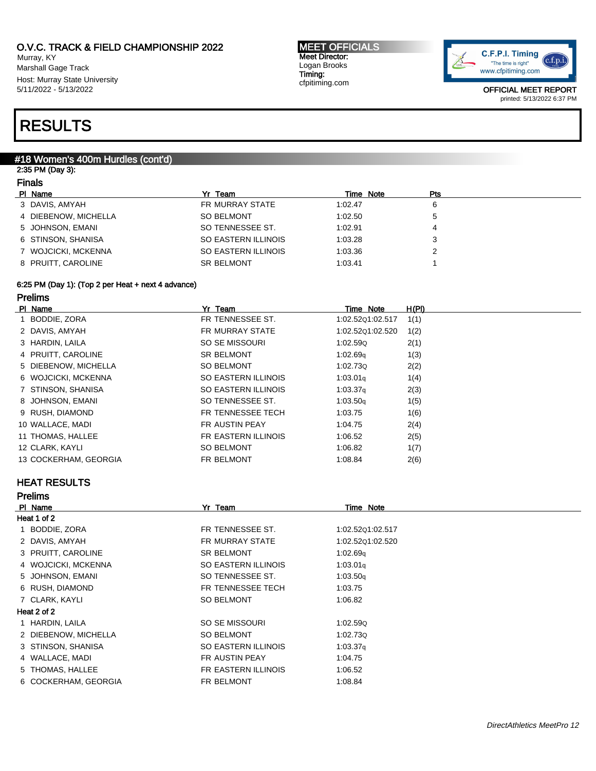Murray, KY Marshall Gage Track Host: Murray State University 5/11/2022 - 5/13/2022

#### MEET OFFICIALS Meet Director: Logan Brooks Timing: cfpitiming.com



OFFICIAL MEET REPORT printed: 5/13/2022 6:37 PM

# RESULTS

## #18 Women's 400m Hurdles (cont'd)

### 2:35 PM (Day 3): Finals

| TI I di S |
|-----------|
|           |

| PI Name              | Yr Team             | Time Note | Pts |  |
|----------------------|---------------------|-----------|-----|--|
| 3 DAVIS, AMYAH       | FR MURRAY STATE     | 1:02.47   |     |  |
| 4 DIEBENOW, MICHELLA | <b>SO BELMONT</b>   | 1:02.50   |     |  |
| 5 JOHNSON, EMANI     | SO TENNESSEE ST.    | 1:02.91   |     |  |
| 6 STINSON, SHANISA   | SO EASTERN ILLINOIS | 1:03.28   |     |  |
| 7 WOJCICKI, MCKENNA  | SO EASTERN ILLINOIS | 1:03.36   |     |  |
| 8 PRUITT, CAROLINE   | <b>SR BELMONT</b>   | 1:03.41   |     |  |
|                      |                     |           |     |  |

## 6:25 PM (Day 1): (Top 2 per Heat + next 4 advance)

## Prelims

| PI Name               | Yr Team             | Time Note            | H(PI) |
|-----------------------|---------------------|----------------------|-------|
| 1 BODDIE, ZORA        | FR TENNESSEE ST.    | 1:02.52Q1:02.517     | 1(1)  |
| 2 DAVIS, AMYAH        | FR MURRAY STATE     | 1:02.52Q1:02.520     | 1(2)  |
| 3 HARDIN, LAILA       | SO SE MISSOURI      | 1:02.590             | 2(1)  |
| 4 PRUITT, CAROLINE    | <b>SR BELMONT</b>   | 1:02.69q             | 1(3)  |
| 5 DIEBENOW, MICHELLA  | SO BELMONT          | 1:02.730             | 2(2)  |
| 6 WOJCICKI, MCKENNA   | SO EASTERN ILLINOIS | 1:03.01 <sub>q</sub> | 1(4)  |
| 7 STINSON, SHANISA    | SO EASTERN ILLINOIS | 1:03.37 <sub>q</sub> | 2(3)  |
| 8 JOHNSON, EMANI      | SO TENNESSEE ST.    | 1:03.50q             | 1(5)  |
| 9 RUSH, DIAMOND       | FR TENNESSEE TECH   | 1:03.75              | 1(6)  |
| 10 WALLACE, MADI      | FR AUSTIN PEAY      | 1:04.75              | 2(4)  |
| 11 THOMAS, HALLEE     | FR EASTERN ILLINOIS | 1:06.52              | 2(5)  |
| 12 CLARK, KAYLI       | <b>SO BELMONT</b>   | 1:06.82              | 1(7)  |
| 13 COCKERHAM, GEORGIA | FR BELMONT          | 1:08.84              | 2(6)  |

# HEAT RESULTS

| <b>Prelims</b>       |                     |                      |
|----------------------|---------------------|----------------------|
| PI Name              | Yr Team             | Time Note            |
| Heat 1 of 2          |                     |                      |
| BODDIE, ZORA         | FR TENNESSEE ST.    | 1:02.52Q1:02.517     |
| 2 DAVIS, AMYAH       | FR MURRAY STATE     | 1:02.52Q1:02.520     |
| 3 PRUITT, CAROLINE   | <b>SR BELMONT</b>   | 1:02.69q             |
| 4 WOJCICKI, MCKENNA  | SO EASTERN ILLINOIS | 1:03.01q             |
| 5 JOHNSON, EMANI     | SO TENNESSEE ST.    | 1:03.50q             |
| 6 RUSH, DIAMOND      | FR TENNESSEE TECH   | 1:03.75              |
| 7 CLARK, KAYLI       | <b>SO BELMONT</b>   | 1:06.82              |
| Heat 2 of 2          |                     |                      |
| HARDIN, LAILA        | SO SE MISSOURI      | 1:02.590             |
| 2 DIEBENOW, MICHELLA | <b>SO BELMONT</b>   | 1:02.730             |
| 3 STINSON, SHANISA   | SO EASTERN ILLINOIS | 1:03.37 <sub>q</sub> |
| 4 WALLACE, MADI      | FR AUSTIN PEAY      | 1:04.75              |
| 5 THOMAS, HALLEE     | FR EASTERN ILLINOIS | 1:06.52              |
| 6 COCKERHAM, GEORGIA | FR BELMONT          | 1:08.84              |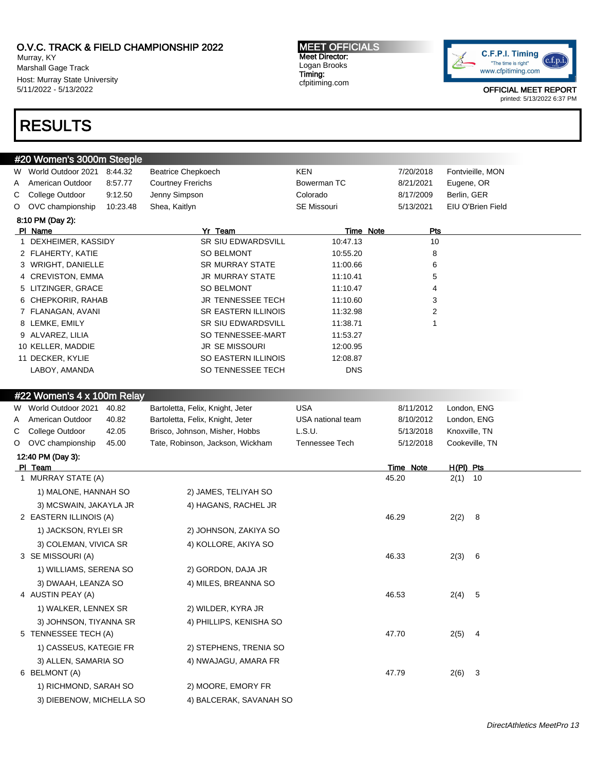Murray, KY Marshall Gage Track Host: Murray State University 5/11/2022 - 5/13/2022

# RESULTS

### MEET OFFICIALS Meet Director: Logan Brooks Timing: cfpitiming.com



OFFICIAL MEET REPORT printed: 5/13/2022 6:37 PM

| #20 Women's 3000m Steeple |                    |          |                            |                    |           |                   |  |  |
|---------------------------|--------------------|----------|----------------------------|--------------------|-----------|-------------------|--|--|
| W.                        | World Outdoor 2021 | 8:44.32  | <b>Beatrice Chepkoech</b>  | <b>KEN</b>         | 7/20/2018 | Fontvieille, MON  |  |  |
| A                         | American Outdoor   | 8:57.77  | <b>Courtney Frerichs</b>   | Bowerman TC        | 8/21/2021 | Eugene, OR        |  |  |
| C.                        | College Outdoor    | 9:12.50  | Jenny Simpson              | Colorado           | 8/17/2009 | Berlin, GER       |  |  |
| O                         | OVC championship   | 10:23.48 | Shea, Kaitlyn              | <b>SE Missouri</b> | 5/13/2021 | EIU O'Brien Field |  |  |
|                           | 8:10 PM (Day 2):   |          |                            |                    |           |                   |  |  |
|                           | PI Name            |          | Yr Team                    | Time Note          | Pts       |                   |  |  |
|                           | DEXHEIMER, KASSIDY |          | <b>SR SIU EDWARDSVILL</b>  | 10:47.13           | 10        |                   |  |  |
|                           | 2 FLAHERTY, KATIE  |          | SO BELMONT                 | 10:55.20           | 8         |                   |  |  |
|                           | 3 WRIGHT, DANIELLE |          | <b>SR MURRAY STATE</b>     | 11:00.66           | 6         |                   |  |  |
|                           | 4 CREVISTON, EMMA  |          | <b>JR MURRAY STATE</b>     | 11:10.41           | 5         |                   |  |  |
|                           | 5 LITZINGER, GRACE |          | <b>SO BELMONT</b>          | 11:10.47           | 4         |                   |  |  |
|                           | 6 CHEPKORIR, RAHAB |          | <b>JR TENNESSEE TECH</b>   | 11:10.60           | 3         |                   |  |  |
|                           | 7 FLANAGAN, AVANI  |          | <b>SR EASTERN ILLINOIS</b> | 11:32.98           | 2         |                   |  |  |
|                           | 8 LEMKE, EMILY     |          | <b>SR SIU EDWARDSVILL</b>  | 11:38.71           |           |                   |  |  |
|                           | 9 ALVAREZ, LILIA   |          | SO TENNESSEE-MART          | 11:53.27           |           |                   |  |  |
|                           | 10 KELLER, MADDIE  |          | <b>JR SE MISSOURI</b>      | 12:00.95           |           |                   |  |  |
|                           | 11 DECKER, KYLIE   |          | SO EASTERN ILLINOIS        | 12:08.87           |           |                   |  |  |
|                           | LABOY, AMANDA      |          | SO TENNESSEE TECH          | <b>DNS</b>         |           |                   |  |  |
|                           |                    |          |                            |                    |           |                   |  |  |

#22 Women's 4 x 100m Relay

| W       | World Outdoor 2021       | 40.82 | Bartoletta, Felix, Knight, Jeter | <b>USA</b>        | 8/11/2012 | London, ENG    |  |
|---------|--------------------------|-------|----------------------------------|-------------------|-----------|----------------|--|
| Α       | American Outdoor         | 40.82 | Bartoletta, Felix, Knight, Jeter | USA national team | 8/10/2012 | London, ENG    |  |
| C.      | College Outdoor          | 42.05 | Brisco, Johnson, Misher, Hobbs   | L.S.U.            | 5/13/2018 | Knoxville, TN  |  |
| $\circ$ | OVC championship         | 45.00 | Tate, Robinson, Jackson, Wickham | Tennessee Tech    | 5/12/2018 | Cookeville, TN |  |
|         | 12:40 PM (Day 3):        |       |                                  |                   |           |                |  |
|         | PI Team                  |       |                                  |                   | Time Note | $H(PI)$ Pts    |  |
|         | 1 MURRAY STATE (A)       |       |                                  |                   | 45.20     | $2(1)$ 10      |  |
|         | 1) MALONE, HANNAH SO     |       | 2) JAMES, TELIYAH SO             |                   |           |                |  |
|         | 3) MCSWAIN, JAKAYLA JR   |       | 4) HAGANS, RACHEL JR             |                   |           |                |  |
|         | 2 EASTERN ILLINOIS (A)   |       |                                  |                   | 46.29     | 2(2)<br>8      |  |
|         | 1) JACKSON, RYLEI SR     |       | 2) JOHNSON, ZAKIYA SO            |                   |           |                |  |
|         | 3) COLEMAN, VIVICA SR    |       | 4) KOLLORE, AKIYA SO             |                   |           |                |  |
|         | 3 SE MISSOURI (A)        |       |                                  |                   | 46.33     | 2(3)<br>6      |  |
|         | 1) WILLIAMS, SERENA SO   |       | 2) GORDON, DAJA JR               |                   |           |                |  |
|         | 3) DWAAH, LEANZA SO      |       | 4) MILES, BREANNA SO             |                   |           |                |  |
|         | 4 AUSTIN PEAY (A)        |       |                                  |                   | 46.53     | 2(4)<br>5      |  |
|         | 1) WALKER, LENNEX SR     |       | 2) WILDER, KYRA JR               |                   |           |                |  |
|         | 3) JOHNSON, TIYANNA SR   |       | 4) PHILLIPS, KENISHA SO          |                   |           |                |  |
| 5       | TENNESSEE TECH (A)       |       |                                  |                   | 47.70     | 2(5)<br>4      |  |
|         | 1) CASSEUS, KATEGIE FR   |       | 2) STEPHENS, TRENIA SO           |                   |           |                |  |
|         | 3) ALLEN, SAMARIA SO     |       | 4) NWAJAGU, AMARA FR             |                   |           |                |  |
|         | 6 BELMONT (A)            |       |                                  |                   | 47.79     | 2(6)<br>3      |  |
|         | 1) RICHMOND, SARAH SO    |       | 2) MOORE, EMORY FR               |                   |           |                |  |
|         | 3) DIEBENOW, MICHELLA SO |       | 4) BALCERAK, SAVANAH SO          |                   |           |                |  |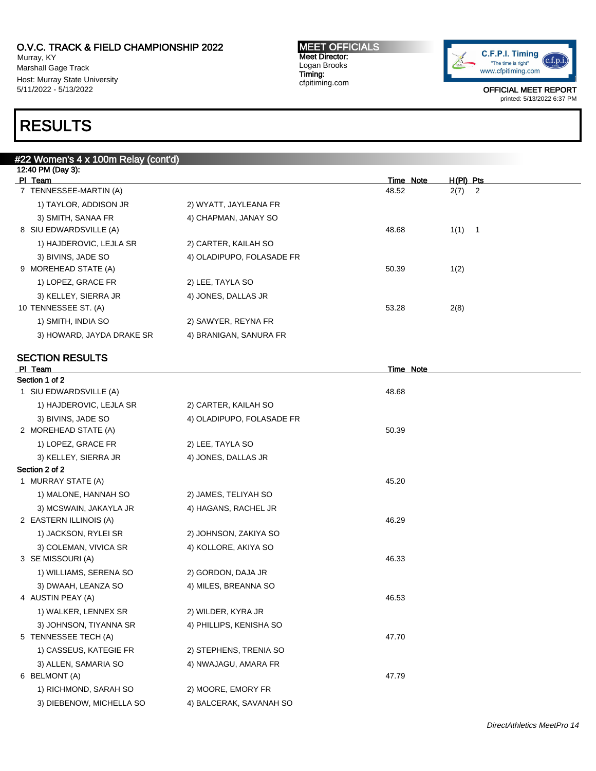Murray, KY Marshall Gage Track Host: Murray State University 5/11/2022 - 5/13/2022

# RESULTS

### MEET OFFICIALS Meet Director: Logan Brooks Timing: cfpitiming.com



| #22 Women's 4 x 100m Relay (cont'd) |                           |           |                                  |  |  |  |  |  |  |
|-------------------------------------|---------------------------|-----------|----------------------------------|--|--|--|--|--|--|
| 12:40 PM (Day 3):                   |                           |           |                                  |  |  |  |  |  |  |
| PI Team                             |                           | Time Note | $H(PI)$ Pts                      |  |  |  |  |  |  |
| 7 TENNESSEE-MARTIN (A)              |                           | 48.52     | 2(7)<br>$\overline{\phantom{a}}$ |  |  |  |  |  |  |
| 1) TAYLOR, ADDISON JR               | 2) WYATT, JAYLEANA FR     |           |                                  |  |  |  |  |  |  |
| 3) SMITH, SANAA FR                  | 4) CHAPMAN, JANAY SO      |           |                                  |  |  |  |  |  |  |
| 8 SIU EDWARDSVILLE (A)              |                           | 48.68     | $1(1)$ 1                         |  |  |  |  |  |  |
| 1) HAJDEROVIC, LEJLA SR             | 2) CARTER, KAILAH SO      |           |                                  |  |  |  |  |  |  |
| 3) BIVINS, JADE SO                  | 4) OLADIPUPO, FOLASADE FR |           |                                  |  |  |  |  |  |  |
| 9 MOREHEAD STATE (A)                |                           | 50.39     | 1(2)                             |  |  |  |  |  |  |
| 1) LOPEZ, GRACE FR                  | 2) LEE, TAYLA SO          |           |                                  |  |  |  |  |  |  |
| 3) KELLEY, SIERRA JR                | 4) JONES, DALLAS JR       |           |                                  |  |  |  |  |  |  |
| 10 TENNESSEE ST. (A)                |                           | 53.28     | 2(8)                             |  |  |  |  |  |  |
| 1) SMITH, INDIA SO                  | 2) SAWYER, REYNA FR       |           |                                  |  |  |  |  |  |  |
| 3) HOWARD, JAYDA DRAKE SR           | 4) BRANIGAN, SANURA FR    |           |                                  |  |  |  |  |  |  |
|                                     |                           |           |                                  |  |  |  |  |  |  |
| <b>SECTION RESULTS</b>              |                           |           |                                  |  |  |  |  |  |  |
| PI Team                             |                           | Time Note |                                  |  |  |  |  |  |  |

| Section 1 of 2           |                           |       |
|--------------------------|---------------------------|-------|
| 1 SIU EDWARDSVILLE (A)   |                           | 48.68 |
| 1) HAJDEROVIC, LEJLA SR  | 2) CARTER, KAILAH SO      |       |
| 3) BIVINS, JADE SO       | 4) OLADIPUPO, FOLASADE FR |       |
| 2 MOREHEAD STATE (A)     |                           | 50.39 |
| 1) LOPEZ, GRACE FR       | 2) LEE, TAYLA SO          |       |
| 3) KELLEY, SIERRA JR     | 4) JONES, DALLAS JR       |       |
| Section 2 of 2           |                           |       |
| 1 MURRAY STATE (A)       |                           | 45.20 |
| 1) MALONE, HANNAH SO     | 2) JAMES, TELIYAH SO      |       |
| 3) MCSWAIN, JAKAYLA JR   | 4) HAGANS, RACHEL JR      |       |
| 2 EASTERN ILLINOIS (A)   |                           | 46.29 |
| 1) JACKSON, RYLEI SR     | 2) JOHNSON, ZAKIYA SO     |       |
| 3) COLEMAN, VIVICA SR    | 4) KOLLORE, AKIYA SO      |       |
| 3 SE MISSOURI (A)        |                           | 46.33 |
| 1) WILLIAMS, SERENA SO   | 2) GORDON, DAJA JR        |       |
| 3) DWAAH, LEANZA SO      | 4) MILES, BREANNA SO      |       |
| 4 AUSTIN PEAY (A)        |                           | 46.53 |
| 1) WALKER, LENNEX SR     | 2) WILDER, KYRA JR        |       |
| 3) JOHNSON, TIYANNA SR   | 4) PHILLIPS, KENISHA SO   |       |
| 5 TENNESSEE TECH (A)     |                           | 47.70 |
| 1) CASSEUS, KATEGIE FR   | 2) STEPHENS, TRENIA SO    |       |
| 3) ALLEN, SAMARIA SO     | 4) NWAJAGU, AMARA FR      |       |
| 6 BELMONT (A)            |                           | 47.79 |
| 1) RICHMOND, SARAH SO    | 2) MOORE, EMORY FR        |       |
| 3) DIEBENOW, MICHELLA SO | 4) BALCERAK, SAVANAH SO   |       |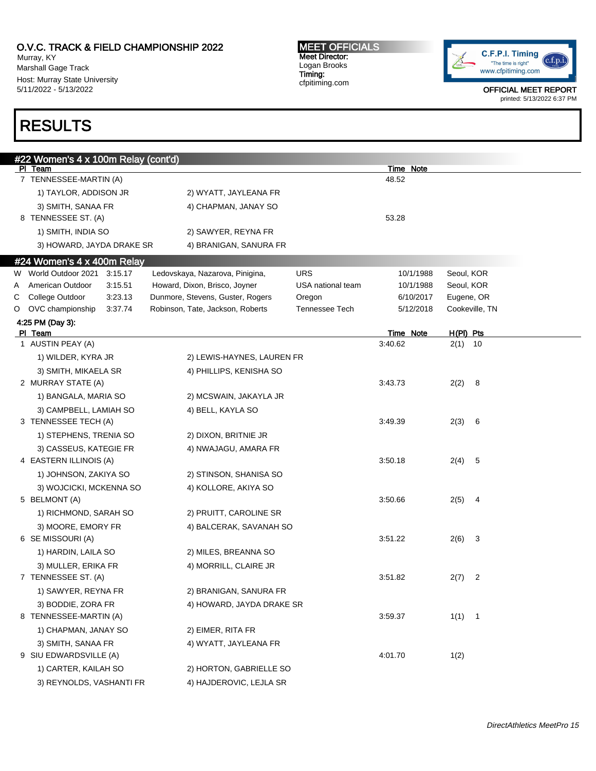Murray, KY Marshall Gage Track Host: Murray State University 5/11/2022 - 5/13/2022

# RESULTS

MEET OFFICIALS Meet Director: Logan Brooks Timing: cfpitiming.com



|   | #22 Women's 4 x 100m Relay (cont'd)            |                                  |                   |                      |                        |  |
|---|------------------------------------------------|----------------------------------|-------------------|----------------------|------------------------|--|
|   | PI Team                                        |                                  |                   | Time Note            |                        |  |
|   | 7 TENNESSEE-MARTIN (A)                         |                                  |                   | 48.52                |                        |  |
|   | 1) TAYLOR, ADDISON JR                          | 2) WYATT, JAYLEANA FR            |                   |                      |                        |  |
|   | 3) SMITH, SANAA FR                             | 4) CHAPMAN, JANAY SO             |                   |                      |                        |  |
|   | 8 TENNESSEE ST. (A)                            |                                  |                   | 53.28                |                        |  |
|   | 1) SMITH, INDIA SO                             | 2) SAWYER, REYNA FR              |                   |                      |                        |  |
|   | 3) HOWARD, JAYDA DRAKE SR                      | 4) BRANIGAN, SANURA FR           |                   |                      |                        |  |
|   | #24 Women's 4 x 400m Relay                     |                                  |                   |                      |                        |  |
|   | W World Outdoor 2021<br>3:15.17                | Ledovskaya, Nazarova, Pinigina,  | <b>URS</b>        | 10/1/1988            | Seoul, KOR             |  |
| Α | American Outdoor<br>3:15.51                    | Howard, Dixon, Brisco, Joyner    | USA national team | 10/1/1988            | Seoul, KOR             |  |
| С | College Outdoor<br>3:23.13                     | Dunmore, Stevens, Guster, Rogers | Oregon            | 6/10/2017            | Eugene, OR             |  |
| O | OVC championship<br>3:37.74                    | Robinson, Tate, Jackson, Roberts | Tennessee Tech    | 5/12/2018            | Cookeville, TN         |  |
|   | 4:25 PM (Day 3):                               |                                  |                   |                      |                        |  |
|   | PI Team<br>1 AUSTIN PEAY (A)                   |                                  |                   | Time Note<br>3:40.62 | H(PI) Pts<br>$2(1)$ 10 |  |
|   | 1) WILDER, KYRA JR                             | 2) LEWIS-HAYNES, LAUREN FR       |                   |                      |                        |  |
|   | 3) SMITH, MIKAELA SR                           | 4) PHILLIPS, KENISHA SO          |                   |                      |                        |  |
|   | 2 MURRAY STATE (A)                             |                                  |                   | 3:43.73              | 2(2)<br>- 8            |  |
|   | 1) BANGALA, MARIA SO                           | 2) MCSWAIN, JAKAYLA JR           |                   |                      |                        |  |
|   |                                                |                                  |                   |                      |                        |  |
|   | 3) CAMPBELL, LAMIAH SO<br>3 TENNESSEE TECH (A) | 4) BELL, KAYLA SO                |                   | 3:49.39              | 2(3)<br>- 6            |  |
|   |                                                |                                  |                   |                      |                        |  |
|   | 1) STEPHENS, TRENIA SO                         | 2) DIXON, BRITNIE JR             |                   |                      |                        |  |
|   | 3) CASSEUS, KATEGIE FR                         | 4) NWAJAGU, AMARA FR             |                   |                      |                        |  |
|   | 4 EASTERN ILLINOIS (A)                         |                                  |                   | 3:50.18              | 2(4)<br>- 5            |  |
|   | 1) JOHNSON, ZAKIYA SO                          | 2) STINSON, SHANISA SO           |                   |                      |                        |  |
|   | 3) WOJCICKI, MCKENNA SO                        | 4) KOLLORE, AKIYA SO             |                   |                      |                        |  |
|   | 5 BELMONT (A)                                  |                                  |                   | 3:50.66              | 2(5)<br>- 4            |  |
|   | 1) RICHMOND, SARAH SO                          | 2) PRUITT, CAROLINE SR           |                   |                      |                        |  |
|   | 3) MOORE, EMORY FR                             | 4) BALCERAK, SAVANAH SO          |                   |                      |                        |  |
|   | 6 SE MISSOURI (A)                              |                                  |                   | 3:51.22              | 2(6)<br>3              |  |
|   | 1) HARDIN, LAILA SO                            | 2) MILES, BREANNA SO             |                   |                      |                        |  |
|   | 3) MULLER, ERIKA FR                            | 4) MORRILL, CLAIRE JR            |                   |                      |                        |  |
|   | 7 TENNESSEE ST. (A)                            |                                  |                   | 3:51.82              | 2(7)<br>2              |  |
|   | 1) SAWYER, REYNA FR                            | 2) BRANIGAN, SANURA FR           |                   |                      |                        |  |
|   | 3) BODDIE, ZORA FR                             | 4) HOWARD, JAYDA DRAKE SR        |                   |                      |                        |  |
|   | 8 TENNESSEE-MARTIN (A)                         |                                  |                   | 3:59.37              | 1(1) 1                 |  |
|   | 1) CHAPMAN, JANAY SO                           | 2) EIMER, RITA FR                |                   |                      |                        |  |
|   | 3) SMITH, SANAA FR                             | 4) WYATT, JAYLEANA FR            |                   |                      |                        |  |
|   | 9 SIU EDWARDSVILLE (A)                         |                                  |                   | 4:01.70              | 1(2)                   |  |
|   | 1) CARTER, KAILAH SO                           | 2) HORTON, GABRIELLE SO          |                   |                      |                        |  |
|   | 3) REYNOLDS, VASHANTI FR                       | 4) HAJDEROVIC, LEJLA SR          |                   |                      |                        |  |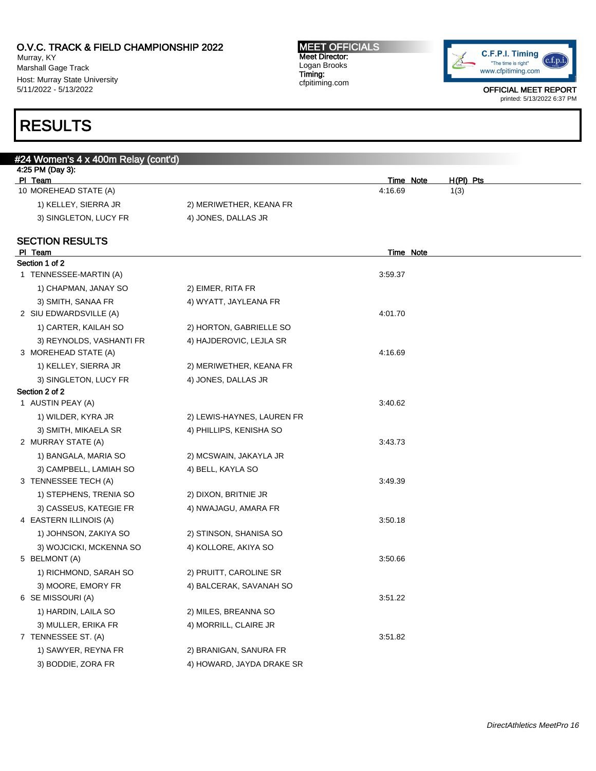Murray, KY Marshall Gage Track Host: Murray State University 5/11/2022 - 5/13/2022

### MEET OFFICIALS Meet Director: Logan Brooks Timing: cfpitiming.com



OFFICIAL MEET REPORT printed: 5/13/2022 6:37 PM

# RESULTS

| <u>#24 Women's 4 x 4</u> 00m Relay (cont'd) |                                                    |
|---------------------------------------------|----------------------------------------------------|
|                                             |                                                    |
|                                             | $H(PI)$ Pts<br><b>Time Note</b><br>4:16.69<br>1(3) |
|                                             |                                                    |
|                                             |                                                    |
|                                             |                                                    |
|                                             |                                                    |
|                                             | <b>Time Note</b>                                   |
|                                             |                                                    |
|                                             | 3:59.37                                            |
| 2) EIMER, RITA FR                           |                                                    |
| 4) WYATT, JAYLEANA FR                       |                                                    |
|                                             | 4:01.70                                            |
| 2) HORTON, GABRIELLE SO                     |                                                    |
| 4) HAJDEROVIC, LEJLA SR                     |                                                    |
|                                             | 4:16.69                                            |
| 2) MERIWETHER, KEANA FR                     |                                                    |
| 4) JONES, DALLAS JR                         |                                                    |
|                                             |                                                    |
|                                             | 3:40.62                                            |
| 2) LEWIS-HAYNES, LAUREN FR                  |                                                    |
| 4) PHILLIPS, KENISHA SO                     |                                                    |
|                                             | 3:43.73                                            |
| 2) MCSWAIN, JAKAYLA JR                      |                                                    |
| 4) BELL, KAYLA SO                           |                                                    |
|                                             | 3:49.39                                            |
| 2) DIXON, BRITNIE JR                        |                                                    |
| 4) NWAJAGU, AMARA FR                        |                                                    |
|                                             | 3:50.18                                            |
| 2) STINSON, SHANISA SO                      |                                                    |
| 4) KOLLORE, AKIYA SO                        |                                                    |
|                                             | 3:50.66                                            |
| 2) PRUITT, CAROLINE SR                      |                                                    |
| 4) BALCERAK, SAVANAH SO                     |                                                    |
|                                             | 3:51.22                                            |
| 2) MILES, BREANNA SO                        |                                                    |
| 4) MORRILL, CLAIRE JR                       |                                                    |
|                                             | 3:51.82                                            |
| 2) BRANIGAN, SANURA FR                      |                                                    |
| 4) HOWARD, JAYDA DRAKE SR                   |                                                    |
|                                             | 2) MERIWETHER, KEANA FR<br>4) JONES, DALLAS JR     |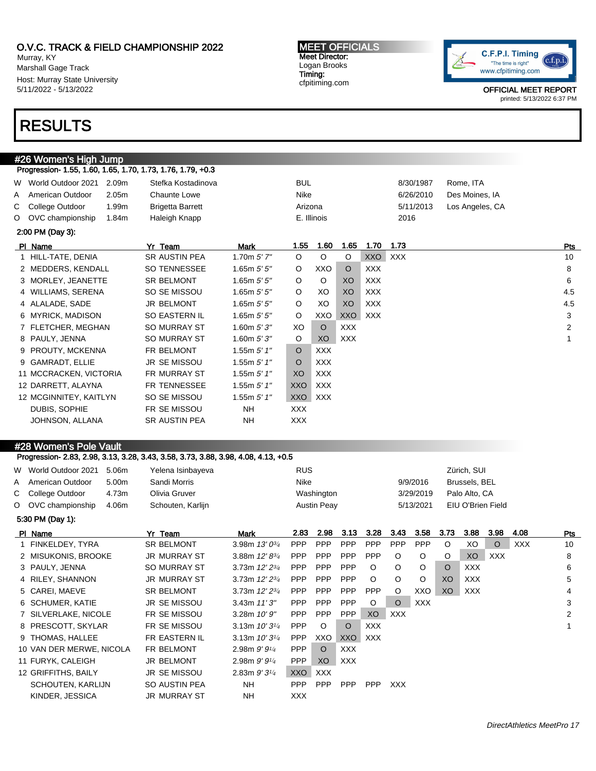Murray, KY Marshall Gage Track Host: Murray State University 5/11/2022 - 5/13/2022

# RESULTS

#26 Women's High Jump

#### MEET OFFICIALS Meet Director: Logan Brooks Timing: cfpitiming.com



OFFICIAL MEET REPORT printed: 5/13/2022 6:37 PM

|   |                        |                   | Progression- 1.55, 1.60, 1.65, 1.70, 1.73, 1.76, 1.79, +0.3 |                 |            |             |            |            |           |                 |     |
|---|------------------------|-------------------|-------------------------------------------------------------|-----------------|------------|-------------|------------|------------|-----------|-----------------|-----|
|   | W World Outdoor 2021   | 2.09m             | Stefka Kostadinova                                          |                 | <b>BUL</b> |             |            |            | 8/30/1987 | Rome, ITA       |     |
| A | American Outdoor       | 2.05 <sub>m</sub> | <b>Chaunte Lowe</b>                                         |                 | Nike       |             |            |            | 6/26/2010 | Des Moines, IA  |     |
|   | C College Outdoor      | 1.99m             | <b>Brigetta Barrett</b>                                     |                 | Arizona    |             |            |            | 5/11/2013 | Los Angeles, CA |     |
|   | O OVC championship     | 1.84m             | Haleigh Knapp                                               |                 |            | E. Illinois |            |            | 2016      |                 |     |
|   | 2:00 PM (Day 3):       |                   |                                                             |                 |            |             |            |            |           |                 |     |
|   | PI Name                |                   | Yr Team                                                     | <b>Mark</b>     | 1.55       | 1.60        | 1.65       | 1.70       | 1.73      |                 | Pts |
|   | 1 HILL-TATE, DENIA     |                   | <b>SR AUSTIN PEA</b>                                        | 1.70 $m 5' 7''$ | $\circ$    | $\circ$     | $\circ$    | <b>XXO</b> | XXX       |                 | 10  |
|   | 2 MEDDERS, KENDALL     |                   | SO TENNESSEE                                                | 1.65m $5'5''$   | $\circ$    | XXO         | $\circ$    | <b>XXX</b> |           |                 | 8   |
|   | 3 MORLEY, JEANETTE     |                   | <b>SR BELMONT</b>                                           | 1.65 $m 5' 5''$ | $\circ$    | $\circ$     | XO         | <b>XXX</b> |           |                 | 6   |
|   | 4 WILLIAMS, SERENA     |                   | SO SE MISSOU                                                | 1.65 $m 5' 5''$ | $\circ$    | XO          | XO         | <b>XXX</b> |           |                 | 4.5 |
|   | 4 ALALADE, SADE        |                   | JR BELMONT                                                  | 1.65m $5'5''$   | $\circ$    | XO          | XO         | <b>XXX</b> |           |                 | 4.5 |
|   | 6 MYRICK, MADISON      |                   | SO EASTERN IL                                               | 1.65m $5'5''$   | $\circ$    | XXO         | XXO        | XXX        |           |                 | 3   |
|   | 7 FLETCHER, MEGHAN     |                   | <b>SO MURRAY ST</b>                                         | 1.60m $5'3''$   | XO         | $\circ$     | <b>XXX</b> |            |           |                 | 2   |
|   | 8 PAULY, JENNA         |                   | <b>SO MURRAY ST</b>                                         | 1.60m $5'3''$   | O          | XO          | <b>XXX</b> |            |           |                 | 1   |
|   | 9 PROUTY, MCKENNA      |                   | FR BELMONT                                                  | 1.55m $5'$ 1"   | $\circ$    | <b>XXX</b>  |            |            |           |                 |     |
|   | 9 GAMRADT, ELLIE       |                   | JR SE MISSOU                                                | 1.55m $5'$ 1"   | O          | <b>XXX</b>  |            |            |           |                 |     |
|   | 11 MCCRACKEN, VICTORIA |                   | <b>FR MURRAY ST</b>                                         | 1.55m $5'$ 1"   | XO         | XXX         |            |            |           |                 |     |
|   | 12 DARRETT, ALAYNA     |                   | FR TENNESSEE                                                | 1.55m $5'$ 1"   | XXO        | XXX         |            |            |           |                 |     |
|   | 12 MCGINNITEY, KAITLYN |                   | SO SE MISSOU                                                | 1.55m $5'$ 1"   | <b>XXO</b> | <b>XXX</b>  |            |            |           |                 |     |
|   | DUBIS, SOPHIE          |                   | FR SE MISSOU                                                | <b>NH</b>       | XXX        |             |            |            |           |                 |     |
|   | JOHNSON, ALLANA        |                   | <b>SR AUSTIN PEA</b>                                        | <b>NH</b>       | <b>XXX</b> |             |            |            |           |                 |     |
|   |                        |                   |                                                             |                 |            |             |            |            |           |                 |     |

## #28 Women's Pole Vault

Progression- 2.83, 2.98, 3.13, 3.28, 3.43, 3.58, 3.73, 3.88, 3.98, 4.08, 4.13, +0.5

| W World Outdoor 2021     | 5.06m | Yelena Isinbayeva   |                     | <b>RUS</b> |                    |            |            |            |            |         | Zürich, SUI   |                   |      |     |
|--------------------------|-------|---------------------|---------------------|------------|--------------------|------------|------------|------------|------------|---------|---------------|-------------------|------|-----|
| A American Outdoor       | 5.00m | Sandi Morris        |                     | Nike       |                    |            |            |            | 9/9/2016   |         | Brussels, BEL |                   |      |     |
| C College Outdoor        | 4.73m | Olivia Gruver       |                     |            | Washington         |            |            |            | 3/29/2019  |         | Palo Alto, CA |                   |      |     |
| O OVC championship       | 4.06m | Schouten, Karlijn   |                     |            | <b>Austin Peay</b> |            |            |            | 5/13/2021  |         |               | EIU O'Brien Field |      |     |
| 5:30 PM (Day 1):         |       |                     |                     |            |                    |            |            |            |            |         |               |                   |      |     |
| PI Name                  |       | Yr Team             | Mark                | 2.83       | 2.98               | 3.13       | 3.28       | 3.43       | 3.58       | 3.73    | 3.88          | 3.98              | 4.08 | Pts |
| 1 FINKELDEY, TYRA        |       | SR BELMONT          | 3.98m $13'0^{3/4}$  | <b>PPP</b> | <b>PPP</b>         | <b>PPP</b> | <b>PPP</b> | <b>PPP</b> | <b>PPP</b> | $\circ$ | XO            | $\circ$           | XXX  | 10  |
| 2 MISUKONIS, BROOKE      |       | <b>JR MURRAY ST</b> | 3.88m $12' 8^{3/4}$ | <b>PPP</b> | <b>PPP</b>         | PPP        | PPP        | $\circ$    | $\circ$    | O       | XO            | <b>XXX</b>        |      | 8   |
| 3 PAULY, JENNA           |       | <b>SO MURRAY ST</b> | 3.73m $12'2^{3/4}$  | <b>PPP</b> | <b>PPP</b>         | PPP        | $\circ$    | $\circ$    | $\circ$    | O       | <b>XXX</b>    |                   |      | 6   |
| 4 RILEY, SHANNON         |       | <b>JR MURRAY ST</b> | 3.73m $12'2^{3/4}$  | <b>PPP</b> | PPP                | <b>PPP</b> | $\circ$    | $\circ$    | $\circ$    | XO.     | XXX           |                   |      | 5   |
| 5 CAREI, MAEVE           |       | <b>SR BELMONT</b>   | 3.73m $12'2^{3/4}$  | <b>PPP</b> | <b>PPP</b>         | <b>PPP</b> | <b>PPP</b> | O          | XXO        | XO.     | XXX           |                   |      | 4   |
| 6 SCHUMER, KATIE         |       | <b>JR SE MISSOU</b> | 3.43m $11'3''$      | <b>PPP</b> | <b>PPP</b>         | PPP        | $\circ$    | $\circ$    | <b>XXX</b> |         |               |                   |      | 3   |
| 7 SILVERLAKE, NICOLE     |       | FR SE MISSOU        | 3.28m 10' 9"        | <b>PPP</b> | <b>PPP</b>         | <b>PPP</b> | XO         | <b>XXX</b> |            |         |               |                   |      | 2   |
| 8 PRESCOTT, SKYLAR       |       | FR SE MISSOU        | 3.13m $10'3^{1/4}$  | <b>PPP</b> | $\circ$            | $\circ$    | <b>XXX</b> |            |            |         |               |                   |      |     |
| 9 THOMAS, HALLEE         |       | FR EASTERN IL       | 3.13m $10'3^{1/4}$  | <b>PPP</b> | XXO                | <b>XXO</b> | <b>XXX</b> |            |            |         |               |                   |      |     |
| 10 VAN DER MERWE, NICOLA |       | FR BELMONT          | 2.98m $9'9'4$       | <b>PPP</b> | $\circ$            | <b>XXX</b> |            |            |            |         |               |                   |      |     |
| 11 FURYK, CALEIGH        |       | <b>JR BELMONT</b>   | 2.98m $9'9'4$       | <b>PPP</b> | XO                 | <b>XXX</b> |            |            |            |         |               |                   |      |     |
| 12 GRIFFITHS, BAILY      |       | <b>JR SE MISSOU</b> | 2.83m $9'3'4$       | XXO        | <b>XXX</b>         |            |            |            |            |         |               |                   |      |     |
| SCHOUTEN, KARLIJN        |       | SO AUSTIN PEA       | NH                  | <b>PPP</b> | <b>PPP</b>         | <b>PPP</b> | <b>PPP</b> | <b>XXX</b> |            |         |               |                   |      |     |
| KINDER, JESSICA          |       | <b>JR MURRAY ST</b> | NH                  | <b>XXX</b> |                    |            |            |            |            |         |               |                   |      |     |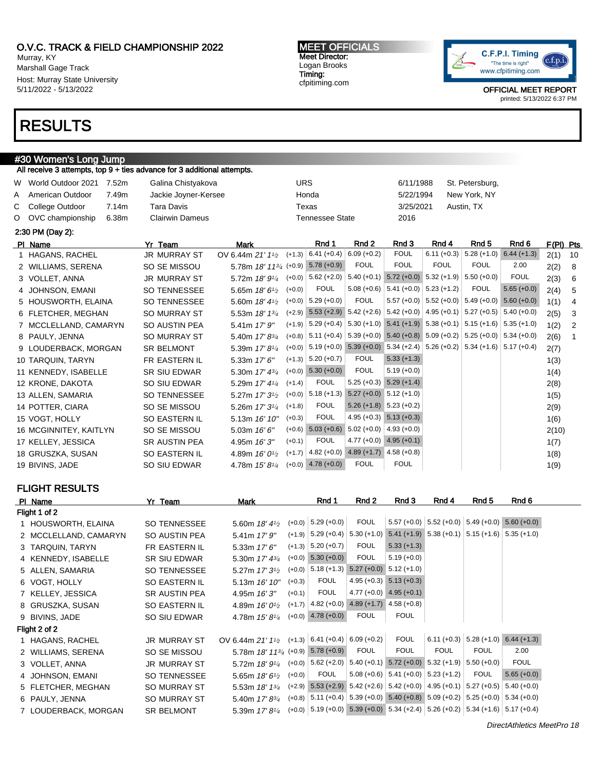Murray, KY Marshall Gage Track Host: Murray State University 5/11/2022 - 5/13/2022

# RESULTS

# #30 Women's Long Jump

|    |                        |       | All receive 3 attempts, top $9 +$ ties advance for 3 additional attempts. |                                         |            |                        |                                                                                              |                                                                       |                                                         |                           |               |             |                |
|----|------------------------|-------|---------------------------------------------------------------------------|-----------------------------------------|------------|------------------------|----------------------------------------------------------------------------------------------|-----------------------------------------------------------------------|---------------------------------------------------------|---------------------------|---------------|-------------|----------------|
|    | W World Outdoor 2021   | 7.52m | Galina Chistyakova                                                        |                                         | <b>URS</b> |                        |                                                                                              | 6/11/1988                                                             |                                                         | St. Petersburg,           |               |             |                |
| A  | American Outdoor       | 7.49m | Jackie Joyner-Kersee                                                      |                                         |            | Honda                  |                                                                                              | 5/22/1994                                                             |                                                         | New York, NY              |               |             |                |
| C. | College Outdoor        | 7.14m | Tara Davis                                                                |                                         |            | Texas                  |                                                                                              | 3/25/2021                                                             |                                                         | Austin, TX                |               |             |                |
| O  | OVC championship       | 6.38m | <b>Clairwin Dameus</b>                                                    |                                         |            | <b>Tennessee State</b> |                                                                                              | 2016                                                                  |                                                         |                           |               |             |                |
|    | 2:30 PM (Day 2):       |       |                                                                           |                                         |            |                        |                                                                                              |                                                                       |                                                         |                           |               |             |                |
|    | PI Name                |       | Yr Team                                                                   | <b>Mark</b>                             |            | Rnd 1                  | Rnd 2                                                                                        | Rnd 3                                                                 | Rnd 4                                                   | Rnd <sub>5</sub>          | Rnd 6         | $F(PI)$ Pts |                |
|    | 1 HAGANS, RACHEL       |       | <b>JR MURRAY ST</b>                                                       | OV 6.44m $21'1_{2}$                     | $(+1.3)$   | $6.41 (+0.4)$          | $6.09 (+0.2)$                                                                                | <b>FOUL</b>                                                           |                                                         | $6.11 (+0.3)$ 5.28 (+1.0) | $6.44 (+1.3)$ | 2(1)        | 10             |
|    | 2 WILLIAMS, SERENA     |       | SO SE MISSOU                                                              | 5.78m 18' 113/4 (+0.9)                  |            | $5.78(+0.9)$           | <b>FOUL</b>                                                                                  | <b>FOUL</b>                                                           | <b>FOUL</b>                                             | <b>FOUL</b>               | 2.00          | 2(2)        | -8             |
|    | 3 VOLLET, ANNA         |       | <b>JR MURRAY ST</b>                                                       | 5.72m $18'9'4$                          |            | $(+0.0)$ 5.62 $(+2.0)$ |                                                                                              | $5.40 (+0.1)$ $5.72 (+0.0)$ $5.32 (+1.9)$ $5.50 (+0.0)$               |                                                         |                           | <b>FOUL</b>   | 2(3)        | 6              |
|    | 4 JOHNSON, EMANI       |       | <b>SO TENNESSEE</b>                                                       | 5.65m 18' 6 <sup>1</sup> /2             | $(+0.0)$   | <b>FOUL</b>            |                                                                                              | $5.08 (+0.6)$ 5.41 (+0.0) 5.23 (+1.2)                                 |                                                         | <b>FOUL</b>               | $5.65 (+0.0)$ | 2(4)        | 5              |
|    | 5 HOUSWORTH, ELAINA    |       | <b>SO TENNESSEE</b>                                                       | 5.60m 18' 4 <sup>1</sup> / <sub>2</sub> |            | $(+0.0)$ 5.29 $(+0.0)$ | <b>FOUL</b>                                                                                  |                                                                       | $5.57 (+0.0)$ $5.52 (+0.0)$ $5.49 (+0.0)$ $5.60 (+0.0)$ |                           |               | 1(1)        | 4              |
|    | 6 FLETCHER, MEGHAN     |       | <b>SO MURRAY ST</b>                                                       | 5.53m 18' 13/4                          |            |                        | $(+2.9)$ 5.53 $(+2.9)$ 5.42 $(+2.6)$ 5.42 $(+0.0)$ 4.95 $(+0.1)$ 5.27 $(+0.5)$ 5.40 $(+0.0)$ |                                                                       |                                                         |                           |               | 2(5)        | 3              |
|    | 7 MCCLELLAND, CAMARYN  |       | <b>SO AUSTIN PEA</b>                                                      | 5.41m 17' 9"                            |            | $(+1.9)$ 5.29 (+0.4)   |                                                                                              | $5.30 (+1.0)$ $5.41 (+1.9)$ $5.38 (+0.1)$ $5.15 (+1.6)$ $5.35 (+1.0)$ |                                                         |                           |               | 1(2)        | $\overline{2}$ |
|    | 8 PAULY, JENNA         |       | <b>SO MURRAY ST</b>                                                       | 5.40m 17' 83/4                          |            | $(+0.8)$ 5.11 $(+0.4)$ |                                                                                              | $5.39 (+0.0)$ $5.40 (+0.8)$ $5.09 (+0.2)$ $5.25 (+0.0)$ $5.34 (+0.0)$ |                                                         |                           |               | 2(6)        | $\overline{1}$ |
|    | 9 LOUDERBACK, MORGAN   |       | <b>SR BELMONT</b>                                                         | 5.39m 17' 8 <sup>1/4</sup>              |            |                        | $(+0.0)$ 5.19 (+0.0) 5.39 (+0.0) 5.34 (+2.4) 5.26 (+0.2) 5.34 (+1.6) 5.17 (+0.4)             |                                                                       |                                                         |                           |               | 2(7)        |                |
|    | 10 TARQUIN, TARYN      |       | FR EASTERN IL                                                             | 5.33m 17' 6"                            |            | $(+1.3)$ 5.20 $(+0.7)$ | <b>FOUL</b>                                                                                  | $5.33 (+1.3)$                                                         |                                                         |                           |               | 1(3)        |                |
|    | 11 KENNEDY, ISABELLE   |       | <b>SR SIU EDWAR</b>                                                       | 5.30m 17' 43/4                          | $(+0.0)$   | $5.30 (+0.0)$          | <b>FOUL</b>                                                                                  | $5.19 (+0.0)$                                                         |                                                         |                           |               | 1(4)        |                |
|    | 12 KRONE, DAKOTA       |       | SO SIU EDWAR                                                              | 5.29m 17' 41/4                          | $(+1.4)$   | <b>FOUL</b>            |                                                                                              | $5.25 (+0.3)$ $5.29 (+1.4)$                                           |                                                         |                           |               | 2(8)        |                |
|    | 13 ALLEN, SAMARIA      |       | <b>SO TENNESSEE</b>                                                       | 5.27m $17'3^{1/2}$                      | $(+0.0)$   | $5.18 (+1.3)$          |                                                                                              | $5.27 (+0.0)$ $5.12 (+1.0)$                                           |                                                         |                           |               | 1(5)        |                |
|    | 14 POTTER, CIARA       |       | SO SE MISSOU                                                              | 5.26m $17'3^{1/4}$                      | $(+1.8)$   | <b>FOUL</b>            |                                                                                              | $5.26 (+1.8) 5.23 (+0.2)$                                             |                                                         |                           |               | 2(9)        |                |
|    | 15 VOGT, HOLLY         |       | <b>SO EASTERN IL</b>                                                      | 5.13m 16' 10"                           | $(+0.3)$   | <b>FOUL</b>            |                                                                                              | $4.95 (+0.3)$ $5.13 (+0.3)$                                           |                                                         |                           |               | 1(6)        |                |
|    | 16 MCGINNITEY, KAITLYN |       | SO SE MISSOU                                                              | 5.03m $16'6''$                          | $(+0.6)$   | $5.03 (+0.6)$          | 5.02 (+0.0) $ 4.93$ (+0.0)                                                                   |                                                                       |                                                         |                           |               | 2(10)       |                |
|    | 17 KELLEY, JESSICA     |       | <b>SR AUSTIN PEA</b>                                                      | 4.95m 16'3"                             | $(+0.1)$   | <b>FOUL</b>            |                                                                                              | $4.77 (+0.0)$ 4.95 (+0.1)                                             |                                                         |                           |               | 1(7)        |                |
|    | 18 GRUSZKA, SUSAN      |       | <b>SO EASTERN IL</b>                                                      | 4.89m $16'0\frac{1}{2}$                 | $(+1.7)$   |                        | $4.82 (+0.0)$ $4.89 (+1.7)$ $4.58 (+0.8)$                                                    |                                                                       |                                                         |                           |               | 1(8)        |                |
|    | 19 BIVINS, JADE        |       | SO SIU EDWAR                                                              | 4.78m 15'8 <sup>1/4</sup>               |            | $(+0.0)$ 4.78 $(+0.0)$ | <b>FOUL</b>                                                                                  | <b>FOUL</b>                                                           |                                                         |                           |               | 1(9)        |                |

# FLIGHT RESULTS

| PI Name               | Yr Team              | Mark                       |          | Rnd 1                  | Rnd 2         | Rnd 3                                                                            | Rnd 4         | Rnd 5                                                   | Rnd 6                                 |
|-----------------------|----------------------|----------------------------|----------|------------------------|---------------|----------------------------------------------------------------------------------|---------------|---------------------------------------------------------|---------------------------------------|
| Flight 1 of 2         |                      |                            |          |                        |               |                                                                                  |               |                                                         |                                       |
| 1 HOUSWORTH, ELAINA   | <b>SO TENNESSEE</b>  | 5.60m $18'4\frac{1}{2}$    |          | $(+0.0)$ 5.29 $(+0.0)$ | <b>FOUL</b>   | $5.57 (+0.0)$                                                                    |               |                                                         | $5.52 (+0.0)$ 5.49 (+0.0) 5.60 (+0.0) |
| 2 MCCLELLAND, CAMARYN | SO AUSTIN PEA        | 5.41m 17' 9"               |          | $(+1.9)$ 5.29 $(+0.4)$ | $5.30 (+1.0)$ |                                                                                  |               | $5.41 (+1.9)$ $5.38 (+0.1)$ $5.15 (+1.6)$ $5.35 (+1.0)$ |                                       |
| 3 TARQUIN, TARYN      | FR EASTERN IL        | 5.33m $17'6''$             |          | $(+1.3)$ 5.20 $(+0.7)$ | <b>FOUL</b>   | $5.33 (+1.3)$                                                                    |               |                                                         |                                       |
| 4 KENNEDY, ISABELLE   | <b>SR SIU EDWAR</b>  | 5.30m 17' 43/4             |          | $(+0.0)$ 5.30 $(+0.0)$ | <b>FOUL</b>   | $5.19 (+0.0)$                                                                    |               |                                                         |                                       |
| 5 ALLEN, SAMARIA      | SO TENNESSEE         | 5.27m $17'3^{1/2}$         | $(+0.0)$ | $5.18 (+1.3)$          |               | $5.27 (+0.0)$ $5.12 (+1.0)$                                                      |               |                                                         |                                       |
| 6 VOGT, HOLLY         | <b>SO EASTERN IL</b> | 5.13m 16' 10"              | $(+0.3)$ | <b>FOUL</b>            |               | $4.95 (+0.3)$ $5.13 (+0.3)$                                                      |               |                                                         |                                       |
| 7 KELLEY, JESSICA     | <b>SR AUSTIN PEA</b> | 4.95m 16'3"                | $(+0.1)$ | <b>FOUL</b>            |               | $4.77 (+0.0)$ 4.95 (+0.1)                                                        |               |                                                         |                                       |
| 8 GRUSZKA, SUSAN      | SO EASTERN IL        | 4.89m $16'0^{1/2}$         | $(+1.7)$ | $4.82 (+0.0)$          |               | $4.89 (+1.7) 4.58 (+0.8)$                                                        |               |                                                         |                                       |
| 9 BIVINS, JADE        | SO SIU EDWAR         | 4.78m 15' 8 <sup>1/4</sup> |          | $(+0.0)$ 4.78 $(+0.0)$ | <b>FOUL</b>   | <b>FOUL</b>                                                                      |               |                                                         |                                       |
| Flight 2 of 2         |                      |                            |          |                        |               |                                                                                  |               |                                                         |                                       |
| 1 HAGANS, RACHEL      | <b>JR MURRAY ST</b>  | OV 6.44m $21'1'2$          |          | $(+1.3)$ 6.41 (+0.4)   | $6.09 (+0.2)$ | <b>FOUL</b>                                                                      |               | $6.11 (+0.3)$ 5.28 (+1.0)                               | $6.44 (+1.3)$                         |
| 2 WILLIAMS, SERENA    | SO SE MISSOU         | 5.78m 18' 113/4 (+0.9)     |          | $5.78(+0.9)$           | <b>FOUL</b>   | <b>FOUL</b>                                                                      | <b>FOUL</b>   | <b>FOUL</b>                                             | 2.00                                  |
| 3 VOLLET, ANNA        | <b>JR MURRAY ST</b>  | 5.72m 18' 91/4             | $(+0.0)$ | $5.62 (+2.0)$          | $5.40 (+0.1)$ |                                                                                  |               | $5.72 (+0.0)$ $5.32 (+1.9)$ $5.50 (+0.0)$               | <b>FOUL</b>                           |
| 4 JOHNSON, EMANI      | <b>SO TENNESSEE</b>  | 5.65m $18'6'$              | $(+0.0)$ | <b>FOUL</b>            |               | $5.08 (+0.6)$ 5.41 (+0.0)                                                        | $5.23 (+1.2)$ | <b>FOUL</b>                                             | $5.65 (+0.0)$                         |
| 5 FLETCHER, MEGHAN    | <b>SO MURRAY ST</b>  | 5.53m $18'$ $13'$          | $(+2.9)$ | $5.53 (+2.9)$          |               | $5.42 (+2.6)$ 5.42 (+0.0)                                                        |               | $4.95 (+0.1)$ 5.27 (+0.5)                               | $5.40 (+0.0)$                         |
| 6 PAULY, JENNA        | <b>SO MURRAY ST</b>  | 5.40m 17' 8 <sup>3/4</sup> |          | $(+0.8)$ 5.11 $(+0.4)$ |               | $5.39 (+0.0)$ $5.40 (+0.8)$ $5.09 (+0.2)$ $5.25 (+0.0)$                          |               |                                                         | $5.34(+0.0)$                          |
| 7 LOUDERBACK, MORGAN  | SR BELMONT           | 5.39m 17'8 <sup>1/4</sup>  |          |                        |               | $(+0.0)$ 5.19 (+0.0) 5.39 (+0.0) 5.34 (+2.4) 5.26 (+0.2) 5.34 (+1.6) 5.17 (+0.4) |               |                                                         |                                       |
|                       |                      |                            |          |                        |               |                                                                                  |               |                                                         |                                       |

MEET OFFICIALS Meet Director: Logan Brooks Timing: cfpitiming.com

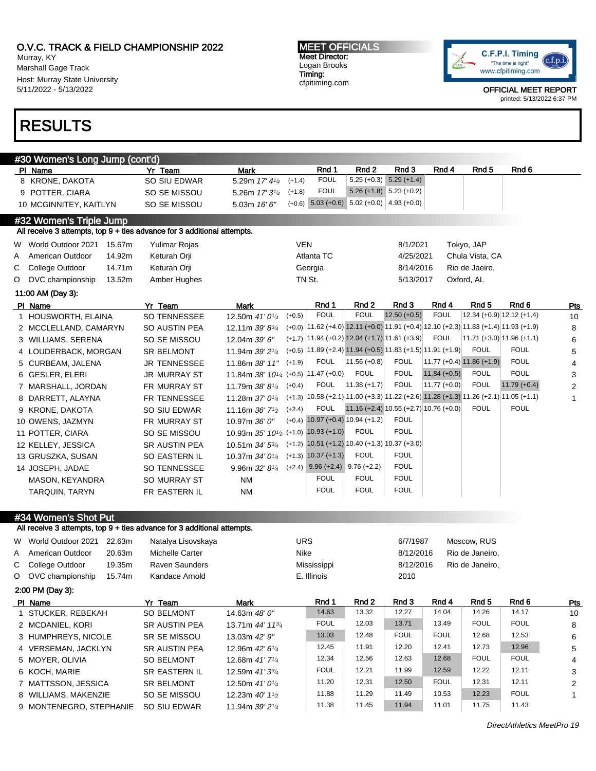Murray, KY Marshall Gage Track Host: Murray State University 5/11/2022 - 5/13/2022

# RESULTS

MEET OFFICIALS Meet Director: Logan Brooks Timing: cfpitiming.com



OFFICIAL MEET REPORT printed: 5/13/2022 6:37 PM

|   | #30 Women's Long Jump (cont'd)                                          |                     |                                                               |            |                                      |                                                                                        |                           |                |                             |                                                                                        |                |
|---|-------------------------------------------------------------------------|---------------------|---------------------------------------------------------------|------------|--------------------------------------|----------------------------------------------------------------------------------------|---------------------------|----------------|-----------------------------|----------------------------------------------------------------------------------------|----------------|
|   | PI Name                                                                 | Yr Team             | <b>Mark</b>                                                   |            | Rnd 1                                | Rnd <sub>2</sub>                                                                       | Rnd 3                     | Rnd 4          | Rnd <sub>5</sub>            | Rnd 6                                                                                  |                |
|   | 8 KRONE, DAKOTA                                                         | SO SIU EDWAR        | 5.29m 17' 41/4                                                | $(+1.4)$   | <b>FOUL</b>                          | $5.25 (+0.3)$                                                                          | $5.29(+1.4)$              |                |                             |                                                                                        |                |
|   | 9 POTTER, CIARA                                                         | SO SE MISSOU        | 5.26m 17' 3 <sup>1/4</sup>                                    | $(+1.8)$   | <b>FOUL</b>                          |                                                                                        | $5.26 (+1.8) 5.23 (+0.2)$ |                |                             |                                                                                        |                |
|   | 10 MCGINNITEY, KAITLYN                                                  | SO SE MISSOU        | 5.03m $16'6''$                                                | $(+0.6)$   |                                      | $5.03 (+0.6) 5.02 (+0.0)$                                                              | $4.93(+0.0)$              |                |                             |                                                                                        |                |
|   | #32 Women's Triple Jump                                                 |                     |                                                               |            |                                      |                                                                                        |                           |                |                             |                                                                                        |                |
|   | All receive 3 attempts, top 9 + ties advance for 3 additional attempts. |                     |                                                               |            |                                      |                                                                                        |                           |                |                             |                                                                                        |                |
|   | W World Outdoor 2021<br>15.67m                                          | Yulimar Rojas       |                                                               | <b>VEN</b> |                                      |                                                                                        | 8/1/2021                  |                | Tokyo, JAP                  |                                                                                        |                |
| A | American Outdoor<br>14.92m                                              | Keturah Orji        |                                                               |            | Atlanta TC                           |                                                                                        | 4/25/2021                 |                | Chula Vista, CA             |                                                                                        |                |
| С | College Outdoor<br>14.71m                                               | Keturah Orji        |                                                               |            | Georgia                              |                                                                                        | 8/14/2016                 |                | Rio de Jaeiro,              |                                                                                        |                |
| O | 13.52m<br>OVC championship                                              | Amber Hughes        |                                                               |            | TN St.                               |                                                                                        | 5/13/2017                 |                | Oxford, AL                  |                                                                                        |                |
|   | 11:00 AM (Day 3):                                                       |                     |                                                               |            |                                      |                                                                                        |                           |                |                             |                                                                                        |                |
|   | PI Name                                                                 | Yr Team             | <b>Mark</b>                                                   |            | Rnd 1                                | Rnd <sub>2</sub>                                                                       | Rnd 3                     | Rnd 4          | Rnd <sub>5</sub>            | Rnd 6                                                                                  | Pts            |
|   | 1 HOUSWORTH, ELAINA                                                     | <b>SO TENNESSEE</b> | 12.50m 41' 0 <sup>1/4</sup>                                   | $(+0.5)$   | <b>FOUL</b>                          | <b>FOUL</b>                                                                            | $12.50 (+0.5)$            | <b>FOUL</b>    |                             | $12.34 (+0.9) 12.12 (+1.4)$                                                            | 10             |
|   | 2 MCCLELLAND, CAMARYN                                                   | SO AUSTIN PEA       | 12.11m $39'8^{3}/4$                                           |            |                                      |                                                                                        |                           |                |                             | $(+0.0)$ 11.62 (+4.0) 12.11 (+0.0) 11.91 (+0.4) 12.10 (+2.3) 11.83 (+1.4) 11.93 (+1.9) | 8              |
|   | 3 WILLIAMS, SERENA                                                      | SO SE MISSOU        | 12.04m 39' 6"                                                 |            |                                      | $(+1.7)$ 11.94 $(+0.2)$ 12.04 $(+1.7)$ 11.61 $(+3.9)$                                  |                           | <b>FOUL</b>    |                             | $ 11.71 (+3.0) 11.96 (+1.1)$                                                           | 6              |
|   | 4 LOUDERBACK, MORGAN                                                    | <b>SR BELMONT</b>   | 11.94m 39' 2 <sup>1/4</sup>                                   |            |                                      | $(+0.5)$ 11.89 (+2.4) 11.94 (+0.5) 11.83 (+1.5) 11.91 (+1.9)                           |                           |                | <b>FOUL</b>                 | <b>FOUL</b>                                                                            | 5              |
|   | 5 CURBEAM, JALENA                                                       | <b>JR TENNESSEE</b> | 11.86m 38' 11"                                                | $(+1.9)$   | <b>FOUL</b>                          | $11.56 (+0.8)$                                                                         | <b>FOUL</b>               |                | $11.77 (+0.4) 11.86 (+1.9)$ | <b>FOUL</b>                                                                            | 4              |
|   | 6 GESLER, ELERI                                                         | <b>JR MURRAY ST</b> | 11.84m 38' $10^{1/4}$ (+0.5) 11.47 (+0.0)                     |            |                                      | <b>FOUL</b>                                                                            | <b>FOUL</b>               | $11.84 (+0.5)$ | <b>FOUL</b>                 | <b>FOUL</b>                                                                            | 3              |
|   | 7 MARSHALL, JORDAN                                                      | FR MURRAY ST        | 11.79m 38'81/4                                                | $(+0.4)$   | <b>FOUL</b>                          | $ 11.38(+1.7) $                                                                        | <b>FOUL</b>               | $11.77 (+0.0)$ | <b>FOUL</b>                 | $11.79 (+0.4)$                                                                         | $\overline{2}$ |
|   | 8 DARRETT, ALAYNA                                                       | FR TENNESSEE        | 11.28m 37' 0 <sup>1/4</sup>                                   |            |                                      | $(+1.3)$ 10.58 (+2.1) 11.00 (+3.3) 11.22 (+2.6) 11.28 (+1.3) 11.26 (+2.1) 11.05 (+1.1) |                           |                |                             |                                                                                        | 1              |
|   | 9 KRONE, DAKOTA                                                         | SO SIU EDWAR        | 11.16m $36'$ 7 <sup>1</sup> / <sub>2</sub>                    | $(+2.4)$   | <b>FOUL</b>                          | $11.16 (+2.4) 10.55 (+2.7) 10.76 (+0.0)$                                               |                           |                | <b>FOUL</b>                 | <b>FOUL</b>                                                                            |                |
|   | 10 OWENS, JAZMYN                                                        | FR MURRAY ST        | 10.97m 36' 0"                                                 |            |                                      | $(+0.4)$ 10.97 $(+0.4)$ 10.94 $(+1.2)$                                                 | <b>FOUL</b>               |                |                             |                                                                                        |                |
|   | 11 POTTER, CIARA                                                        | SO SE MISSOU        | 10.93m 35' 10 <sup>1</sup> / <sub>2</sub> (+1.0) 10.93 (+1.0) |            |                                      | <b>FOUL</b>                                                                            | <b>FOUL</b>               |                |                             |                                                                                        |                |
|   | 12 KELLEY, JESSICA                                                      | SR AUSTIN PEA       | 10.51m 34' 53/4                                               |            |                                      | $(+1.2)$ 10.51 (+1.2) 10.40 (+1.3) 10.37 (+3.0)                                        |                           |                |                             |                                                                                        |                |
|   | 13 GRUSZKA, SUSAN                                                       | SO EASTERN IL       | 10.37m 34' 0 <sup>1/4</sup>                                   |            | $(+1.3)$ 10.37 $(+1.3)$              | <b>FOUL</b>                                                                            | <b>FOUL</b>               |                |                             |                                                                                        |                |
|   | 14 JOSEPH, JADAE                                                        | <b>SO TENNESSEE</b> | 9.96m $32'8'4$                                                |            | $(+2.4)$ 9.96 $(+2.4)$ 9.76 $(+2.2)$ |                                                                                        | <b>FOUL</b>               |                |                             |                                                                                        |                |
|   | MASON, KEYANDRA                                                         | SO MURRAY ST        | <b>NM</b>                                                     |            | <b>FOUL</b>                          | <b>FOUL</b>                                                                            | <b>FOUL</b>               |                |                             |                                                                                        |                |
|   | <b>TARQUIN, TARYN</b>                                                   | FR EASTERN IL       | <b>NM</b>                                                     |            | <b>FOUL</b>                          | <b>FOUL</b>                                                                            | <b>FOUL</b>               |                |                             |                                                                                        |                |
|   |                                                                         |                     |                                                               |            |                                      |                                                                                        |                           |                |                             |                                                                                        |                |

#34 Women's Shot Put

All receive 3 attempts, top 9 + ties advance for 3 additional attempts.

| W World Outdoor 2021    | 22.63m | Natalya Lisovskaya    |                                            | <b>URS</b> |             |       | 6/7/1987    |             | Moscow, RUS     |             |     |
|-------------------------|--------|-----------------------|--------------------------------------------|------------|-------------|-------|-------------|-------------|-----------------|-------------|-----|
| A American Outdoor      | 20.63m | Michelle Carter       |                                            | Nike       |             |       | 8/12/2016   |             | Rio de Janeiro, |             |     |
| C College Outdoor       | 19.35m | <b>Raven Saunders</b> |                                            |            | Mississippi |       | 8/12/2016   |             | Rio de Janeiro, |             |     |
| O OVC championship      | 15.74m | Kandace Arnold        |                                            |            | E. Illinois |       | 2010        |             |                 |             |     |
| $2:00$ PM (Day 3):      |        |                       |                                            |            |             |       |             |             |                 |             |     |
| PI Name                 |        | Yr Team               | Mark                                       |            | Rnd 1       | Rnd 2 | Rnd 3       | Rnd 4       | Rnd 5           | Rnd 6       | Pts |
| 1 STUCKER, REBEKAH      |        | <b>SO BELMONT</b>     | 14.63m 48' 0"                              |            | 14.63       | 13.32 | 12.27       | 14.04       | 14.26           | 14.17       | 10  |
| 2 MCDANIEL, KORI        |        | <b>SR AUSTIN PEA</b>  | 13.71m 44' 11 <sup>3/4</sup>               |            | <b>FOUL</b> | 12.03 | 13.71       | 13.49       | <b>FOUL</b>     | <b>FOUL</b> | 8   |
| 3 HUMPHREYS, NICOLE     |        | SR SE MISSOU          | 13.03m 42' 9"                              |            | 13.03       | 12.48 | <b>FOUL</b> | <b>FOUL</b> | 12.68           | 12.53       | 6   |
| 4 VERSEMAN, JACKLYN     |        | <b>SR AUSTIN PEA</b>  | 12.96m 42' 61/4                            |            | 12.45       | 11.91 | 12.20       | 12.41       | 12.73           | 12.96       | 5   |
| 5 MOYER, OLIVIA         |        | <b>SO BELMONT</b>     | 12.68m 41'7 <sup>1</sup> / <sub>4</sub>    |            | 12.34       | 12.56 | 12.63       | 12.68       | <b>FOUL</b>     | <b>FOUL</b> | 4   |
| 6 KOCH, MARIE           |        | <b>SR EASTERN IL</b>  | 12.59m $41'3^{3/4}$                        |            | <b>FOUL</b> | 12.21 | 11.99       | 12.59       | 12.22           | 12.11       | 3   |
| 7 MATTSSON, JESSICA     |        | <b>SR BELMONT</b>     | 12.50m 41' 0 <sup>1</sup> / <sub>4</sub>   |            | 11.20       | 12.31 | 12.50       | <b>FOUL</b> | 12.31           | 12.11       | 2   |
| 8 WILLIAMS, MAKENZIE    |        | SO SE MISSOU          | 12.23m $40'$ 1 <sup>1</sup> / <sub>2</sub> |            | 11.88       | 11.29 | 11.49       | 10.53       | 12.23           | <b>FOUL</b> | 1   |
| 9 MONTENEGRO, STEPHANIE |        | SO SIU EDWAR          | 11.94m $39'2\frac{1}{4}$                   |            | 11.38       | 11.45 | 11.94       | 11.01       | 11.75           | 11.43       |     |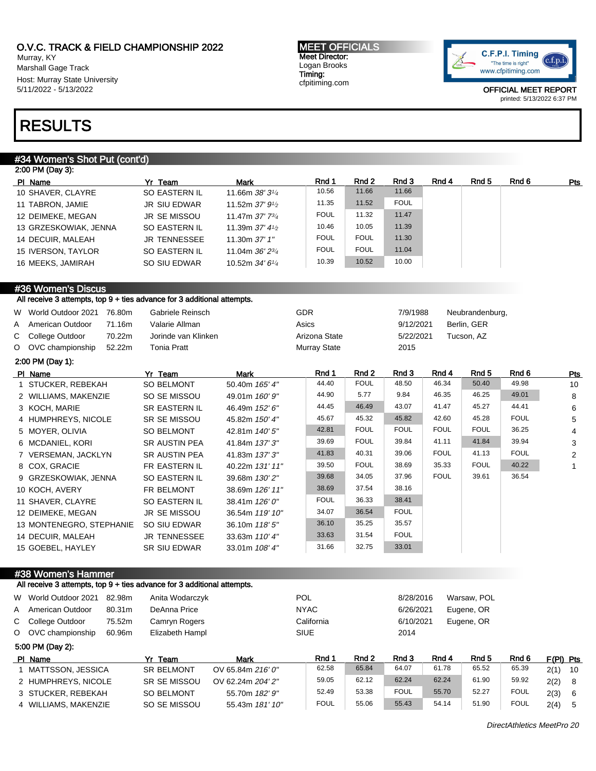Murray, KY Marshall Gage Track Host: Murray State University 5/11/2022 - 5/13/2022

#### MEET OFFICIALS Meet Director: Logan Brooks Timing: cfpitiming.com



OFFICIAL MEET REPORT printed: 5/13/2022 6:37 PM

# RESULTS

## #34 Women's Shot Put (cont'd)

|         | 2:00 PM (Day 3):                                                        |                      |                             |                     |                  |             |             |                  |                  |              |
|---------|-------------------------------------------------------------------------|----------------------|-----------------------------|---------------------|------------------|-------------|-------------|------------------|------------------|--------------|
|         | PI Name                                                                 | Yr Team              | <b>Mark</b>                 | Rnd 1               | Rnd <sub>2</sub> | Rnd 3       | Rnd 4       | Rnd <sub>5</sub> | Rnd 6            | Pts          |
|         | 10 SHAVER, CLAYRE                                                       | SO EASTERN IL        | 11.66m 38' 31/4             | 10.56               | 11.66            | 11.66       |             |                  |                  |              |
|         | 11 TABRON, JAMIE                                                        | <b>JR SIU EDWAR</b>  | 11.52m 37' 9 <sup>1/2</sup> | 11.35               | 11.52            | <b>FOUL</b> |             |                  |                  |              |
|         | 12 DEIMEKE, MEGAN                                                       | <b>JR SE MISSOU</b>  | 11.47m 37' 73/4             | <b>FOUL</b>         | 11.32            | 11.47       |             |                  |                  |              |
|         | 13 GRZESKOWIAK, JENNA                                                   | <b>SO EASTERN IL</b> | 11.39m 37' 41/2             | 10.46               | 10.05            | 11.39       |             |                  |                  |              |
|         | 14 DECUIR, MALEAH                                                       | <b>JR TENNESSEE</b>  | 11.30m 37' 1"               | <b>FOUL</b>         | <b>FOUL</b>      | 11.30       |             |                  |                  |              |
|         | 15 IVERSON, TAYLOR                                                      | <b>SO EASTERN IL</b> | 11.04m 36' 23/4             | <b>FOUL</b>         | <b>FOUL</b>      | 11.04       |             |                  |                  |              |
|         | 16 MEEKS, JAMIRAH                                                       | SO SIU EDWAR         | 10.52m 34' 61/4             | 10.39               | 10.52            | 10.00       |             |                  |                  |              |
|         | #36 Women's Discus                                                      |                      |                             |                     |                  |             |             |                  |                  |              |
|         | All receive 3 attempts, top 9 + ties advance for 3 additional attempts. |                      |                             |                     |                  |             |             |                  |                  |              |
|         | W World Outdoor 2021 76.80m                                             | Gabriele Reinsch     |                             | <b>GDR</b>          |                  | 7/9/1988    |             | Neubrandenburg,  |                  |              |
| Α       | 71.16m<br>American Outdoor                                              | Valarie Allman       |                             | Asics               |                  | 9/12/2021   |             | Berlin, GER      |                  |              |
| С       | College Outdoor<br>70.22m                                               | Jorinde van Klinken  |                             | Arizona State       |                  | 5/22/2021   |             | Tucson, AZ       |                  |              |
| $\circ$ | OVC championship<br>52.22m                                              | <b>Tonia Pratt</b>   |                             | <b>Murray State</b> |                  | 2015        |             |                  |                  |              |
|         | 2:00 PM (Day 1):                                                        |                      |                             |                     |                  |             |             |                  |                  |              |
|         | PI Name                                                                 | Yr Team              | Mark                        | Rnd 1               | Rnd 2            | Rnd 3       | Rnd 4       | Rnd <sub>5</sub> | Rnd <sub>6</sub> | Pts          |
|         | 1 STUCKER, REBEKAH                                                      | SO BELMONT           | 50.40m 165' 4"              | 44.40               | <b>FOUL</b>      | 48.50       | 46.34       | 50.40            | 49.98            | 10           |
|         | 2 WILLIAMS, MAKENZIE                                                    | SO SE MISSOU         | 49.01m 160' 9"              | 44.90               | 5.77             | 9.84        | 46.35       | 46.25            | 49.01            | 8            |
|         | 3 KOCH, MARIE                                                           | SR EASTERN IL        | 46.49m 152' 6"              | 44.45               | 46.49            | 43.07       | 41.47       | 45.27            | 44.41            | 6            |
|         | 4 HUMPHREYS, NICOLE                                                     | SR SE MISSOU         | 45.82m 150' 4"              | 45.67               | 45.32            | 45.82       | 42.60       | 45.28            | <b>FOUL</b>      | 5            |
|         | 5 MOYER, OLIVIA                                                         | <b>SO BELMONT</b>    | 42.81m 140' 5"              | 42.81               | <b>FOUL</b>      | <b>FOUL</b> | <b>FOUL</b> | <b>FOUL</b>      | 36.25            | 4            |
|         | 6 MCDANIEL, KORI                                                        | <b>SR AUSTIN PEA</b> | 41.84m 137' 3"              | 39.69               | <b>FOUL</b>      | 39.84       | 41.11       | 41.84            | 39.94            | 3            |
|         | 7 VERSEMAN, JACKLYN                                                     | <b>SR AUSTIN PEA</b> | 41.83m 137' 3"              | 41.83               | 40.31            | 39.06       | <b>FOUL</b> | 41.13            | <b>FOUL</b>      | 2            |
|         | 8 COX, GRACIE                                                           | FR EASTERN IL        | 40.22m 131' 11"             | 39.50               | <b>FOUL</b>      | 38.69       | 35.33       | <b>FOUL</b>      | 40.22            | $\mathbf{1}$ |
|         | 9 GRZESKOWIAK, JENNA                                                    | SO EASTERN IL        | 39.68m 130' 2"              | 39.68               | 34.05            | 37.96       | <b>FOUL</b> | 39.61            | 36.54            |              |
|         | 10 KOCH, AVERY                                                          | FR BELMONT           | 38.69m 126' 11"             | 38.69               | 37.54            | 38.16       |             |                  |                  |              |
|         | 11 SHAVER, CLAYRE                                                       | SO EASTERN IL        | 38.41m 126' 0"              | <b>FOUL</b>         | 36.33            | 38.41       |             |                  |                  |              |
|         | 12 DEIMEKE, MEGAN                                                       | <b>JR SE MISSOU</b>  | 36.54m 119' 10"             | 34.07               | 36.54            | <b>FOUL</b> |             |                  |                  |              |
|         | 13 MONTENEGRO, STEPHANIE                                                | SO SIU EDWAR         | 36.10m 118' 5"              | 36.10               | 35.25            | 35.57       |             |                  |                  |              |
|         | 14 DECUIR, MALEAH                                                       | <b>JR TENNESSEE</b>  | 33.63m 110' 4"              | 33.63               | 31.54            | <b>FOUL</b> |             |                  |                  |              |

## #38 Women's Hammer

### All receive 3 attempts, top 9 + ties advance for 3 additional attempts.

15 GOEBEL, HAYLEY SR SIU EDWAR 33.01m 108' 4"

| W World Outdoor 2021 | 82.98m | Anita Wodarczyk   |                   | <b>POL</b>  |       | 8/28/2016   |       | Warsaw, POL |             |             |      |
|----------------------|--------|-------------------|-------------------|-------------|-------|-------------|-------|-------------|-------------|-------------|------|
| A American Outdoor   | 80.31m | DeAnna Price      |                   | <b>NYAC</b> |       | 6/26/2021   |       | Eugene, OR  |             |             |      |
| C College Outdoor    | 75.52m | Camryn Rogers     |                   | California  |       | 6/10/2021   |       | Eugene, OR  |             |             |      |
| O OVC championship   | 60.96m | Elizabeth Hampl   |                   | <b>SIUE</b> |       | 2014        |       |             |             |             |      |
| 5:00 PM (Day 2):     |        |                   |                   |             |       |             |       |             |             |             |      |
| PI Name              |        | Yr Team           | Mark              | Rnd 1       | Rnd 2 | Rnd 3       | Rnd 4 | Rnd 5       | Rnd 6       | $F(PI)$ Pts |      |
| 1 MATTSSON, JESSICA  |        | <b>SR BELMONT</b> | OV 65.84m 216' 0" | 62.58       | 65.84 | 64.07       | 61.78 | 65.52       | 65.39       | 2(1)        | - 10 |
| 2 HUMPHREYS, NICOLE  |        | SR SE MISSOU      | OV 62.24m 204' 2" | 59.05       | 62.12 | 62.24       | 62.24 | 61.90       | 59.92       | 2(2)        | - 8  |
| 3 STUCKER, REBEKAH   |        | <b>SO BELMONT</b> | 55.70m 182' 9"    | 52.49       | 53.38 | <b>FOUL</b> | 55.70 | 52.27       | <b>FOUL</b> | 2(3)        | - 6  |
| 4 WILLIAMS, MAKENZIE |        | SO SE MISSOU      | 55.43m 181' 10"   | <b>FOUL</b> | 55.06 | 55.43       | 54.14 | 51.90       | <b>FOUL</b> | 2(4)        | - 5  |

31.66 32.75 33.01

DirectAthletics MeetPro 20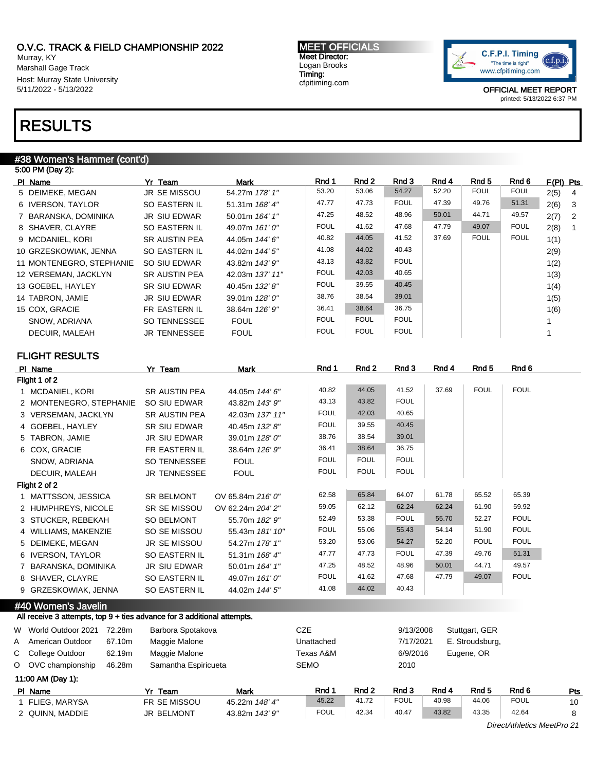Murray, KY Marshall Gage Track Host: Murray State University 5/11/2022 - 5/13/2022

# RESULTS

# #38 Women's Hammer (cont'd)

| 5:00 PM (Day 2):         |                      |                 |             |             |             |       |             |             |             |
|--------------------------|----------------------|-----------------|-------------|-------------|-------------|-------|-------------|-------------|-------------|
| PI Name                  | Yr Team              | Mark            | Rnd 1       | Rnd 2       | Rnd 3       | Rnd 4 | Rnd 5       | Rnd 6       | $F(PI)$ Pts |
| 5 DEIMEKE, MEGAN         | <b>JR SE MISSOU</b>  | 54.27m 178' 1"  | 53.20       | 53.06       | 54.27       | 52.20 | <b>FOUL</b> | <b>FOUL</b> | 2(5)<br>-4  |
| 6 IVERSON, TAYLOR        | SO EASTERN IL        | 51.31m 168' 4"  | 47.77       | 47.73       | <b>FOUL</b> | 47.39 | 49.76       | 51.31       | 2(6)<br>-3  |
| 7 BARANSKA, DOMINIKA     | JR SIU EDWAR         | 50.01m 164' 1"  | 47.25       | 48.52       | 48.96       | 50.01 | 44.71       | 49.57       | 2(7)<br>- 2 |
| 8 SHAVER, CLAYRE         | SO EASTERN IL        | 49.07m 161'0"   | <b>FOUL</b> | 41.62       | 47.68       | 47.79 | 49.07       | <b>FOUL</b> | 2(8)<br>-1  |
| 9 MCDANIEL, KORI         | <b>SR AUSTIN PEA</b> | 44.05m 144' 6"  | 40.82       | 44.05       | 41.52       | 37.69 | <b>FOUL</b> | <b>FOUL</b> | 1(1)        |
| 10 GRZESKOWIAK, JENNA    | SO EASTERN IL        | 44.02m 144' 5"  | 41.08       | 44.02       | 40.43       |       |             |             | 2(9)        |
| 11 MONTENEGRO, STEPHANIE | SO SIU EDWAR         | 43.82m 143' 9"  | 43.13       | 43.82       | <b>FOUL</b> |       |             |             | 1(2)        |
| 12 VERSEMAN, JACKLYN     | <b>SR AUSTIN PEA</b> | 42.03m 137' 11" | <b>FOUL</b> | 42.03       | 40.65       |       |             |             | 1(3)        |
| 13 GOEBEL, HAYLEY        | SR SIU EDWAR         | 40.45m 132' 8"  | <b>FOUL</b> | 39.55       | 40.45       |       |             |             | 1(4)        |
| 14 TABRON, JAMIE         | JR SIU EDWAR         | 39.01m 128'0"   | 38.76       | 38.54       | 39.01       |       |             |             | 1(5)        |
| 15 COX. GRACIE           | FR EASTERN IL        | 38.64m 126' 9"  | 36.41       | 38.64       | 36.75       |       |             |             | 1(6)        |
| SNOW, ADRIANA            | <b>SO TENNESSEE</b>  | <b>FOUL</b>     | <b>FOUL</b> | <b>FOUL</b> | <b>FOUL</b> |       |             |             |             |
| DECUIR, MALEAH           | <b>JR TENNESSEE</b>  | <b>FOUL</b>     | <b>FOUL</b> | <b>FOUL</b> | <b>FOUL</b> |       |             |             |             |
|                          |                      |                 |             |             |             |       |             |             |             |

# FLIGHT RESULTS

|   | PI Name                                                                 | Yr Team              | <b>Mark</b>       | Rnd 1       | Rnd 2       | Rnd 3       | Rnd 4 | Rnd <sub>5</sub> | Rnd 6       |     |
|---|-------------------------------------------------------------------------|----------------------|-------------------|-------------|-------------|-------------|-------|------------------|-------------|-----|
|   | Flight 1 of 2                                                           |                      |                   |             |             |             |       |                  |             |     |
|   | 1 MCDANIEL, KORI                                                        | <b>SR AUSTIN PEA</b> | 44.05m 144' 6"    | 40.82       | 44.05       | 41.52       | 37.69 | <b>FOUL</b>      | <b>FOUL</b> |     |
|   | 2 MONTENEGRO, STEPHANIE                                                 | SO SIU EDWAR         | 43.82m 143' 9"    | 43.13       | 43.82       | <b>FOUL</b> |       |                  |             |     |
|   | 3 VERSEMAN, JACKLYN                                                     | <b>SR AUSTIN PEA</b> | 42.03m 137' 11"   | <b>FOUL</b> | 42.03       | 40.65       |       |                  |             |     |
|   | 4 GOEBEL, HAYLEY                                                        | <b>SR SIU EDWAR</b>  | 40.45m 132' 8"    | <b>FOUL</b> | 39.55       | 40.45       |       |                  |             |     |
|   | 5 TABRON, JAMIE                                                         | JR SIU EDWAR         | 39.01m 128' 0"    | 38.76       | 38.54       | 39.01       |       |                  |             |     |
|   | 6 COX, GRACIE                                                           | FR EASTERN IL        | 38.64m 126' 9"    | 36.41       | 38.64       | 36.75       |       |                  |             |     |
|   | SNOW, ADRIANA                                                           | SO TENNESSEE         | <b>FOUL</b>       | <b>FOUL</b> | <b>FOUL</b> | <b>FOUL</b> |       |                  |             |     |
|   | DECUIR, MALEAH                                                          | <b>JR TENNESSEE</b>  | <b>FOUL</b>       | <b>FOUL</b> | <b>FOUL</b> | <b>FOUL</b> |       |                  |             |     |
|   | Flight 2 of 2                                                           |                      |                   |             |             |             |       |                  |             |     |
|   | 1 MATTSSON, JESSICA                                                     | SR BELMONT           | OV 65.84m 216' 0" | 62.58       | 65.84       | 64.07       | 61.78 | 65.52            | 65.39       |     |
|   | 2 HUMPHREYS, NICOLE                                                     | SR SE MISSOU         | OV 62.24m 204' 2" | 59.05       | 62.12       | 62.24       | 62.24 | 61.90            | 59.92       |     |
|   | 3 STUCKER, REBEKAH                                                      | SO BELMONT           | 55.70m 182' 9"    | 52.49       | 53.38       | <b>FOUL</b> | 55.70 | 52.27            | <b>FOUL</b> |     |
|   | 4 WILLIAMS, MAKENZIE                                                    | SO SE MISSOU         | 55.43m 181' 10"   | <b>FOUL</b> | 55.06       | 55.43       | 54.14 | 51.90            | <b>FOUL</b> |     |
|   | 5 DEIMEKE, MEGAN                                                        | <b>JR SE MISSOU</b>  | 54.27m 178' 1"    | 53.20       | 53.06       | 54.27       | 52.20 | <b>FOUL</b>      | <b>FOUL</b> |     |
|   | 6 IVERSON, TAYLOR                                                       | SO EASTERN IL        | 51.31m 168' 4"    | 47.77       | 47.73       | <b>FOUL</b> | 47.39 | 49.76            | 51.31       |     |
|   | 7 BARANSKA, DOMINIKA                                                    | <b>JR SIU EDWAR</b>  | 50.01m 164' 1"    | 47.25       | 48.52       | 48.96       | 50.01 | 44.71            | 49.57       |     |
|   | 8 SHAVER, CLAYRE                                                        | SO EASTERN IL        | 49.07m 161' 0"    | <b>FOUL</b> | 41.62       | 47.68       | 47.79 | 49.07            | <b>FOUL</b> |     |
|   | 9 GRZESKOWIAK, JENNA                                                    | SO EASTERN IL        | 44.02m 144' 5"    | 41.08       | 44.02       | 40.43       |       |                  |             |     |
|   | #40 Women's Javelin                                                     |                      |                   |             |             |             |       |                  |             |     |
|   | All receive 3 attempts, top 9 + ties advance for 3 additional attempts. |                      |                   |             |             |             |       |                  |             |     |
| W | World Outdoor 2021 72.28m                                               | Barbora Spotakova    |                   | <b>CZE</b>  |             | 9/13/2008   |       | Stuttgart, GER   |             |     |
| Α | American Outdoor<br>67.10m                                              | Maggie Malone        |                   | Unattached  |             | 7/17/2021   |       | E. Stroudsburg,  |             |     |
| С | College Outdoor<br>62.19m                                               | Maggie Malone        |                   | Texas A&M   |             | 6/9/2016    |       | Eugene, OR       |             |     |
|   | O OVC championship<br>46.28m                                            | Samantha Espiricueta |                   | <b>SEMO</b> |             | 2010        |       |                  |             |     |
|   | 11:00 AM (Day 1):                                                       |                      |                   |             |             |             |       |                  |             |     |
|   | PI Name                                                                 | Yr Team              | <b>Mark</b>       | Rnd 1       | Rnd 2       | Rnd 3       | Rnd 4 | Rnd <sub>5</sub> | Rnd 6       | Pts |
|   | 1 FLIEG, MARYSA                                                         | FR SE MISSOU         | 45.22m 148' 4"    | 45.22       | 41.72       | <b>FOUL</b> | 40.98 | 44.06            | <b>FOUL</b> | 10  |
|   | 2 QUINN, MADDIE                                                         | <b>JR BELMONT</b>    | 43.82m 143' 9"    | <b>FOUL</b> | 42.34       | 40.47       | 43.82 | 43.35            | 42.64       | 8   |

MEET OFFICIALS Meet Director: Logan Brooks Timing: cfpitiming.com

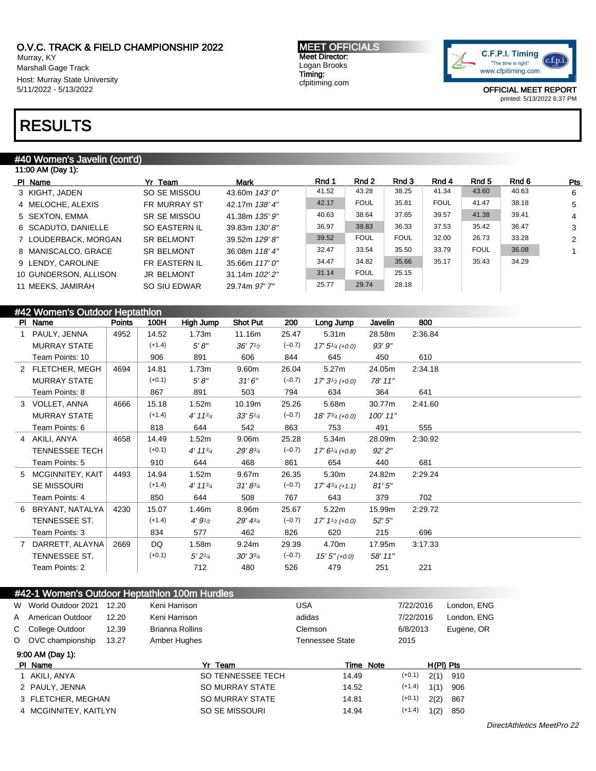Murray, KY Marshall Gage Track Host: Murray State University 5/11/2022 - 5/13/2022

### MEET OFFICIALS Meet Director: Logan Brooks Timing: cfpitiming.com



OFFICIAL MEET REPORT printed: 5/13/2022 6:37 PM

# RESULTS

# #40 Women's Javelin (cont'd)

| 11:00 AM (Day 1):     |                      |                  |       |             |             |             |             |       |     |
|-----------------------|----------------------|------------------|-------|-------------|-------------|-------------|-------------|-------|-----|
| PI Name               | Yr Team              | <b>Mark</b>      | Rnd 1 | Rnd 2       | Rnd 3       | Rnd 4       | Rnd 5       | Rnd 6 | Pts |
| 3 KIGHT, JADEN        | SO SE MISSOU         | 43.60m $143'0''$ | 41.52 | 43.28       | 38.25       | 41.34       | 43.60       | 40.63 | 6   |
| 4 MELOCHE, ALEXIS     | <b>FR MURRAY ST</b>  | 42.17m 138'4"    | 42.17 | <b>FOUL</b> | 35.81       | <b>FOUL</b> | 41.47       | 38.18 | 5   |
| 5 SEXTON, EMMA        | SR SE MISSOU         | 41.38m 135' 9"   | 40.63 | 38.64       | 37.85       | 39.57       | 41.38       | 39.41 | 4   |
| 6 SCADUTO, DANIELLE   | <b>SO EASTERN IL</b> | 39.83m 130'8"    | 36.97 | 39.83       | 36.33       | 37.53       | 35.42       | 36.47 | 3   |
| 7 LOUDERBACK, MORGAN  | <b>SR BELMONT</b>    | 39.52m 129' 8"   | 39.52 | <b>FOUL</b> | <b>FOUL</b> | 32.00       | 26.73       | 33.28 | 2   |
| 8 MANISCALCO, GRACE   | <b>SR BELMONT</b>    | 36.08m 118' 4"   | 32.47 | 33.54       | 35.50       | 33.79       | <b>FOUL</b> | 36.08 |     |
| 9 LENDY, CAROLINE     | FR EASTERN IL        | 35.66m 117' 0"   | 34.47 | 34.82       | 35.66       | 35.17       | 35.43       | 34.29 |     |
| 10 GUNDERSON, ALLISON | <b>JR BELMONT</b>    | 31.14m 102'2"    | 31.14 | <b>FOUL</b> | 25.15       |             |             |       |     |
| 11 MEEKS, JAMIRAH     | SO SIU EDWAR         | 29.74m 97' 7"    | 25.77 | 29.74       | 28.18       |             |             |       |     |
|                       |                      |                  |       |             |             |             |             |       |     |

# #42 Women's Outdoor Heptathlon

| PI Name               | <b>Points</b> | 100H     | High Jump          | <b>Shot Put</b>                     | 200      | Long Jump                                  | Javelin      | 800     |  |
|-----------------------|---------------|----------|--------------------|-------------------------------------|----------|--------------------------------------------|--------------|---------|--|
| 1 PAULY, JENNA        | 4952          | 14.52    | 1.73m              | 11.16m                              | 25.47    | 5.31 <sub>m</sub>                          | 28.58m       | 2:36.84 |  |
| <b>MURRAY STATE</b>   |               | $(+1.4)$ | 5'8''              | $36'$ 7 <sup>1</sup> / <sub>2</sub> | $(-0.7)$ | $17'5''$ 4 (+0.0)                          | 93'9''       |         |  |
| Team Points: 10       |               | 906      | 891                | 606                                 | 844      | 645                                        | 450          | 610     |  |
| 2 FLETCHER, MEGH      | 4694          | 14.81    | 1.73m              | 9.60m                               | 26.04    | 5.27m                                      | 24.05m       | 2:34.18 |  |
| <b>MURRAY STATE</b>   |               | $(+0.1)$ | 5'8''              | 31'6''                              | $(-0.7)$ | $17'3'$ <sup>2</sup> (+0.0)                | 78' 11"      |         |  |
| Team Points: 8        |               | 867      | 891                | 503                                 | 794      | 634                                        | 364          | 641     |  |
| 3 VOLLET, ANNA        | 4666          | 15.18    | 1.52m              | 10.19m                              | 25.26    | 5.68m                                      | 30.77m       | 2:41.60 |  |
| <b>MURRAY STATE</b>   |               | $(+1.4)$ | $4' 11^{3/4}$      | 33'5''/4                            | $(-0.7)$ | $18'$ 7 <sup>3</sup> / <sub>4</sub> (+0.0) | $100'$ $11"$ |         |  |
| Team Points: 6        |               | 818      | 644                | 542                                 | 863      | 753                                        | 491          | 555     |  |
| 4 AKILI, ANYA         | 4658          | 14.49    | 1.52m              | 9.06m                               | 25.28    | 5.34m                                      | 28.09m       | 2:30.92 |  |
| <b>TENNESSEE TECH</b> |               | $(+0.1)$ | $4' 11^{3/4}$      | 29' 83/4                            | $(-0.7)$ | $17' 6'$ <sup><math>4</math></sup> (+0.8)  | 92'2''       |         |  |
| Team Points: 5        |               | 910      | 644                | 468                                 | 861      | 654                                        | 440          | 681     |  |
| 5 MCGINNITEY, KAIT    | 4493          | 14.94    | 1.52m              | 9.67m                               | 26.35    | 5.30m                                      | 24.82m       | 2:29.24 |  |
| SE MISSOURI           |               | $(+1.4)$ | $4' 11^{3/4}$      | $31'8^{3/4}$                        | $(-0.7)$ | $17' 4^{3/4}$ (+1.1)                       | 81'5''       |         |  |
| Team Points: 4        |               | 850      | 644                | 508                                 | 767      | 643                                        | 379          | 702     |  |
| 6 BRYANT, NATALYA     | 4230          | 15.07    | 1.46m              | 8.96m                               | 25.67    | 5.22m                                      | 15.99m       | 2:29.72 |  |
| TENNESSEE ST.         |               | $(+1.4)$ | $4'9'_{2}$         | $29' 4^{3/4}$                       | $(-0.7)$ | $17' 11/2$ (+0.0)                          | 52'5''       |         |  |
| Team Points: 3        |               | 834      | 577                | 462                                 | 826      | 620                                        | 215          | 696     |  |
| 7 DARRETT, ALAYNA     | 2669          | DQ       | 1.58m              | 9.24m                               | 29.39    | 4.70m                                      | 17.95m       | 3:17.33 |  |
| TENNESSEE ST.         |               | $(+0.1)$ | 5'2'' <sub>4</sub> | $30'3^{3}/4$                        | $(-0.7)$ | $15'5''$ (+0.0)                            | 58' 11"      |         |  |
| Team Points: 2        |               |          | 712                | 480                                 | 526      | 479                                        | 251          | 221     |  |

|                            |       | #42-1 Women's Outdoor Heptathlon 100m Hurdles |                 |                  |             |
|----------------------------|-------|-----------------------------------------------|-----------------|------------------|-------------|
| W World Outdoor 2021 12.20 |       | Keni Harrison                                 | <b>USA</b>      | 7/22/2016        | London, ENG |
| A American Outdoor         | 12.20 | Keni Harrison                                 | adidas          | 7/22/2016        | London, ENG |
| C College Outdoor          | 12.39 | <b>Brianna Rollins</b>                        | Clemson         | 6/8/2013         | Eugene, OR  |
| O OVC championship         | 13.27 | Amber Hughes                                  | Tennessee State | 2015             |             |
| $9:00$ AM (Day 1):         |       |                                               |                 |                  |             |
|                            |       |                                               |                 |                  |             |
| PI Name                    |       | Yr Team                                       | Time Note       |                  | H(PI) Pts   |
| 1 AKILI, ANYA              |       | SO TENNESSEE TECH                             | 14.49           | $(+0.1)$         | $2(1)$ 910  |
| 2 PAULY, JENNA             |       | SO MURRAY STATE                               | 14.52           | $(+1.4)$<br>1(1) | 906         |
| 3 FLETCHER, MEGHAN         |       | SO MURRAY STATE                               | 14.81           | $(+0.1)$<br>2(2) | 867         |
| 4 MCGINNITEY, KAITLYN      |       | SO SE MISSOURI                                | 14.94           | $(+1.4)$<br>1(2) | 850         |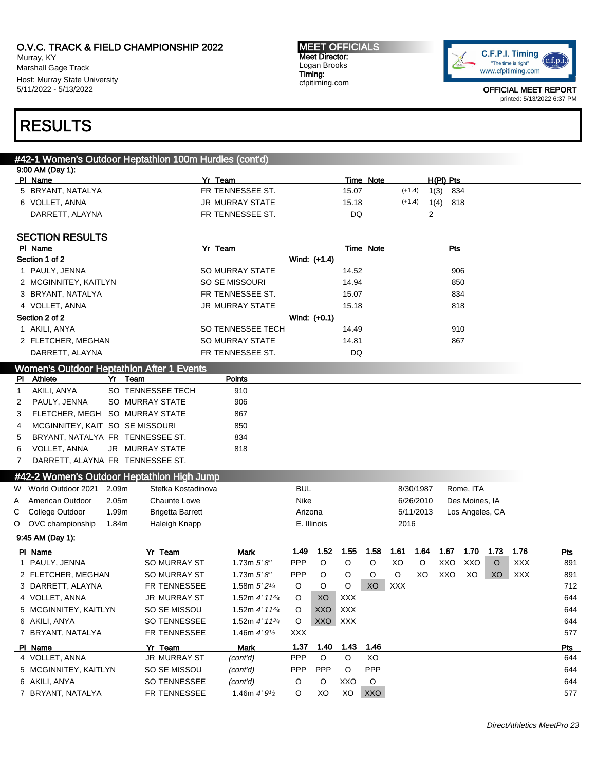Murray, KY Marshall Gage Track Host: Murray State University 5/11/2022 - 5/13/2022

#### MEET OFFICIALS Meet Director: Logan Brooks Timing: cfpitiming.com



OFFICIAL MEET REPORT printed: 5/13/2022 6:37 PM

# RESULTS

## #42-1 Women's Outdoor Heptathlon 100m Hurdles (cont'd) 9:00 AM (Day 1): Pl Name Yr Team Time Note H(Pl) Pts 5 BRYANT, NATALYA **FR TENNESSEE ST.** 15.07 (+1.4) 1(3) 834 6 VOLLET, ANNA 1(4) 318 JR MURRAY STATE 15.18 (+1.4) 1(4) 818 DARRETT, ALAYNA FR TENNESSEE ST. DQ 2 SECTION RESULTS Pl Name Yr Team Time Note Pts Section 1 of 2 Wind: (+1.4) 1 PAULY, JENNA SO MURRAY STATE 14.52 906 2 MCGINNITEY, KAITLYN SO SE MISSOURI 14.94 850 3 BRYANT, NATALYA 1999 1834 FR TENNESSEE ST. 15.07 15.07 834 4 VOLLET, ANNA 1818 (1990) SUMPORT AND A STATE 15.18 818 Section 2 of 2 Wind: (+0.1) 1 AKILI, ANYA SO TENNESSEE TECH 14.49 910 2 FLETCHER, MEGHAN SO MURRAY STATE 14.81 867 DARRETT, ALAYNA FR TENNESSEE ST. DQ Women's Outdoor Heptathlon After 1 Events Pl Athlete Yr Team Points 1 AKILI, ANYA SO TENNESSEE TECH 910 2 PAULY, JENNA SO MURRAY STATE 906 3 FLETCHER, MEGH SO MURRAY STATE 867 4 MCGINNITEY, KAIT SO SE MISSOURI 850 5 BRYANT, NATALYA FR TENNESSEE ST. 834 6 VOLLET, ANNA JR MURRAY STATE 818 7 DARRETT, ALAYNA FR TENNESSEE ST. #42-2 Women's Outdoor Heptathlon High Jump W World Outdoor 2021 2.09m Stefka Kostadinova BUL BUL 8/30/1987 Rome, ITA A American Outdoor 2.05m Chaunte Lowe Nike Nike Nike 6/26/2010 Des Moines, IA C College Outdoor 1.99m Brigetta Barrett Arizona Arizona 5/11/2013 Los Angeles, CA O OVC championship 1.84m Haleigh Knapp **E. Illinois** E. Illinois 2016 9:45 AM (Day 1): Pl Name Yr Team Mark 1.49 1.52 1.55 1.58 1.61 1.64 1.67 1.70 1.73 1.76 Pts 1 PAULY, JENNA SO MURRAY ST 1.73m *5' 8"* PPP O O XO O XXO XXO O XXX 891 2 FLETCHER, MEGHAN SO MURRAY ST 1.73m 5'8" PPP O O O O XO XXO XO XO XXX 891  $3$  DARRETT, ALAYNA FR TENNESSEE  $1.58$ m  $5'$   $2^{1/4}$  O O O XO XXX 712 4 VOLLET, ANNA JR MURRAY ST 1.52m 4' 113/<sup>4</sup> O XO XXX 644 5 MCGINNITEY, KAITLYN SO SE MISSOU 1.52m 4' 1134 O XXO XXX 644 6 AKILI, ANYA SO TENNESSEE 1.52m 4' 113/<sup>4</sup> O XXO XXX 644 7 BRYANT, NATALYA FRITENNESSEE 1.46m 4'  $9^{1/2}$  XXX 577 Pl Name Yr Team Mark 1.37 1.40 1.43 1.46 Pts 4 VOLLET, ANNA JR MURRAY ST (cont'd) PPP O O XO 644 5 MCGINNITEY, KAITLYN SO SE MISSOU (cont'd) PPP PPP O PPP 644 6 AKILI, ANYA SO TENNESSEE (cont'd) O O XXO O 644 7 BRYANT, NATALYA FR TENNESSEE 1.46m 4' 91/<sup>2</sup> O XO XO XXO 577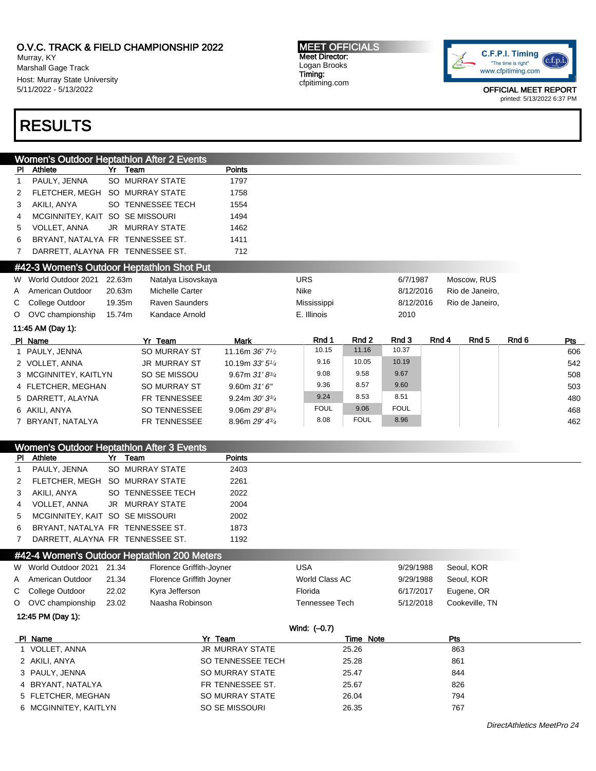Murray, KY Marshall Gage Track Host: Murray State University 5/11/2022 - 5/13/2022

# RESULTS

MEET OFFICIALS Meet Director: Logan Brooks Timing: cfpitiming.com



OFFICIAL MEET REPORT printed: 5/13/2022 6:37 PM

|                |                                           |        | <b>Women's Outdoor Heptathlon After 2 Events</b> |                                            |      |             |             |             |       |                  |       |     |
|----------------|-------------------------------------------|--------|--------------------------------------------------|--------------------------------------------|------|-------------|-------------|-------------|-------|------------------|-------|-----|
| PI.            | Athlete                                   |        | Yr Team                                          | <b>Points</b>                              |      |             |             |             |       |                  |       |     |
| $\mathbf 1$    | PAULY, JENNA                              |        | SO MURRAY STATE                                  | 1797                                       |      |             |             |             |       |                  |       |     |
| 2              | FLETCHER. MEGH                            |        | <b>SO MURRAY STATE</b>                           | 1758                                       |      |             |             |             |       |                  |       |     |
| 3              | AKILI, ANYA                               |        | SO TENNESSEE TECH                                | 1554                                       |      |             |             |             |       |                  |       |     |
| 4              | MCGINNITEY, KAIT SO SE MISSOURI           |        |                                                  | 1494                                       |      |             |             |             |       |                  |       |     |
| 5              | <b>VOLLET, ANNA</b>                       |        | <b>JR MURRAY STATE</b>                           | 1462                                       |      |             |             |             |       |                  |       |     |
| 6              | BRYANT, NATALYA FR TENNESSEE ST.          |        |                                                  | 1411                                       |      |             |             |             |       |                  |       |     |
| $\overline{7}$ | DARRETT, ALAYNA FR TENNESSEE ST.          |        |                                                  | 712                                        |      |             |             |             |       |                  |       |     |
|                | #42-3 Women's Outdoor Heptathlon Shot Put |        |                                                  |                                            |      |             |             |             |       |                  |       |     |
|                | W World Outdoor 2021                      | 22.63m | Natalya Lisovskaya                               |                                            |      | <b>URS</b>  |             | 6/7/1987    |       | Moscow, RUS      |       |     |
|                | A American Outdoor                        | 20.63m | <b>Michelle Carter</b>                           |                                            | Nike |             |             | 8/12/2016   |       | Rio de Janeiro,  |       |     |
|                | C College Outdoor                         | 19.35m | <b>Raven Saunders</b>                            |                                            |      | Mississippi |             | 8/12/2016   |       | Rio de Janeiro,  |       |     |
|                | O OVC championship                        | 15.74m | Kandace Arnold                                   |                                            |      | E. Illinois |             | 2010        |       |                  |       |     |
|                | 11:45 AM (Day 1):                         |        |                                                  |                                            |      |             |             |             |       |                  |       |     |
|                | PI Name                                   |        | Yr Team                                          | <b>Mark</b>                                |      | Rnd 1       | Rnd 2       | Rnd 3       | Rnd 4 | Rnd <sub>5</sub> | Rnd 6 | Pts |
|                | 1 PAULY, JENNA                            |        | <b>SO MURRAY ST</b>                              | 11.16m $36'$ 7 <sup>1</sup> / <sub>2</sub> |      | 10.15       | 11.16       | 10.37       |       |                  |       | 606 |
|                | 2 VOLLET, ANNA                            |        | <b>JR MURRAY ST</b>                              | 10.19m 33' 5 <sup>1/4</sup>                |      | 9.16        | 10.05       | 10.19       |       |                  |       | 542 |
|                | 3 MCGINNITEY, KAITLYN                     |        | SO SE MISSOU                                     | 9.67m $31'8^{3/4}$                         |      | 9.08        | 9.58        | 9.67        |       |                  |       | 508 |
|                | 4 FLETCHER, MEGHAN                        |        | <b>SO MURRAY ST</b>                              | 9.60m 31'6''                               |      | 9.36        | 8.57        | 9.60        |       |                  |       | 503 |
|                | 5 DARRETT, ALAYNA                         |        | FR TENNESSEE                                     | 9.24m $30'3^{3}/4$                         |      | 9.24        | 8.53        | 8.51        |       |                  |       | 480 |
|                | 6 AKILI, ANYA                             |        | <b>SO TENNESSEE</b>                              | 9.06m $29'8^{3}/4$                         |      | <b>FOUL</b> | 9.06        | <b>FOUL</b> |       |                  |       | 468 |
|                | 7 BRYANT, NATALYA                         |        | FR TENNESSEE                                     | 8.96m 29' 43/4                             |      | 8.08        | <b>FOUL</b> | 8.96        |       |                  |       | 462 |

| Women's Outdoor Heptathlon After 3 Events |                                  |  |                                             |               |  |  |  |  |
|-------------------------------------------|----------------------------------|--|---------------------------------------------|---------------|--|--|--|--|
|                                           | PI Athlete                       |  | Yr Team                                     | <b>Points</b> |  |  |  |  |
| $\mathbf{1}$                              | PAULY, JENNA                     |  | SO MURRAY STATE                             | 2403          |  |  |  |  |
|                                           | 2 FLETCHER, MEGH SO MURRAY STATE |  |                                             | 2261          |  |  |  |  |
| 3                                         | AKILI, ANYA                      |  | SO TENNESSEE TECH                           | 2022          |  |  |  |  |
| $\overline{4}$                            | VOLLET, ANNA                     |  | JR MURRAY STATE                             | 2004          |  |  |  |  |
| 5                                         | MCGINNITEY, KAIT SO SE MISSOURI  |  |                                             | 2002          |  |  |  |  |
| 6                                         | BRYANT, NATALYA FR TENNESSEE ST. |  |                                             | 1873          |  |  |  |  |
| $\mathbf{7}$                              | DARRETT, ALAYNA FR TENNESSEE ST. |  |                                             | 1192          |  |  |  |  |
|                                           |                                  |  | #42-4 Women's Outdoor Heptathlon 200 Meters |               |  |  |  |  |

| W World Outdoor 2021 21.34 |       | Florence Griffith-Joyner | USA            | 9/29/1988 | Seoul, KOR     |
|----------------------------|-------|--------------------------|----------------|-----------|----------------|
| A American Outdoor         | 21.34 | Florence Griffith Joyner | World Class AC | 9/29/1988 | Seoul, KOR     |
| C College Outdoor          | 22.02 | Kyra Jefferson           | Florida        | 6/17/2017 | Eugene, OR     |
| O OVC championship         | 23.02 | Naasha Robinson          | Tennessee Tech | 5/12/2018 | Cookeville, TN |

12:45 PM (Day 1):

|                       | Wind: (-0.7)      |           |     |
|-----------------------|-------------------|-----------|-----|
| PI Name               | Yr Team           | Time Note | Pts |
| 1 VOLLET, ANNA        | JR MURRAY STATE   | 25.26     | 863 |
| 2 AKILI, ANYA         | SO TENNESSEE TECH | 25.28     | 861 |
| 3 PAULY, JENNA        | SO MURRAY STATE   | 25.47     | 844 |
| 4 BRYANT, NATALYA     | FR TENNESSEE ST.  | 25.67     | 826 |
| 5 FLETCHER, MEGHAN    | SO MURRAY STATE   | 26.04     | 794 |
| 6 MCGINNITEY, KAITLYN | SO SE MISSOURI    | 26.35     | 767 |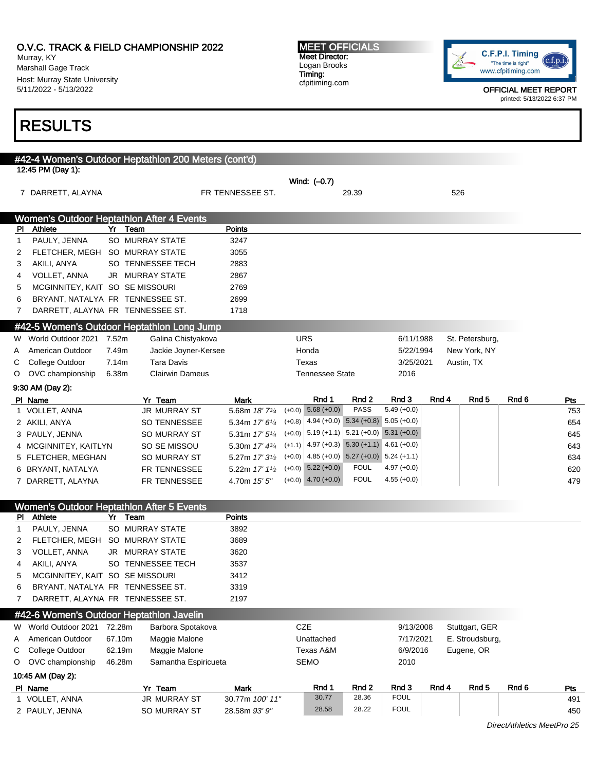# O.V.C. TRACK & FIELD CHAMPIONSHIP 2022 Murray, KY

Marshall Gage Track Host: Murray State University 5/11/2022 - 5/13/2022

#### MEET OFFICIALS Meet Director: Logan Brooks Timing: cfpitiming.com



OFFICIAL MEET REPORT printed: 5/13/2022 6:37 PM

# RESULTS

| #42-4 Women's Outdoor Heptathlon 200 Meters (cont'd) |                                  |                                         |                                                    |             |               |       |                  |                            |     |
|------------------------------------------------------|----------------------------------|-----------------------------------------|----------------------------------------------------|-------------|---------------|-------|------------------|----------------------------|-----|
| 12:45 PM (Day 1):                                    |                                  |                                         | Wind: (-0.7)                                       |             |               |       |                  |                            |     |
| 7 DARRETT, ALAYNA                                    |                                  | FR TENNESSEE ST.                        |                                                    | 29.39       |               |       | 526              |                            |     |
| <b>Women's Outdoor Heptathlon After 4 Events</b>     |                                  |                                         |                                                    |             |               |       |                  |                            |     |
| PI<br><b>Athlete</b>                                 | Yr Team                          | <b>Points</b>                           |                                                    |             |               |       |                  |                            |     |
| PAULY, JENNA<br>1                                    | SO MURRAY STATE                  | 3247                                    |                                                    |             |               |       |                  |                            |     |
| 2                                                    | FLETCHER, MEGH SO MURRAY STATE   | 3055                                    |                                                    |             |               |       |                  |                            |     |
| AKILI, ANYA<br>3                                     | SO TENNESSEE TECH                | 2883                                    |                                                    |             |               |       |                  |                            |     |
| <b>VOLLET, ANNA</b><br>4                             | <b>JR MURRAY STATE</b>           | 2867                                    |                                                    |             |               |       |                  |                            |     |
| 5                                                    | MCGINNITEY, KAIT SO SE MISSOURI  | 2769                                    |                                                    |             |               |       |                  |                            |     |
| 6                                                    | BRYANT, NATALYA FR TENNESSEE ST. | 2699                                    |                                                    |             |               |       |                  |                            |     |
| 7                                                    | DARRETT, ALAYNA FR TENNESSEE ST. | 1718                                    |                                                    |             |               |       |                  |                            |     |
| #42-5 Women's Outdoor Heptathlon Long Jump           |                                  |                                         |                                                    |             |               |       |                  |                            |     |
| World Outdoor 2021 7.52m<br>W                        | Galina Chistyakova               |                                         | <b>URS</b>                                         |             | 6/11/1988     |       | St. Petersburg,  |                            |     |
| American Outdoor<br>A                                | 7.49m                            | Jackie Joyner-Kersee                    | Honda                                              |             | 5/22/1994     |       | New York, NY     |                            |     |
| College Outdoor<br>С                                 | 7.14m<br>Tara Davis              |                                         | Texas                                              |             | 3/25/2021     |       | Austin, TX       |                            |     |
| OVC championship<br>O                                | <b>Clairwin Dameus</b><br>6.38m  |                                         | <b>Tennessee State</b>                             |             | 2016          |       |                  |                            |     |
| 9:30 AM (Day 2):                                     |                                  |                                         |                                                    |             |               |       |                  |                            |     |
| PI Name                                              | Yr Team                          | Mark                                    | Rnd 1                                              | Rnd 2       | Rnd 3         | Rnd 4 | Rnd <sub>5</sub> | Rnd 6                      | Pts |
| 1 VOLLET, ANNA                                       | <b>JR MURRAY ST</b>              | 5.68m 18' 73/4                          | $(+0.0)$ 5.68 $(+0.0)$                             | <b>PASS</b> | $5.49 (+0.0)$ |       |                  |                            | 753 |
| 2 AKILI, ANYA                                        | <b>SO TENNESSEE</b>              | 5.34m 17' 61/4                          | $(+0.8)$ 4.94 $(+0.0)$ 5.34 $(+0.8)$ 5.05 $(+0.0)$ |             |               |       |                  |                            | 654 |
| 3 PAULY, JENNA                                       | <b>SO MURRAY ST</b>              | 5.31m 17' 51/4                          | $(+0.0)$ 5.19 $(+1.1)$ 5.21 $(+0.0)$ 5.31 $(+0.0)$ |             |               |       |                  |                            | 645 |
| 4 MCGINNITEY, KAITLYN                                | SO SE MISSOU                     | 5.30m 17' 43/4                          | $(+1.1)$ 4.97 $(+0.3)$ 5.30 $(+1.1)$ 4.61 $(+0.0)$ |             |               |       |                  |                            | 643 |
| 5 FLETCHER, MEGHAN                                   | <b>SO MURRAY ST</b>              | 5.27m 17' 3 <sup>1</sup> / <sub>2</sub> | $(+0.0)$ 4.85 $(+0.0)$ 5.27 $(+0.0)$ 5.24 $(+1.1)$ |             |               |       |                  |                            | 634 |
| 6 BRYANT, NATALYA                                    | FR TENNESSEE                     | 5.22m 17' 11/2                          | $(+0.0)$ 5.22 $(+0.0)$                             | <b>FOUL</b> | $4.97 (+0.0)$ |       |                  |                            | 620 |
| 7 DARRETT, ALAYNA                                    | FR TENNESSEE                     | 4.70m 15' 5"                            | $(+0.0)$ 4.70 $(+0.0)$                             | <b>FOUL</b> | $4.55 (+0.0)$ |       |                  |                            | 479 |
| <b>Women's Outdoor Heptathlon After 5 Events</b>     |                                  |                                         |                                                    |             |               |       |                  |                            |     |
| Athlete<br>PI.                                       | Yr Team                          | <b>Points</b>                           |                                                    |             |               |       |                  |                            |     |
| PAULY, JENNA<br>1                                    | SO MURRAY STATE                  | 3892                                    |                                                    |             |               |       |                  |                            |     |
| 2                                                    | FLETCHER, MEGH SO MURRAY STATE   | 3689                                    |                                                    |             |               |       |                  |                            |     |
| <b>VOLLET, ANNA</b><br>3                             | JR MURRAY STATE                  | 3620                                    |                                                    |             |               |       |                  |                            |     |
| AKILI, ANYA<br>4                                     | SO TENNESSEE TECH                | 3537                                    |                                                    |             |               |       |                  |                            |     |
| 5                                                    | MCGINNITEY, KAIT SO SE MISSOURI  | 3412                                    |                                                    |             |               |       |                  |                            |     |
| 6                                                    | BRYANT, NATALYA FR TENNESSEE ST. | 3319                                    |                                                    |             |               |       |                  |                            |     |
| 7                                                    | DARRETT, ALAYNA FR TENNESSEE ST. | 2197                                    |                                                    |             |               |       |                  |                            |     |
| #42-6 Women's Outdoor Heptathlon Javelin             |                                  |                                         |                                                    |             |               |       |                  |                            |     |
| W World Outdoor 2021                                 | 72.28m<br>Barbora Spotakova      |                                         | <b>CZE</b>                                         |             | 9/13/2008     |       | Stuttgart, GER   |                            |     |
| American Outdoor<br>A                                | 67.10m<br>Maggie Malone          |                                         | Unattached                                         |             | 7/17/2021     |       | E. Stroudsburg,  |                            |     |
| College Outdoor<br>С                                 | 62.19m<br>Maggie Malone          |                                         | Texas A&M                                          |             | 6/9/2016      |       | Eugene, OR       |                            |     |
| OVC championship<br>O                                | 46.28m                           | Samantha Espiricueta                    | <b>SEMO</b>                                        |             | 2010          |       |                  |                            |     |
| 10:45 AM (Day 2):                                    |                                  |                                         |                                                    |             |               |       |                  |                            |     |
| PI Name                                              | Yr Team                          | <b>Mark</b>                             | Rnd 1                                              | Rnd 2       | Rnd 3         | Rnd 4 | Rnd 5            | Rnd 6                      | Pts |
| 1 VOLLET, ANNA                                       | <b>JR MURRAY ST</b>              | 30.77m 100' 11"                         | 30.77                                              | 28.36       | <b>FOUL</b>   |       |                  |                            | 491 |
| 2 PAULY, JENNA                                       | SO MURRAY ST                     | 28.58m 93' 9"                           | 28.58                                              | 28.22       | <b>FOUL</b>   |       |                  |                            | 450 |
|                                                      |                                  |                                         |                                                    |             |               |       |                  | DirectAthletics MeetPro 25 |     |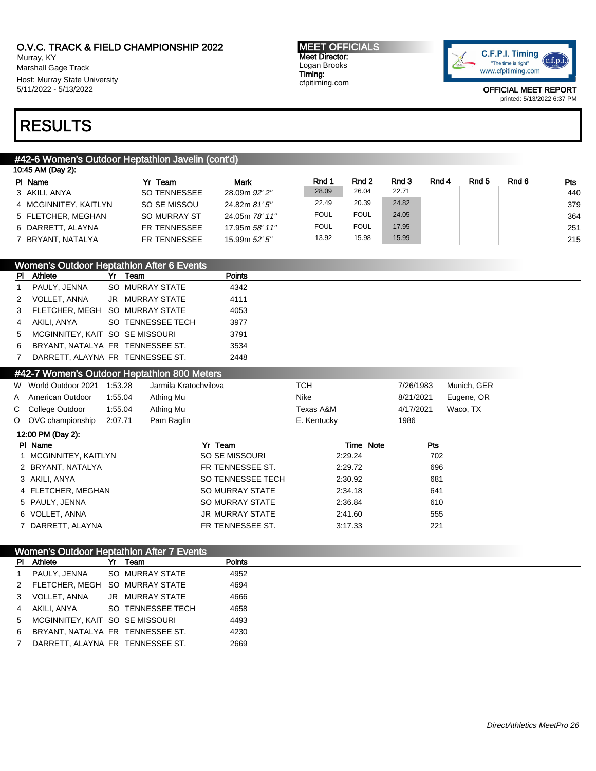Murray, KY Marshall Gage Track Host: Murray State University 5/11/2022 - 5/13/2022

#### MEET OFFICIALS Meet Director: Logan Brooks Timing: cfpitiming.com



OFFICIAL MEET REPORT printed: 5/13/2022 6:37 PM

# RESULTS

# #42-6 Women's Outdoor Heptathlon Javelin (cont'd)

| 10:45 AM (Day 2):     |                     |                |             |             |       |       |       |       |            |
|-----------------------|---------------------|----------------|-------------|-------------|-------|-------|-------|-------|------------|
| PI Name               | Yr Team             | Mark           | Rnd 1       | Rnd 2       | Rnd 3 | Rnd 4 | Rnd 5 | Rnd 6 | <b>Pts</b> |
| 3 AKILI, ANYA         | SO TENNESSEE        | 28.09m 92' 2"  | 28.09       | 26.04       | 22.71 |       |       |       | 440        |
| 4 MCGINNITEY, KAITLYN | SO SE MISSOU        | 24.82m 81' 5"  | 22.49       | 20.39       | 24.82 |       |       |       | 379        |
| 5 FLETCHER, MEGHAN    | <b>SO MURRAY ST</b> | 24.05m 78' 11" | <b>FOUL</b> | <b>FOUL</b> | 24.05 |       |       |       | 364        |
| 6 DARRETT, ALAYNA     | FR TENNESSEE        | 17.95m 58' 11" | <b>FOUL</b> | <b>FOUL</b> | 17.95 |       |       |       | 251        |
| 7 BRYANT, NATALYA     | FR TENNESSEE        | 15.99m 52' 5"  | 13.92       | 15.98       | 15.99 |       |       |       | 215        |

|    | <b>Women's Outdoor Heptathlon After 6 Events</b> |  |                        |               |  |  |  |
|----|--------------------------------------------------|--|------------------------|---------------|--|--|--|
| PI | Athlete                                          |  | Team                   | <b>Points</b> |  |  |  |
|    | PAULY, JENNA                                     |  | SO MURRAY STATE        | 4342          |  |  |  |
| 2  | <b>VOLLET, ANNA</b>                              |  | <b>JR MURRAY STATE</b> | 4111          |  |  |  |
| 3  | FLETCHER, MEGH SO MURRAY STATE                   |  |                        | 4053          |  |  |  |
|    | AKILI, ANYA                                      |  | SO TENNESSEE TECH      | 3977          |  |  |  |
| 5  | MCGINNITEY, KAIT SO SE MISSOURI                  |  |                        | 3791          |  |  |  |
|    |                                                  |  |                        |               |  |  |  |

| BRYANT, NATALYA FR TENNESSEE ST. |  | 3534 |
|----------------------------------|--|------|
| DARRETT, ALAYNA FR TENNESSEE ST. |  | 2448 |

| #42-7 Women's Outdoor Heptathlon 800 Meters |         |                       |             |           |             |  |
|---------------------------------------------|---------|-----------------------|-------------|-----------|-------------|--|
| W World Outdoor 2021                        | 1:53.28 | Jarmila Kratochvilova | тсн         | 7/26/1983 | Munich, GER |  |
| A American Outdoor                          | 1:55.04 | Athing Mu             | Nike        | 8/21/2021 | Eugene, OR  |  |
| C College Outdoor                           | 1:55.04 | Athing Mu             | Texas A&M   | 4/17/2021 | Waco, TX    |  |
| O OVC championship                          | 2:07.71 | Pam Raglin            | E. Kentucky | 1986      |             |  |

# 12:00 PM (Day 2):

| PI Name               | Yr Team           | Time Note | <b>Pts</b> |  |
|-----------------------|-------------------|-----------|------------|--|
| 1 MCGINNITEY, KAITLYN | SO SE MISSOURI    | 2:29.24   | 702        |  |
| 2 BRYANT, NATALYA     | FR TENNESSEE ST.  | 2:29.72   | 696        |  |
| 3 AKILI, ANYA         | SO TENNESSEE TECH | 2:30.92   | 681        |  |
| 4 FLETCHER, MEGHAN    | SO MURRAY STATE   | 2:34.18   | 641        |  |
| 5 PAULY, JENNA        | SO MURRAY STATE   | 2:36.84   | 610        |  |
| 6 VOLLET, ANNA        | JR MURRAY STATE   | 2:41.60   | 555        |  |
| 7 DARRETT, ALAYNA     | FR TENNESSEE ST.  | 3:17.33   | 221        |  |

## Women's Outdoor Heptathlon After 7 Events

| PI. | Athlete                          | Yr | Team              | <b>Points</b> |
|-----|----------------------------------|----|-------------------|---------------|
|     | PAULY, JENNA                     |    | SO MURRAY STATE   | 4952          |
|     | FLETCHER. MEGH SO MURRAY STATE   |    |                   | 4694          |
|     | VOLLET, ANNA                     |    | JR MURRAY STATE   | 4666          |
|     | AKILI. ANYA                      |    | SO TENNESSEE TECH | 4658          |
| 5   | MCGINNITEY, KAIT SO SE MISSOURI  |    |                   | 4493          |
| 6   | BRYANT, NATALYA FR TENNESSEE ST. |    |                   | 4230          |
|     | DARRETT, ALAYNA FR TENNESSEE ST. |    |                   | 2669          |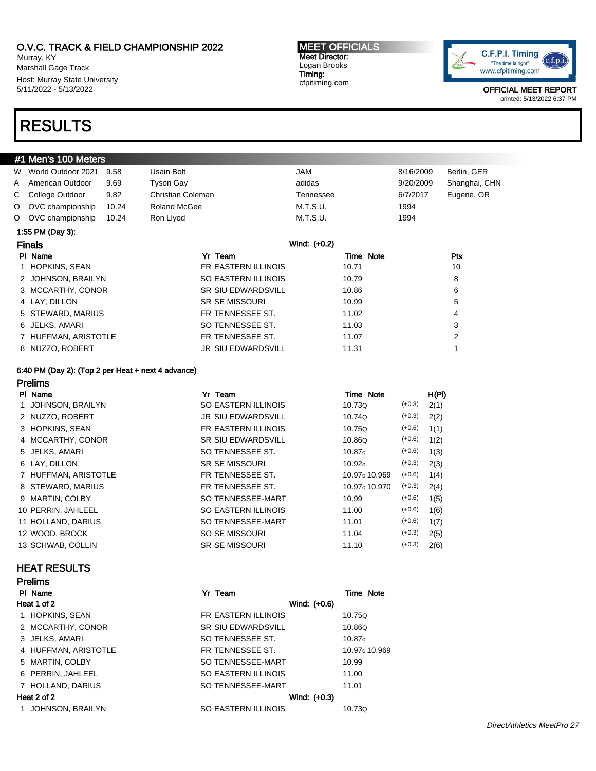Murray, KY Marshall Gage Track Host: Murray State University 5/11/2022 - 5/13/2022

#### MEET OFFICIALS Meet Director: Logan Brooks Timing: cfpitiming.com



OFFICIAL MEET REPORT printed: 5/13/2022 6:37 PM

# RESULTS

| #1 Men's 100 Meters |                      |       |                           |              |           |               |  |  |  |
|---------------------|----------------------|-------|---------------------------|--------------|-----------|---------------|--|--|--|
|                     | W World Outdoor 2021 | 9.58  | Usain Bolt                | <b>JAM</b>   | 8/16/2009 | Berlin, GER   |  |  |  |
| A                   | American Outdoor     | 9.69  | Tyson Gay                 | adidas       | 9/20/2009 | Shanghai, CHN |  |  |  |
| C                   | College Outdoor      | 9.82  | Christian Coleman         | Tennessee    | 6/7/2017  | Eugene, OR    |  |  |  |
| $\circ$             | OVC championship     | 10.24 | <b>Roland McGee</b>       | M.T.S.U.     | 1994      |               |  |  |  |
|                     | O OVC championship   | 10.24 | Ron Llyod                 | M.T.S.U.     | 1994      |               |  |  |  |
| 1:55 PM (Day 3):    |                      |       |                           |              |           |               |  |  |  |
|                     | <b>Finals</b>        |       |                           | Wind: (+0.2) |           |               |  |  |  |
|                     | PI Name              |       | Yr Team                   |              | Time Note | <b>Pts</b>    |  |  |  |
|                     | 1 HOPKINS, SEAN      |       | FR EASTERN ILLINOIS       | 10.71        |           | 10            |  |  |  |
|                     | 2 JOHNSON, BRAILYN   |       | SO EASTERN ILLINOIS       | 10.79        |           | 8             |  |  |  |
|                     | 3 MCCARTHY, CONOR    |       | <b>SR SIU EDWARDSVILL</b> | 10.86        |           | 6             |  |  |  |
|                     | 4 LAY, DILLON        |       | <b>SR SE MISSOURI</b>     | 10.99        |           | 5             |  |  |  |
|                     | 5 STEWARD, MARIUS    |       | FR TENNESSEE ST.          | 11.02        |           | 4             |  |  |  |
|                     | 6 JELKS, AMARI       |       | SO TENNESSEE ST.          | 11.03        |           | 3             |  |  |  |
|                     | HUFFMAN, ARISTOTLE   |       | FR TENNESSEE ST.          | 11.07        |           | 2             |  |  |  |
| 8 NUZZO, ROBERT     |                      |       | <b>JR SIU EDWARDSVILL</b> | 11.31        |           |               |  |  |  |

### 6:40 PM (Day 2): (Top 2 per Heat + next 4 advance)

Prelims

| PI Name              | Yr Team                   | Time Note                 |          | H(PI) |
|----------------------|---------------------------|---------------------------|----------|-------|
| 1 JOHNSON, BRAILYN   | SO EASTERN ILLINOIS       | 10.73Q                    | $(+0.3)$ | 2(1)  |
| 2 NUZZO, ROBERT      | <b>JR SIU EDWARDSVILL</b> | 10.74Q                    | $(+0.3)$ | 2(2)  |
| 3 HOPKINS, SEAN      | FR EASTERN ILLINOIS       | 10.75Q                    | $(+0.6)$ | 1(1)  |
| 4 MCCARTHY, CONOR    | <b>SR SIU EDWARDSVILL</b> | 10.86Q                    | $(+0.6)$ | 1(2)  |
| 5 JELKS, AMARI       | SO TENNESSEE ST.          | 10.87q                    | $(+0.6)$ | 1(3)  |
| 6 LAY, DILLON        | <b>SR SE MISSOURI</b>     | 10.92 <sub>g</sub>        | $(+0.3)$ | 2(3)  |
| 7 HUFFMAN, ARISTOTLE | FR TENNESSEE ST.          | 10.97 <sub>9</sub> 10.969 | $(+0.6)$ | 1(4)  |
| 8 STEWARD, MARIUS    | FR TENNESSEE ST.          | 10.97 <sub>9</sub> 10.970 | $(+0.3)$ | 2(4)  |
| 9 MARTIN, COLBY      | SO TENNESSEE-MART         | 10.99                     | $(+0.6)$ | 1(5)  |
| 10 PERRIN, JAHLEEL   | SO EASTERN ILLINOIS       | 11.00                     | $(+0.6)$ | 1(6)  |
| 11 HOLLAND, DARIUS   | SO TENNESSEE-MART         | 11.01                     | $(+0.6)$ | 1(7)  |
| 12 WOOD, BROCK       | SO SE MISSOURI            | 11.04                     | $(+0.3)$ | 2(5)  |
| 13 SCHWAB, COLLIN    | <b>SR SE MISSOURI</b>     | 11.10                     | $(+0.3)$ | 2(6)  |

# HEAT RESULTS

| <b>Prelims</b>       |                           |                    |
|----------------------|---------------------------|--------------------|
| PI Name              | Yr Team                   | Time Note          |
| Heat 1 of 2          | Wind: (+0.6)              |                    |
| HOPKINS, SEAN        | FR EASTERN ILLINOIS       | 10.75Q             |
| 2 MCCARTHY, CONOR    | <b>SR SIU EDWARDSVILL</b> | 10.86Q             |
| 3 JELKS, AMARI       | SO TENNESSEE ST.          | 10.87 <sub>q</sub> |
| 4 HUFFMAN, ARISTOTLE | FR TENNESSEE ST.          | 10.97q 10.969      |
| 5 MARTIN, COLBY      | SO TENNESSEE-MART         | 10.99              |
| 6 PERRIN, JAHLEEL    | SO EASTERN ILLINOIS       | 11.00              |
| 7 HOLLAND, DARIUS    | SO TENNESSEE-MART         | 11.01              |
| Heat 2 of 2          | Wind: $(+0.3)$            |                    |
| JOHNSON, BRAILYN     | SO EASTERN ILLINOIS       | 10.730             |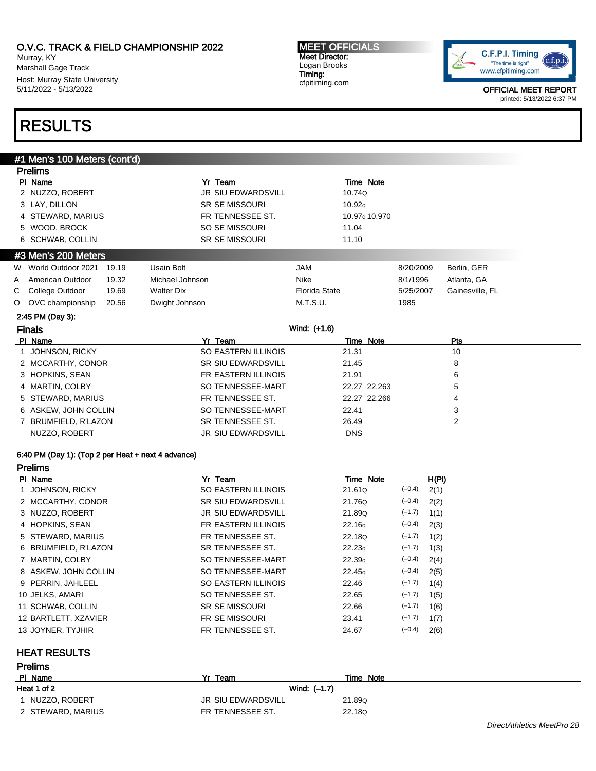Murray, KY Marshall Gage Track Host: Murray State University 5/11/2022 - 5/13/2022

#### MEET OFFICIALS Meet Director: Logan Brooks Timing: cfpitiming.com



OFFICIAL MEET REPORT printed: 5/13/2022 6:37 PM

# RESULTS

# #1 Men's 100 Meters (cont'd)

|                     | <b>Prelims</b>        |       |                   |                           |                      |                           |           |                 |  |
|---------------------|-----------------------|-------|-------------------|---------------------------|----------------------|---------------------------|-----------|-----------------|--|
|                     | PI Name               |       |                   | Yr Team                   |                      | Time Note                 |           |                 |  |
|                     | 2 NUZZO, ROBERT       |       |                   | <b>JR SIU EDWARDSVILL</b> | 10.74Q               |                           |           |                 |  |
|                     | 3 LAY, DILLON         |       |                   | <b>SR SE MISSOURI</b>     | 10.92q               |                           |           |                 |  |
|                     | 4 STEWARD, MARIUS     |       |                   | FR TENNESSEE ST.          |                      | 10.97 <sub>9</sub> 10.970 |           |                 |  |
|                     | 5 WOOD, BROCK         |       |                   | SO SE MISSOURI            | 11.04                |                           |           |                 |  |
|                     | 6 SCHWAB, COLLIN      |       |                   | <b>SR SE MISSOURI</b>     | 11.10                |                           |           |                 |  |
| #3 Men's 200 Meters |                       |       |                   |                           |                      |                           |           |                 |  |
| W.                  | World Outdoor 2021    | 19.19 | <b>Usain Bolt</b> |                           | <b>JAM</b>           |                           | 8/20/2009 | Berlin, GER     |  |
| A                   | American Outdoor      | 19.32 | Michael Johnson   |                           | Nike                 |                           | 8/1/1996  | Atlanta, GA     |  |
| С                   | College Outdoor       | 19.69 | <b>Walter Dix</b> |                           | <b>Florida State</b> |                           | 5/25/2007 | Gainesville, FL |  |
| O                   | OVC championship      | 20.56 | Dwight Johnson    |                           | M.T.S.U.             |                           | 1985      |                 |  |
|                     | 2:45 PM (Day 3):      |       |                   |                           |                      |                           |           |                 |  |
|                     | <b>Finals</b>         |       |                   |                           | Wind: (+1.6)         |                           |           |                 |  |
|                     | PI Name               |       |                   | Yr Team                   |                      | Time Note                 |           | Pts             |  |
|                     | <b>JOHNSON, RICKY</b> |       |                   | SO EASTERN ILLINOIS       | 21.31                |                           |           | 10              |  |
|                     | 2 MCCARTHY, CONOR     |       |                   | <b>SR SIU EDWARDSVILL</b> | 21.45                |                           |           | 8               |  |
| 3                   | HOPKINS, SEAN         |       |                   | FR EASTERN ILLINOIS       | 21.91                |                           |           | 6               |  |
|                     | 4 MARTIN, COLBY       |       |                   | SO TENNESSEE-MART         |                      | 22.27 22.263              |           | 5               |  |
| 5                   | STEWARD, MARIUS       |       |                   | FR TENNESSEE ST.          |                      | 22.27 22.266              |           | 4               |  |
|                     | 6 ASKEW, JOHN COLLIN  |       |                   | SO TENNESSEE-MART         | 22.41                |                           |           | 3               |  |
|                     | BRUMFIELD, R'LAZON    |       |                   | SR TENNESSEE ST.          | 26.49                |                           |           | 2               |  |
|                     | NUZZO, ROBERT         |       |                   | <b>JR SIU EDWARDSVILL</b> | <b>DNS</b>           |                           |           |                 |  |
|                     |                       |       |                   |                           |                      |                           |           |                 |  |

### 6:40 PM (Day 1): (Top 2 per Heat + next 4 advance)

| PI Name              | Yr Team                   | Time Note          |          | H(PI) |
|----------------------|---------------------------|--------------------|----------|-------|
| JOHNSON, RICKY       | SO EASTERN ILLINOIS       | 21.61Q             | $(-0.4)$ | 2(1)  |
| 2 MCCARTHY, CONOR    | <b>SR SIU EDWARDSVILL</b> | 21.76Q             | $(-0.4)$ | 2(2)  |
| 3 NUZZO, ROBERT      | <b>JR SIU EDWARDSVILL</b> | 21.89Q             | $(-1.7)$ | 1(1)  |
| 4 HOPKINS, SEAN      | FR EASTERN ILLINOIS       | 22.16 <sub>9</sub> | $(-0.4)$ | 2(3)  |
| 5 STEWARD, MARIUS    | FR TENNESSEE ST.          | 22.18Q             | $(-1.7)$ | 1(2)  |
| 6 BRUMFIELD, R'LAZON | SR TENNESSEE ST.          | 22.23q             | $(-1.7)$ | 1(3)  |
| 7 MARTIN, COLBY      | SO TENNESSEE-MART         | 22.39q             | $(-0.4)$ | 2(4)  |
| 8 ASKEW, JOHN COLLIN | SO TENNESSEE-MART         | 22.45q             | $(-0.4)$ | 2(5)  |
| 9 PERRIN, JAHLEEL    | SO EASTERN ILLINOIS       | 22.46              | $(-1.7)$ | 1(4)  |
| 10 JELKS, AMARI      | SO TENNESSEE ST.          | 22.65              | $(-1.7)$ | 1(5)  |
| 11 SCHWAB, COLLIN    | <b>SR SE MISSOURI</b>     | 22.66              | $(-1.7)$ | 1(6)  |
| 12 BARTLETT, XZAVIER | <b>FR SE MISSOURI</b>     | 23.41              | $(-1.7)$ | 1(7)  |
| 13 JOYNER, TYJHIR    | FR TENNESSEE ST.          | 24.67              | $(-0.4)$ | 2(6)  |

### HEAT RESULTS

| <b>Prelims</b>    |                    |           |
|-------------------|--------------------|-----------|
| PI Name           | Yr<br>Team         | Time Note |
| Heat 1 of 2       | Wind: (-1.7)       |           |
| NUZZO, ROBERT     | JR SIU EDWARDSVILL | 21.89Q    |
| 2 STEWARD, MARIUS | FR TENNESSEE ST.   | 22.18Q    |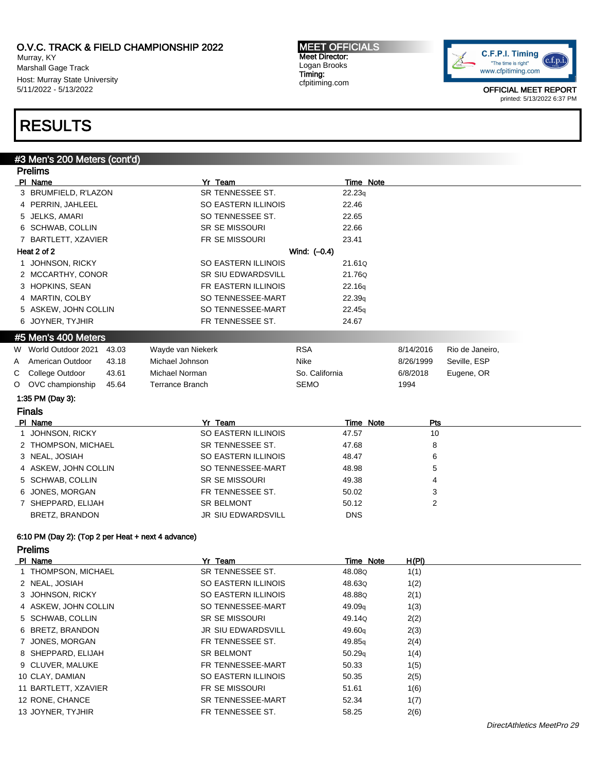Murray, KY Marshall Gage Track Host: Murray State University 5/11/2022 - 5/13/2022

MEET OFFICIALS Meet Director: Logan Brooks Timing: cfpitiming.com



OFFICIAL MEET REPORT printed: 5/13/2022 6:37 PM

# RESULTS

## #3 Men's 200 Meters (cont'd) Prelims Pl Name Time Note 2014 and 2015 and 2016 and 2017 and 2016 and 2017 and 2017 and 2017 and 2017 and 2017 and 20 3 BRUMFIELD, R'LAZON SR TENNESSEE ST. 22.23q 4 PERRIN, JAHLEEL SO EASTERN ILLINOIS 22.46 5 JELKS, AMARI SO TENNESSEE ST. 22.65 6 SCHWAB, COLLIN SR SE MISSOURI 22.66 7 BARTLETT, XZAVIER FR SE MISSOURI 23.41 Heat 2 of 2 Wind:  $(-0.4)$ 1 JOHNSON, RICKY SO EASTERN ILLINOIS 21.61Q 2 MCCARTHY, CONOR SR SIU EDWARDSVILL 21.76Q 3 HOPKINS, SEAN FR EASTERN ILLINOIS 22.16q 4 MARTIN, COLBY SO TENNESSEE-MART 22.39q 5 ASKEW, JOHN COLLIN SO TENNESSEE-MART 22.45q 6 JOYNER, TYJHIR FR TENNESSEE ST. 24.67 #5 Men's 400 Meters W World Outdoor 2021 43.03 Wayde van Niekerk RSA RSA 8/14/2016 Rio de Janeiro, A American Outdoor 43.18 Michael Johnson Nike Nike 8/26/1999 Seville, ESP C College Outdoor 43.61 Michael Norman So. California 6/8/2018 Eugene, OR O OVC championship 45.64 Terrance Branch SEMO 1994 1:35 PM (Day 3): Finals Pl Name Yr Team Time Note Pts 1 JOHNSON, RICKY SO EASTERN ILLINOIS 47.57 10 2 THOMPSON, MICHAEL SR TENNESSEE ST. 47.68 8 3 NEAL, JOSIAH 6 6 NO EASTERN ILLINOIS 48.47 4 ASKEW, JOHN COLLIN SO TENNESSEE-MART 48.98 5 5 SCHWAB, COLLIN SR SE MISSOURI 49.38 49.38 6 JONES, MORGAN **FR TENNESSEE ST.** 50.02 3 7 SHEPPARD, ELIJAH SR BELMONT 50.12 2 BRETZ, BRANDON DISCHARD UR SIU EDWARDSVILL DISCHARD DISCHARD DISCHARD UNIT 6:10 PM (Day 2): (Top 2 per Heat + next 4 advance) Prelims PI Name **Time Note** H(PI) Name **Yr Team Yr Team Time Note** H(PI) 1 THOMPSON, MICHAEL SR TENNESSEE ST. 48.08Q 1(1) 2 NEAL, JOSIAH SO EASTERN ILLINOIS 48.63Q 1(2)

| 1 THOMPSON, MICHAEL  | SR TENNESSEE ST.          | 48.08Q             | 1(1) |  |
|----------------------|---------------------------|--------------------|------|--|
| 2 NEAL, JOSIAH       | SO EASTERN ILLINOIS       | 48.630             | 1(2) |  |
| 3 JOHNSON, RICKY     | SO EASTERN ILLINOIS       | 48.88Q             | 2(1) |  |
| 4 ASKEW, JOHN COLLIN | SO TENNESSEE-MART         | 49.09 <sub>g</sub> | 1(3) |  |
| 5 SCHWAB, COLLIN     | <b>SR SE MISSOURI</b>     | 49.14Q             | 2(2) |  |
| 6 BRETZ, BRANDON     | <b>JR SIU EDWARDSVILL</b> | 49.60 <sub>a</sub> | 2(3) |  |
| 7 JONES, MORGAN      | FR TENNESSEE ST.          | 49.85 <sub>g</sub> | 2(4) |  |
| 8 SHEPPARD, ELIJAH   | <b>SR BELMONT</b>         | 50.29q             | 1(4) |  |
| 9 CLUVER, MALUKE     | FR TENNESSEE-MART         | 50.33              | 1(5) |  |
| 10 CLAY, DAMIAN      | SO EASTERN ILLINOIS       | 50.35              | 2(5) |  |
| 11 BARTLETT, XZAVIER | FR SE MISSOURI            | 51.61              | 1(6) |  |
| 12 RONE, CHANCE      | SR TENNESSEE-MART         | 52.34              | 1(7) |  |
| 13 JOYNER, TYJHIR    | FR TENNESSEE ST.          | 58.25              | 2(6) |  |
|                      |                           |                    |      |  |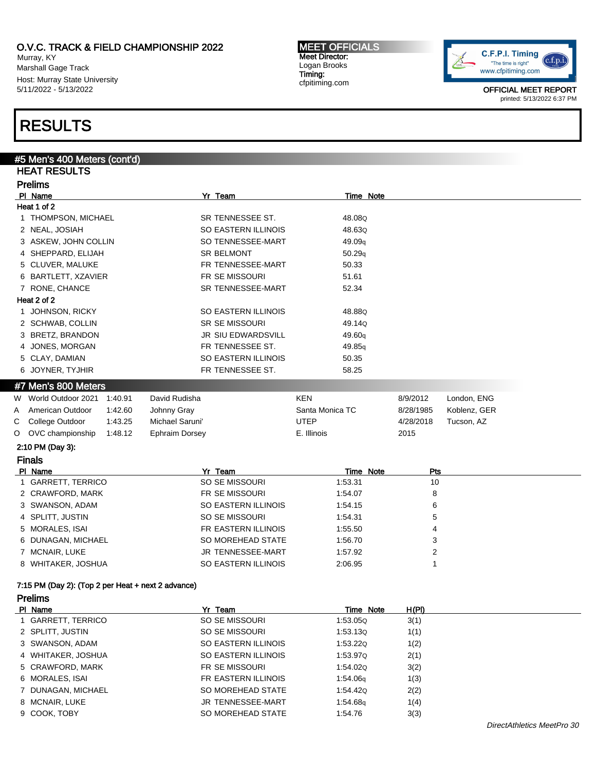Murray, KY Marshall Gage Track Host: Murray State University 5/11/2022 - 5/13/2022

#### MEET OFFICIALS Meet Director: Logan Brooks Timing: cfpitiming.com



OFFICIAL MEET REPORT printed: 5/13/2022 6:37 PM

# RESULTS

|                | #5 Men's 400 Meters (cont'd)                       |                           |                      |                  |              |  |  |
|----------------|----------------------------------------------------|---------------------------|----------------------|------------------|--------------|--|--|
|                | <b>HEAT RESULTS</b>                                |                           |                      |                  |              |  |  |
| <b>Prelims</b> |                                                    |                           |                      |                  |              |  |  |
|                | PI Name                                            | Yr Team                   | Time Note            |                  |              |  |  |
|                | Heat 1 of 2                                        |                           |                      |                  |              |  |  |
|                | 1 THOMPSON, MICHAEL                                | SR TENNESSEE ST.          | 48.08Q               |                  |              |  |  |
|                | 2 NEAL, JOSIAH                                     | SO EASTERN ILLINOIS       | 48.63Q               |                  |              |  |  |
|                | 3 ASKEW, JOHN COLLIN                               | SO TENNESSEE-MART         | 49.09q               |                  |              |  |  |
|                | 4 SHEPPARD, ELIJAH                                 | <b>SR BELMONT</b>         | 50.29q               |                  |              |  |  |
|                | 5 CLUVER, MALUKE                                   | FR TENNESSEE-MART         | 50.33                |                  |              |  |  |
|                | 6 BARTLETT, XZAVIER                                | FR SE MISSOURI            | 51.61                |                  |              |  |  |
|                | 7 RONE, CHANCE                                     | <b>SR TENNESSEE-MART</b>  | 52.34                |                  |              |  |  |
|                | Heat 2 of 2                                        |                           |                      |                  |              |  |  |
|                | 1 JOHNSON, RICKY                                   | SO EASTERN ILLINOIS       | 48.88Q               |                  |              |  |  |
|                | 2 SCHWAB, COLLIN                                   | <b>SR SE MISSOURI</b>     | 49.14Q               |                  |              |  |  |
|                | 3 BRETZ, BRANDON                                   | JR SIU EDWARDSVILL        | 49.60q               |                  |              |  |  |
|                | 4 JONES, MORGAN                                    | FR TENNESSEE ST.          | 49.85q               |                  |              |  |  |
|                | 5 CLAY, DAMIAN                                     | SO EASTERN ILLINOIS       | 50.35                |                  |              |  |  |
|                | 6 JOYNER, TYJHIR                                   | FR TENNESSEE ST.          | 58.25                |                  |              |  |  |
|                | #7 Men's 800 Meters                                |                           |                      |                  |              |  |  |
| W              | World Outdoor 2021 1:40.91                         | David Rudisha             | <b>KEN</b>           | 8/9/2012         | London, ENG  |  |  |
| A              | American Outdoor<br>1:42.60                        | Johnny Gray               | Santa Monica TC      | 8/28/1985        | Koblenz, GER |  |  |
| С              | College Outdoor<br>1:43.25                         | Michael Saruni'           | <b>UTEP</b>          | 4/28/2018        | Tucson, AZ   |  |  |
| O              | OVC championship<br>1:48.12                        | <b>Ephraim Dorsey</b>     | E. Illinois          | 2015             |              |  |  |
|                |                                                    |                           |                      |                  |              |  |  |
|                |                                                    |                           |                      |                  |              |  |  |
|                | 2:10 PM (Day 3):                                   |                           |                      |                  |              |  |  |
|                | <b>Finals</b>                                      |                           |                      |                  |              |  |  |
|                | PI Name<br>1 GARRETT, TERRICO                      | Yr Team<br>SO SE MISSOURI | Time Note<br>1:53.31 | <b>Pts</b><br>10 |              |  |  |
|                | 2 CRAWFORD, MARK                                   | FR SE MISSOURI            | 1:54.07              | 8                |              |  |  |
|                |                                                    | SO EASTERN ILLINOIS       | 1:54.15              | 6                |              |  |  |
|                | 3 SWANSON, ADAM<br>4 SPLITT, JUSTIN                | SO SE MISSOURI            | 1:54.31              | 5                |              |  |  |
|                | 5 MORALES, ISAI                                    | FR EASTERN ILLINOIS       | 1:55.50              | 4                |              |  |  |
|                |                                                    |                           |                      | 3                |              |  |  |
|                | 6 DUNAGAN, MICHAEL<br>7 MCNAIR, LUKE               | SO MOREHEAD STATE         | 1:56.70              |                  |              |  |  |
|                |                                                    | JR TENNESSEE-MART         | 1:57.92              | 2<br>1           |              |  |  |
|                | 8 WHITAKER, JOSHUA                                 | SO EASTERN ILLINOIS       | 2:06.95              |                  |              |  |  |
|                | 7:15 PM (Day 2): (Top 2 per Heat + next 2 advance) |                           |                      |                  |              |  |  |
|                | <b>Prelims</b>                                     |                           |                      |                  |              |  |  |
|                | PI Name                                            | Yr Team                   | Time Note            | H(PI)            |              |  |  |
|                | 1 GARRETT, TERRICO                                 | SO SE MISSOURI            | 1:53.05Q             | 3(1)             |              |  |  |
|                | 2 SPLITT, JUSTIN                                   | SO SE MISSOURI            | 1:53.130             | 1(1)             |              |  |  |
|                | 3 SWANSON, ADAM                                    | SO EASTERN ILLINOIS       | 1:53.22Q             | 1(2)             |              |  |  |
|                | 4 WHITAKER, JOSHUA                                 | SO EASTERN ILLINOIS       | 1:53.97Q             | 2(1)             |              |  |  |
|                | 5 CRAWFORD, MARK                                   | FR SE MISSOURI            | 1:54.02Q             | 3(2)             |              |  |  |
|                | 6 MORALES, ISAI                                    | FR EASTERN ILLINOIS       | 1:54.06q             | 1(3)             |              |  |  |
|                | 7 DUNAGAN, MICHAEL                                 | SO MOREHEAD STATE         | 1:54.42Q             | 2(2)             |              |  |  |
|                | 8 MCNAIR, LUKE                                     | JR TENNESSEE-MART         | 1:54.68q             | 1(4)             |              |  |  |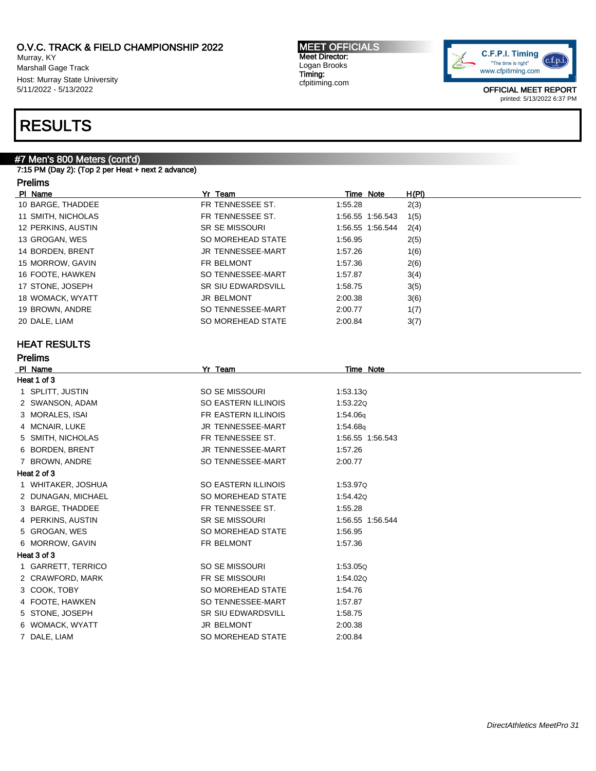Murray, KY Marshall Gage Track Host: Murray State University 5/11/2022 - 5/13/2022

# RESULTS

# #7 Men's 800 Meters (cont'd)

7:15 PM (Day 2): (Top 2 per Heat + next 2 advance)

# Prelims

| PI Name            | Yr Team                   | Time Note        | H(PI) |
|--------------------|---------------------------|------------------|-------|
| 10 BARGE, THADDEE  | FR TENNESSEE ST.          | 1:55.28          | 2(3)  |
| 11 SMITH, NICHOLAS | FR TENNESSEE ST.          | 1:56.55 1:56.543 | 1(5)  |
| 12 PERKINS, AUSTIN | <b>SR SE MISSOURI</b>     | 1:56.55 1:56.544 | 2(4)  |
| 13 GROGAN, WES     | SO MOREHEAD STATE         | 1:56.95          | 2(5)  |
| 14 BORDEN, BRENT   | JR TENNESSEE-MART         | 1:57.26          | 1(6)  |
| 15 MORROW, GAVIN   | FR BELMONT                | 1:57.36          | 2(6)  |
| 16 FOOTE, HAWKEN   | SO TENNESSEE-MART         | 1:57.87          | 3(4)  |
| 17 STONE, JOSEPH   | <b>SR SIU EDWARDSVILL</b> | 1:58.75          | 3(5)  |
| 18 WOMACK, WYATT   | <b>JR BELMONT</b>         | 2:00.38          | 3(6)  |
| 19 BROWN, ANDRE    | SO TENNESSEE-MART         | 2:00.77          | 1(7)  |
| 20 DALE, LIAM      | SO MOREHEAD STATE         | 2:00.84          | 3(7)  |

# HEAT RESULTS

| <b>Prelims</b>      |                           |                  |  |  |  |  |
|---------------------|---------------------------|------------------|--|--|--|--|
| PI Name             | Yr Team                   | Time Note        |  |  |  |  |
| Heat 1 of 3         |                           |                  |  |  |  |  |
| 1 SPLITT, JUSTIN    | SO SE MISSOURI            | 1:53.130         |  |  |  |  |
| 2 SWANSON, ADAM     | SO EASTERN ILLINOIS       | 1:53.220         |  |  |  |  |
| 3 MORALES, ISAI     | FR EASTERN ILLINOIS       | 1:54.06g         |  |  |  |  |
| 4 MCNAIR, LUKE      | JR TENNESSEE-MART         | 1:54.68g         |  |  |  |  |
| 5 SMITH, NICHOLAS   | FR TENNESSEE ST.          | 1:56.55 1:56.543 |  |  |  |  |
| 6 BORDEN, BRENT     | <b>JR TENNESSEE-MART</b>  | 1:57.26          |  |  |  |  |
| <b>BROWN, ANDRE</b> | SO TENNESSEE-MART         | 2:00.77          |  |  |  |  |
| Heat 2 of 3         |                           |                  |  |  |  |  |
| 1 WHITAKER, JOSHUA  | SO EASTERN ILLINOIS       | 1:53.97Q         |  |  |  |  |
| 2 DUNAGAN, MICHAEL  | SO MOREHEAD STATE         | 1:54.42Q         |  |  |  |  |
| 3 BARGE, THADDEE    | FR TENNESSEE ST.          | 1:55.28          |  |  |  |  |
| 4 PERKINS, AUSTIN   | <b>SR SE MISSOURI</b>     | 1:56.55 1:56.544 |  |  |  |  |
| 5 GROGAN, WES       | SO MOREHEAD STATE         | 1:56.95          |  |  |  |  |
| 6 MORROW, GAVIN     | FR BELMONT                | 1:57.36          |  |  |  |  |
| Heat 3 of 3         |                           |                  |  |  |  |  |
| 1 GARRETT, TERRICO  | SO SE MISSOURI            | 1:53.05Q         |  |  |  |  |
| 2 CRAWFORD, MARK    | <b>FR SE MISSOURI</b>     | 1:54.020         |  |  |  |  |
| 3 COOK, TOBY        | SO MOREHEAD STATE         | 1:54.76          |  |  |  |  |
| 4 FOOTE, HAWKEN     | SO TENNESSEE-MART         | 1:57.87          |  |  |  |  |
| 5 STONE, JOSEPH     | <b>SR SIU EDWARDSVILL</b> | 1:58.75          |  |  |  |  |
| 6 WOMACK, WYATT     | <b>JR BELMONT</b>         | 2:00.38          |  |  |  |  |
| 7 DALE, LIAM        | SO MOREHEAD STATE         | 2:00.84          |  |  |  |  |

MEET OFFICIALS Meet Director: Logan Brooks Timing: cfpitiming.com

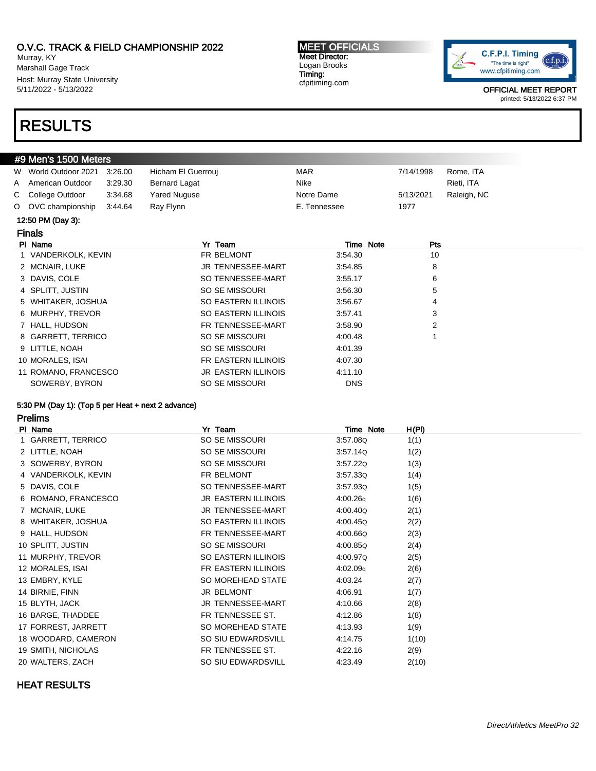Murray, KY Marshall Gage Track Host: Murray State University 5/11/2022 - 5/13/2022

# RESULTS

#### MEET OFFICIALS Meet Director: Logan Brooks Timing: cfpitiming.com



OFFICIAL MEET REPORT printed: 5/13/2022 6:37 PM

| #9 Men's 1500 Meters |                      |         |                            |              |           |             |  |
|----------------------|----------------------|---------|----------------------------|--------------|-----------|-------------|--|
|                      | W World Outdoor 2021 | 3:26.00 | Hicham El Guerrouj         | <b>MAR</b>   | 7/14/1998 | Rome, ITA   |  |
| A                    | American Outdoor     | 3:29.30 | <b>Bernard Lagat</b>       | Nike         |           | Rieti, ITA  |  |
|                      | C College Outdoor    | 3:34.68 | Yared Nuguse               | Notre Dame   | 5/13/2021 | Raleigh, NC |  |
|                      | O OVC championship   | 3:44.64 | Ray Flynn                  | E. Tennessee | 1977      |             |  |
|                      | 12:50 PM (Day 3):    |         |                            |              |           |             |  |
|                      | <b>Finals</b>        |         |                            |              |           |             |  |
|                      | PI Name              |         | Yr Team                    | Time Note    | Pts       |             |  |
|                      | 1 VANDERKOLK, KEVIN  |         | FR BELMONT                 | 3:54.30      | 10        |             |  |
|                      | 2 MCNAIR, LUKE       |         | JR TENNESSEE-MART          | 3:54.85      | 8         |             |  |
|                      | 3 DAVIS, COLE        |         | SO TENNESSEE-MART          | 3:55.17      | 6         |             |  |
|                      | 4 SPLITT, JUSTIN     |         | SO SE MISSOURI             | 3:56.30      | 5         |             |  |
|                      | 5 WHITAKER, JOSHUA   |         | SO EASTERN ILLINOIS        | 3:56.67      | 4         |             |  |
|                      | 6 MURPHY, TREVOR     |         | SO EASTERN ILLINOIS        | 3:57.41      | 3         |             |  |
|                      | 7 HALL, HUDSON       |         | FR TENNESSEE-MART          | 3:58.90      | 2         |             |  |
|                      | 8 GARRETT, TERRICO   |         | SO SE MISSOURI             | 4:00.48      |           |             |  |
|                      | 9 LITTLE, NOAH       |         | SO SE MISSOURI             | 4:01.39      |           |             |  |
|                      | 10 MORALES, ISAI     |         | FR EASTERN ILLINOIS        | 4:07.30      |           |             |  |
|                      | 11 ROMANO, FRANCESCO |         | <b>JR EASTERN ILLINOIS</b> | 4:11.10      |           |             |  |
|                      | SOWERBY, BYRON       |         | SO SE MISSOURI             | <b>DNS</b>   |           |             |  |

### 5:30 PM (Day 1): (Top 5 per Heat + next 2 advance)

Prelims

| PI Name             | Yr Team                    | Time Note | H(PI) |
|---------------------|----------------------------|-----------|-------|
| 1 GARRETT, TERRICO  | SO SE MISSOURI             | 3:57.08Q  | 1(1)  |
| 2 LITTLE, NOAH      | SO SE MISSOURI             | 3.57.14Q  | 1(2)  |
| 3 SOWERBY, BYRON    | SO SE MISSOURI             | 3.57.22Q  | 1(3)  |
| 4 VANDERKOLK, KEVIN | FR BELMONT                 | 3.57.33Q  | 1(4)  |
| 5 DAVIS, COLE       | SO TENNESSEE-MART          | 3.57.93Q  | 1(5)  |
| 6 ROMANO, FRANCESCO | <b>JR EASTERN ILLINOIS</b> | 4:00.26q  | 1(6)  |
| 7 MCNAIR, LUKE      | JR TENNESSEE-MART          | 4:00.40Q  | 2(1)  |
| 8 WHITAKER, JOSHUA  | SO EASTERN ILLINOIS        | 4:00.45Q  | 2(2)  |
| 9 HALL, HUDSON      | FR TENNESSEE-MART          | 4:00.66Q  | 2(3)  |
| 10 SPLITT, JUSTIN   | SO SE MISSOURI             | 4:00.85Q  | 2(4)  |
| 11 MURPHY, TREVOR   | SO EASTERN ILLINOIS        | 4:00.97Q  | 2(5)  |
| 12 MORALES, ISAI    | FR EASTERN ILLINOIS        | 4:02.09q  | 2(6)  |
| 13 EMBRY, KYLE      | SO MOREHEAD STATE          | 4:03.24   | 2(7)  |
| 14 BIRNIE, FINN     | <b>JR BELMONT</b>          | 4:06.91   | 1(7)  |
| 15 BLYTH, JACK      | JR TENNESSEE-MART          | 4:10.66   | 2(8)  |
| 16 BARGE, THADDEE   | FR TENNESSEE ST.           | 4:12.86   | 1(8)  |
| 17 FORREST, JARRETT | SO MOREHEAD STATE          | 4:13.93   | 1(9)  |
| 18 WOODARD, CAMERON | SO SIU EDWARDSVILL         | 4:14.75   | 1(10) |
| 19 SMITH, NICHOLAS  | FR TENNESSEE ST.           | 4:22.16   | 2(9)  |
| 20 WALTERS, ZACH    | SO SIU EDWARDSVILL         | 4:23.49   | 2(10) |
|                     |                            |           |       |

### HEAT RESULTS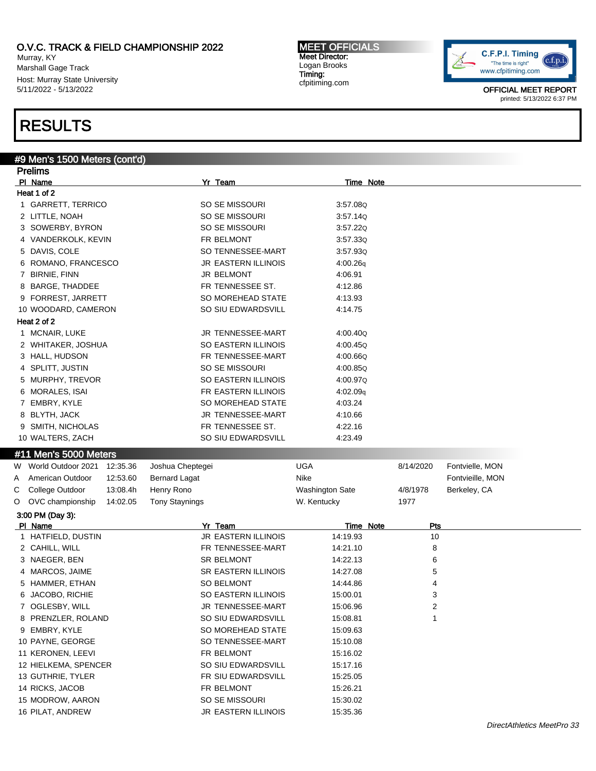Murray, KY Marshall Gage Track Host: Murray State University 5/11/2022 - 5/13/2022

### MEET OFFICIALS Meet Director: Logan Brooks Timing: cfpitiming.com



OFFICIAL MEET REPORT printed: 5/13/2022 6:37 PM

# RESULTS

# #9 Men's 1500 Meters (cont'd)

| <b>Prelims</b>      |                                      |                  |                                       |                        |           |                  |  |  |  |  |
|---------------------|--------------------------------------|------------------|---------------------------------------|------------------------|-----------|------------------|--|--|--|--|
|                     | PI Name                              |                  | Yr Team                               | <b>Time Note</b>       |           |                  |  |  |  |  |
|                     | Heat 1 of 2                          |                  |                                       |                        |           |                  |  |  |  |  |
| 1 GARRETT, TERRICO  |                                      |                  | SO SE MISSOURI                        | 3:57.08Q               |           |                  |  |  |  |  |
|                     | 2 LITTLE, NOAH                       |                  | SO SE MISSOURI                        | 3:57.14Q               |           |                  |  |  |  |  |
| 3 SOWERBY, BYRON    |                                      |                  | SO SE MISSOURI                        | 3:57.22Q               |           |                  |  |  |  |  |
| 4 VANDERKOLK, KEVIN |                                      |                  | FR BELMONT                            | 3.57.33Q               |           |                  |  |  |  |  |
|                     | 5 DAVIS, COLE                        |                  | SO TENNESSEE-MART                     | 3:57.93Q               |           |                  |  |  |  |  |
|                     | 6 ROMANO, FRANCESCO                  |                  | <b>JR EASTERN ILLINOIS</b>            | 4:00.26q               |           |                  |  |  |  |  |
|                     | 7 BIRNIE, FINN                       |                  | <b>JR BELMONT</b>                     | 4:06.91                |           |                  |  |  |  |  |
|                     | 8 BARGE, THADDEE                     |                  | FR TENNESSEE ST.                      | 4:12.86                |           |                  |  |  |  |  |
|                     | 9 FORREST, JARRETT                   |                  | SO MOREHEAD STATE                     | 4:13.93                |           |                  |  |  |  |  |
|                     | 10 WOODARD, CAMERON                  |                  | SO SIU EDWARDSVILL                    | 4:14.75                |           |                  |  |  |  |  |
|                     | Heat 2 of 2                          |                  |                                       |                        |           |                  |  |  |  |  |
|                     | 1 MCNAIR, LUKE                       |                  | JR TENNESSEE-MART                     | 4:00.40Q               |           |                  |  |  |  |  |
|                     | 2 WHITAKER, JOSHUA                   |                  | SO EASTERN ILLINOIS                   | 4:00.45Q               |           |                  |  |  |  |  |
|                     | 3 HALL, HUDSON                       |                  | FR TENNESSEE-MART                     | 4:00.66Q               |           |                  |  |  |  |  |
|                     | 4 SPLITT, JUSTIN                     |                  | SO SE MISSOURI                        | 4:00.85Q               |           |                  |  |  |  |  |
|                     | 5 MURPHY, TREVOR                     |                  | SO EASTERN ILLINOIS                   | 4:00.97Q               |           |                  |  |  |  |  |
|                     | 6 MORALES, ISAI                      |                  | FR EASTERN ILLINOIS                   | 4:02.09q               |           |                  |  |  |  |  |
|                     | 7 EMBRY, KYLE                        |                  | SO MOREHEAD STATE                     | 4:03.24                |           |                  |  |  |  |  |
|                     | 8 BLYTH, JACK                        |                  | JR TENNESSEE-MART                     | 4:10.66                |           |                  |  |  |  |  |
|                     | 9 SMITH, NICHOLAS                    |                  | FR TENNESSEE ST.                      | 4:22.16                |           |                  |  |  |  |  |
|                     | 10 WALTERS, ZACH                     |                  | SO SIU EDWARDSVILL                    | 4:23.49                |           |                  |  |  |  |  |
|                     | #11 Men's 5000 Meters                |                  |                                       |                        |           |                  |  |  |  |  |
| W                   | World Outdoor 2021                   | 12:35.36         | Joshua Cheptegei                      | <b>UGA</b>             | 8/14/2020 | Fontvielle, MON  |  |  |  |  |
| Α                   | American Outdoor                     | 12:53.60         | <b>Bernard Lagat</b>                  | Nike                   |           | Fontvieille, MON |  |  |  |  |
| С                   | College Outdoor                      | 13:08.4h         | Henry Rono                            |                        | 4/8/1978  | Berkeley, CA     |  |  |  |  |
|                     |                                      |                  |                                       | <b>Washington Sate</b> | 1977      |                  |  |  |  |  |
| O                   | OVC championship                     | 14:02.05         | <b>Tony Staynings</b>                 | W. Kentucky            |           |                  |  |  |  |  |
|                     | PI Name                              | 3:00 PM (Day 3): |                                       |                        |           |                  |  |  |  |  |
|                     |                                      |                  |                                       |                        |           |                  |  |  |  |  |
|                     |                                      |                  | Yr Team                               | Time Note              | Pts       |                  |  |  |  |  |
|                     | 1 HATFIELD, DUSTIN                   |                  | JR EASTERN ILLINOIS                   | 14:19.93               | 10        |                  |  |  |  |  |
|                     | 2 CAHILL, WILL                       |                  | FR TENNESSEE-MART                     | 14:21.10               | 8         |                  |  |  |  |  |
|                     | 3 NAEGER, BEN                        |                  | <b>SR BELMONT</b>                     | 14:22.13               | 6         |                  |  |  |  |  |
|                     | 4 MARCOS, JAIME                      |                  | SR EASTERN ILLINOIS                   | 14:27.08               | 5         |                  |  |  |  |  |
|                     | 5 HAMMER, ETHAN                      |                  | <b>SO BELMONT</b>                     | 14:44.86               | 4         |                  |  |  |  |  |
|                     | 6 JACOBO, RICHIE                     |                  | SO EASTERN ILLINOIS                   | 15:00.01               | 3         |                  |  |  |  |  |
|                     | 7 OGLESBY, WILL                      |                  | JR TENNESSEE-MART                     | 15:06.96               | 2         |                  |  |  |  |  |
|                     | 8 PRENZLER, ROLAND                   |                  | SO SIU EDWARDSVILL                    | 15:08.81               | 1         |                  |  |  |  |  |
|                     | 9 EMBRY, KYLE                        |                  | SO MOREHEAD STATE                     | 15:09.63               |           |                  |  |  |  |  |
|                     | 10 PAYNE, GEORGE                     |                  | SO TENNESSEE-MART                     | 15:10.08               |           |                  |  |  |  |  |
|                     | 11 KERONEN, LEEVI                    |                  | FR BELMONT                            | 15:16.02               |           |                  |  |  |  |  |
|                     | 12 HIELKEMA, SPENCER                 |                  | SO SIU EDWARDSVILL                    | 15:17.16               |           |                  |  |  |  |  |
|                     | 13 GUTHRIE, TYLER                    |                  | FR SIU EDWARDSVILL                    | 15:25.05               |           |                  |  |  |  |  |
|                     | 14 RICKS, JACOB                      |                  | FR BELMONT                            | 15:26.21               |           |                  |  |  |  |  |
|                     | 15 MODROW, AARON<br>16 PILAT, ANDREW |                  | SO SE MISSOURI<br>JR EASTERN ILLINOIS | 15:30.02<br>15:35.36   |           |                  |  |  |  |  |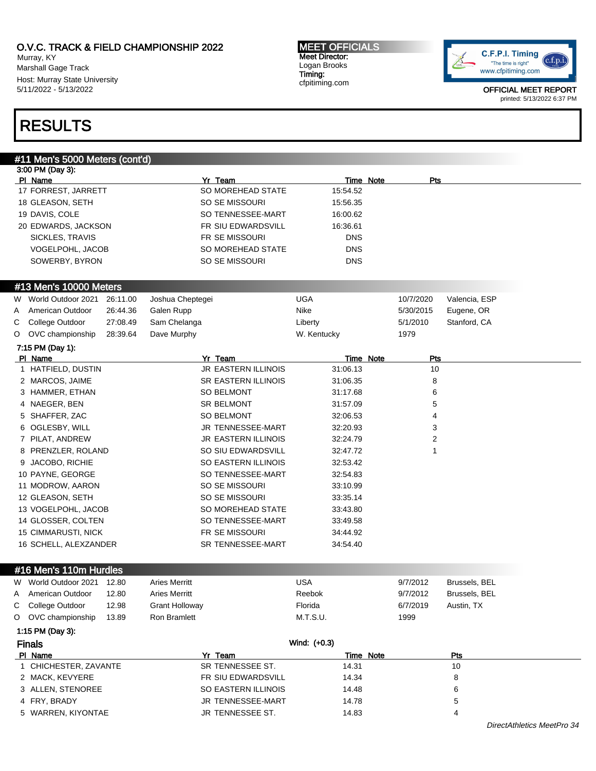Murray, KY Marshall Gage Track Host: Murray State University 5/11/2022 - 5/13/2022

MEET OFFICIALS Meet Director: Logan Brooks Timing: cfpitiming.com



OFFICIAL MEET REPORT printed: 5/13/2022 6:37 PM

# RESULTS

# #11 Men's 5000 Meters (cont'd)

|                     | 3:00 PM (Day 3):           |          |                       |                            |              |           |           |               |
|---------------------|----------------------------|----------|-----------------------|----------------------------|--------------|-----------|-----------|---------------|
|                     | PI Name                    |          |                       | Yr Team                    |              | Time Note | Pts       |               |
|                     | 17 FORREST, JARRETT        |          |                       | SO MOREHEAD STATE          | 15:54.52     |           |           |               |
|                     | 18 GLEASON, SETH           |          |                       | SO SE MISSOURI             | 15:56.35     |           |           |               |
|                     | 19 DAVIS, COLE             |          |                       | SO TENNESSEE-MART          | 16:00.62     |           |           |               |
| 20 EDWARDS, JACKSON |                            |          | FR SIU EDWARDSVILL    | 16:36.61                   |              |           |           |               |
|                     | SICKLES, TRAVIS            |          |                       | FR SE MISSOURI             | <b>DNS</b>   |           |           |               |
|                     | VOGELPOHL, JACOB           |          |                       | SO MOREHEAD STATE          | <b>DNS</b>   |           |           |               |
|                     | SOWERBY, BYRON             |          |                       | SO SE MISSOURI             | <b>DNS</b>   |           |           |               |
|                     |                            |          |                       |                            |              |           |           |               |
|                     | #13 Men's 10000 Meters     |          |                       |                            |              |           |           |               |
| W                   | World Outdoor 2021         | 26:11.00 | Joshua Cheptegei      |                            | <b>UGA</b>   |           | 10/7/2020 | Valencia, ESP |
| A                   | American Outdoor           | 26:44.36 | Galen Rupp            |                            | Nike         |           | 5/30/2015 | Eugene, OR    |
| С                   | College Outdoor            | 27:08.49 | Sam Chelanga          |                            | Liberty      |           | 5/1/2010  | Stanford, CA  |
| O                   | OVC championship           | 28:39.64 | Dave Murphy           |                            | W. Kentucky  |           | 1979      |               |
|                     | 7:15 PM (Day 1):           |          |                       |                            |              |           |           |               |
|                     | PI Name                    |          |                       | Yr Team                    |              | Time Note | Pts       |               |
|                     | 1 HATFIELD, DUSTIN         |          |                       | <b>JR EASTERN ILLINOIS</b> | 31:06.13     |           | 10        |               |
|                     | 2 MARCOS, JAIME            |          |                       | SR EASTERN ILLINOIS        | 31:06.35     |           | 8         |               |
|                     | 3 HAMMER, ETHAN            |          |                       | <b>SO BELMONT</b>          | 31:17.68     |           | 6         |               |
|                     | 4 NAEGER, BEN              |          |                       | <b>SR BELMONT</b>          | 31:57.09     |           | 5         |               |
|                     | 5 SHAFFER, ZAC             |          |                       | <b>SO BELMONT</b>          | 32:06.53     |           | 4         |               |
|                     | 6 OGLESBY, WILL            |          |                       | JR TENNESSEE-MART          | 32:20.93     |           | 3         |               |
|                     | 7 PILAT, ANDREW            |          |                       | <b>JR EASTERN ILLINOIS</b> | 32:24.79     |           | 2         |               |
|                     | 8 PRENZLER, ROLAND         |          |                       | SO SIU EDWARDSVILL         | 32:47.72     |           | 1         |               |
| 9                   | <b>JACOBO, RICHIE</b>      |          |                       | SO EASTERN ILLINOIS        | 32:53.42     |           |           |               |
|                     | 10 PAYNE, GEORGE           |          |                       | SO TENNESSEE-MART          | 32:54.83     |           |           |               |
|                     | 11 MODROW, AARON           |          |                       | SO SE MISSOURI             | 33:10.99     |           |           |               |
|                     | 12 GLEASON, SETH           |          |                       | SO SE MISSOURI             | 33:35.14     |           |           |               |
|                     | 13 VOGELPOHL, JACOB        |          |                       | SO MOREHEAD STATE          | 33:43.80     |           |           |               |
|                     | 14 GLOSSER, COLTEN         |          |                       | SO TENNESSEE-MART          | 33:49.58     |           |           |               |
|                     | <b>15 CIMMARUSTI, NICK</b> |          |                       | FR SE MISSOURI             | 34:44.92     |           |           |               |
|                     | 16 SCHELL, ALEXZANDER      |          |                       | SR TENNESSEE-MART          | 34:54.40     |           |           |               |
|                     |                            |          |                       |                            |              |           |           |               |
|                     | #16 Men's 110m Hurdles     |          |                       |                            |              |           |           |               |
| W                   | World Outdoor 2021         | 12.80    | Aries Merritt         |                            | <b>USA</b>   |           | 9/7/2012  | Brussels, BEL |
| Α                   | American Outdoor           | 12.80    | Aries Merritt         |                            | Reebok       |           | 9/7/2012  | Brussels, BEL |
| C                   | College Outdoor            | 12.98    | <b>Grant Holloway</b> |                            | Florida      |           | 6/7/2019  | Austin, TX    |
|                     | O OVC championship         | 13.89    | <b>Ron Bramlett</b>   |                            | M.T.S.U.     |           | 1999      |               |
|                     | 1:15 PM (Day 3):           |          |                       |                            |              |           |           |               |
|                     | <b>Finals</b>              |          |                       |                            | Wind: (+0.3) |           |           |               |
|                     | PI Name                    |          |                       | Yr Team                    |              | Time Note |           | <b>Pts</b>    |
|                     | 1 CHICHESTER, ZAVANTE      |          |                       | SR TENNESSEE ST.           | 14.31        |           |           | 10            |
|                     | <b>O MACK KEINEDE</b>      |          |                       | <b>CD CULEDWADDOWIL</b>    | 1101         |           |           | $\Omega$      |

| 5 WARREN, KIYONTAE | JR TENNESSEE ST.         | 14.83 |   |  |
|--------------------|--------------------------|-------|---|--|
| 4 FRY. BRADY       | <b>JR TENNESSEE-MART</b> | 14.78 | ∽ |  |
| 3 ALLEN. STENOREE  | SO EASTERN ILLINOIS      | 14.48 |   |  |
| 2 MACK. KEVYERE    | FR SIU EDWARDSVILL       | 14.34 |   |  |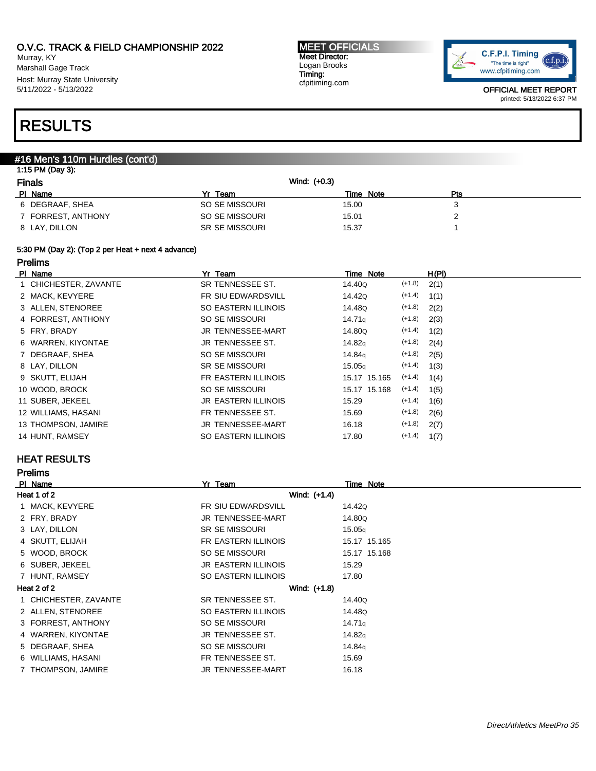Murray, KY Marshall Gage Track Host: Murray State University 5/11/2022 - 5/13/2022

#### MEET OFFICIALS Meet Director: Logan Brooks Timing: cfpitiming.com



OFFICIAL MEET REPORT printed: 5/13/2022 6:37 PM

# RESULTS

### #16 Men's 110m Hurdles (cont'd)

| Wind: (+0.3) |                                                                      |           |
|--------------|----------------------------------------------------------------------|-----------|
|              | Pts                                                                  |           |
| 15.00        | J                                                                    |           |
| 15.01        |                                                                      |           |
| 15.37        |                                                                      |           |
|              | Yr Team<br>SO SE MISSOURI<br>SO SE MISSOURI<br><b>SR SE MISSOURI</b> | Time Note |

## 5:30 PM (Day 2): (Top 2 per Heat + next 4 advance)

### Prelims

| PI Name               | Yr Team               | Time Note                      | H(PI) |
|-----------------------|-----------------------|--------------------------------|-------|
| 1 CHICHESTER, ZAVANTE | SR TENNESSEE ST.      | $(+1.8)$<br>14.40Q             | 2(1)  |
| 2 MACK, KEVYERE       | FR SIU EDWARDSVILL    | $(+1.4)$<br>14.42Q             | 1(1)  |
| 3 ALLEN, STENOREE     | SO EASTERN ILLINOIS   | $(+1.8)$<br>14.48Q             | 2(2)  |
| 4 FORREST, ANTHONY    | SO SE MISSOURI        | $(+1.8)$<br>14.71 <sub>g</sub> | 2(3)  |
| 5 FRY, BRADY          | JR TENNESSEE-MART     | $(+1.4)$<br>14.80Q             | 1(2)  |
| 6 WARREN, KIYONTAE    | JR TENNESSEE ST.      | $(+1.8)$<br>14.82g             | 2(4)  |
| 7 DEGRAAF, SHEA       | SO SE MISSOURI        | $(+1.8)$<br>14.84q             | 2(5)  |
| 8 LAY, DILLON         | <b>SR SE MISSOURI</b> | $(+1.4)$<br>15.05 <sub>g</sub> | 1(3)  |
| 9 SKUTT, ELIJAH       | FR EASTERN ILLINOIS   | $(+1.4)$<br>15.17 15.165       | 1(4)  |
| 10 WOOD, BROCK        | SO SE MISSOURI        | $(+1.4)$<br>15.17 15.168       | 1(5)  |
| 11 SUBER, JEKEEL      | JR EASTERN ILLINOIS   | $(+1.4)$<br>15.29              | 1(6)  |
| 12 WILLIAMS, HASANI   | FR TENNESSEE ST.      | $(+1.8)$<br>15.69              | 2(6)  |
| 13 THOMPSON, JAMIRE   | JR TENNESSEE-MART     | $(+1.8)$<br>16.18              | 2(7)  |
| 14 HUNT, RAMSEY       | SO EASTERN ILLINOIS   | $(+1.4)$<br>17.80              | 1(7)  |

## HEAT RESULTS

| <b>Prelims</b>        |                            |                    |
|-----------------------|----------------------------|--------------------|
| PI Name               | Yr Team                    | Time Note          |
| Heat 1 of 2           | Wind: (+1.4)               |                    |
| 1 MACK, KEVYERE       | FR SIU EDWARDSVILL         | 14.42Q             |
| 2 FRY, BRADY          | <b>JR TENNESSEE-MART</b>   | 14.80Q             |
| 3 LAY, DILLON         | <b>SR SE MISSOURI</b>      | 15.05q             |
| 4 SKUTT, ELIJAH       | FR EASTERN ILLINOIS        | 15.17 15.165       |
| 5 WOOD, BROCK         | SO SE MISSOURI             | 15.17 15.168       |
| 6 SUBER, JEKEEL       | <b>JR EASTERN ILLINOIS</b> | 15.29              |
| 7 HUNT, RAMSEY        | SO EASTERN ILLINOIS        | 17.80              |
| Heat 2 of 2           | Wind: (+1.8)               |                    |
| 1 CHICHESTER, ZAVANTE | SR TENNESSEE ST.           | 14.40Q             |
| 2 ALLEN, STENOREE     | SO EASTERN ILLINOIS        | 14.48Q             |
| 3 FORREST, ANTHONY    | SO SE MISSOURI             | 14.71 <sub>q</sub> |
| 4 WARREN, KIYONTAE    | JR TENNESSEE ST.           | 14.82g             |
| 5 DEGRAAF, SHEA       | SO SE MISSOURI             | 14.84g             |
| 6 WILLIAMS, HASANI    | FR TENNESSEE ST.           | 15.69              |
| THOMPSON, JAMIRE      | JR TENNESSEE-MART          | 16.18              |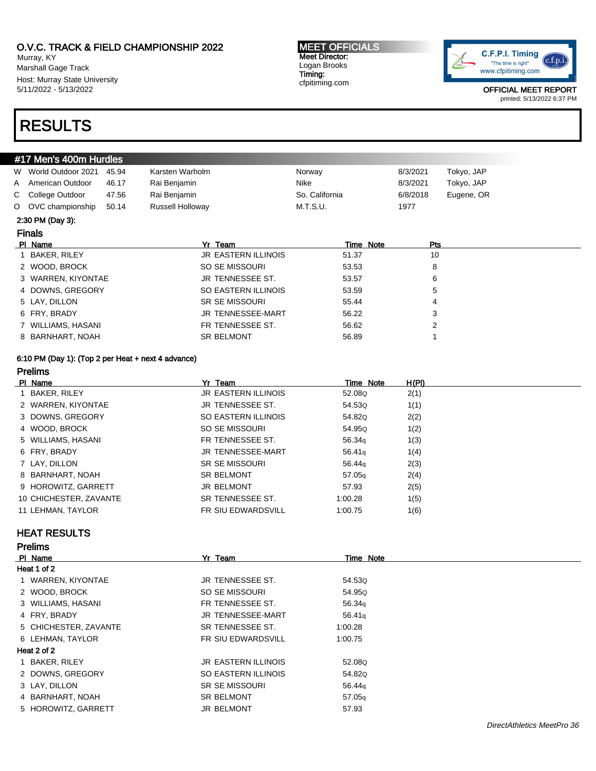Murray, KY Marshall Gage Track Host: Murray State University 5/11/2022 - 5/13/2022

# RESULTS

### MEET OFFICIALS Meet Director: Logan Brooks Timing: cfpitiming.com



OFFICIAL MEET REPORT printed: 5/13/2022 6:37 PM

| #17 Men's 400m Hurdles      |       |                            |                |          |            |
|-----------------------------|-------|----------------------------|----------------|----------|------------|
| World Outdoor 2021<br>W     | 45.94 | Karsten Warholm            | Norway         | 8/3/2021 | Tokyo, JAP |
| American Outdoor<br>A       | 46.17 | Rai Benjamin               | Nike           | 8/3/2021 | Tokyo, JAP |
| College Outdoor<br>C.       | 47.56 | Rai Benjamin               | So. California | 6/8/2018 | Eugene, OR |
| OVC championship<br>$\circ$ | 50.14 | Russell Holloway           | M.T.S.U.       | 1977     |            |
| 2:30 PM (Day 3):            |       |                            |                |          |            |
| <b>Finals</b>               |       |                            |                |          |            |
| PI Name                     |       | Yr Team                    | Time Note      | Pts      |            |
| BAKER, RILEY                |       |                            |                |          |            |
|                             |       | <b>JR EASTERN ILLINOIS</b> | 51.37          | 10       |            |
| 2 WOOD, BROCK               |       | SO SE MISSOURI             | 53.53          | 8        |            |
| 3 WARREN, KIYONTAE          |       | <b>JR TENNESSEE ST.</b>    | 53.57          | 6        |            |
| 4 DOWNS, GREGORY            |       | SO EASTERN ILLINOIS        | 53.59          | 5        |            |
| 5 LAY, DILLON               |       | <b>SR SE MISSOURI</b>      | 55.44          | 4        |            |
| 6 FRY, BRADY                |       | <b>JR TENNESSEE-MART</b>   | 56.22          | 3        |            |
| 7 WILLIAMS, HASANI          |       | FR TENNESSEE ST.           | 56.62          | 2        |            |

### 6:10 PM (Day 1): (Top 2 per Heat + next 4 advance) Prelims

| PI Name                | Yr Team                    | Time Note          | H(PI) |
|------------------------|----------------------------|--------------------|-------|
| 1 BAKER, RILEY         | <b>JR EASTERN ILLINOIS</b> | 52.080             | 2(1)  |
| 2 WARREN, KIYONTAE     | JR TENNESSEE ST.           | 54.53Q             | 1(1)  |
| 3 DOWNS, GREGORY       | SO EASTERN ILLINOIS        | 54.820             | 2(2)  |
| 4 WOOD, BROCK          | SO SE MISSOURI             | 54.95Q             | 1(2)  |
| 5 WILLIAMS, HASANI     | FR TENNESSEE ST.           | 56.34g             | 1(3)  |
| 6 FRY, BRADY           | JR TENNESSEE-MART          | 56.41q             | 1(4)  |
| 7 LAY, DILLON          | <b>SR SE MISSOURI</b>      | 56.44g             | 2(3)  |
| 8 BARNHART, NOAH       | <b>SR BELMONT</b>          | 57.05 <sub>q</sub> | 2(4)  |
| 9 HOROWITZ, GARRETT    | <b>JR BELMONT</b>          | 57.93              | 2(5)  |
| 10 CHICHESTER, ZAVANTE | SR TENNESSEE ST.           | 1:00.28            | 1(5)  |
| 11 LEHMAN, TAYLOR      | <b>FR SIU EDWARDSVILL</b>  | 1:00.75            | 1(6)  |

### HEAT RESULTS

| <b>Prelims</b>        |                            |                    |
|-----------------------|----------------------------|--------------------|
| PI Name               | Yr Team                    | Time Note          |
| Heat 1 of 2           |                            |                    |
| 1 WARREN, KIYONTAE    | JR TENNESSEE ST.           | 54.53Q             |
| 2 WOOD, BROCK         | SO SE MISSOURI             | 54.95Q             |
| 3 WILLIAMS, HASANI    | FR TENNESSEE ST.           | 56.34 <sub>g</sub> |
| 4 FRY, BRADY          | <b>JR TENNESSEE-MART</b>   | 56.41 <sub>g</sub> |
| 5 CHICHESTER, ZAVANTE | SR TENNESSEE ST.           | 1:00.28            |
| 6 LEHMAN, TAYLOR      | <b>FR SIU EDWARDSVILL</b>  | 1:00.75            |
| Heat 2 of 2           |                            |                    |
| 1 BAKER, RILEY        | <b>JR EASTERN ILLINOIS</b> | 52.08Q             |
| 2 DOWNS, GREGORY      | SO EASTERN ILLINOIS        | 54.82Q             |
| 3 LAY, DILLON         | <b>SR SE MISSOURI</b>      | 56.44 <sub>g</sub> |
| 4 BARNHART, NOAH      | <b>SR BELMONT</b>          | 57.05 <sub>g</sub> |
| 5 HOROWITZ, GARRETT   | <b>JR BELMONT</b>          | 57.93              |
|                       |                            |                    |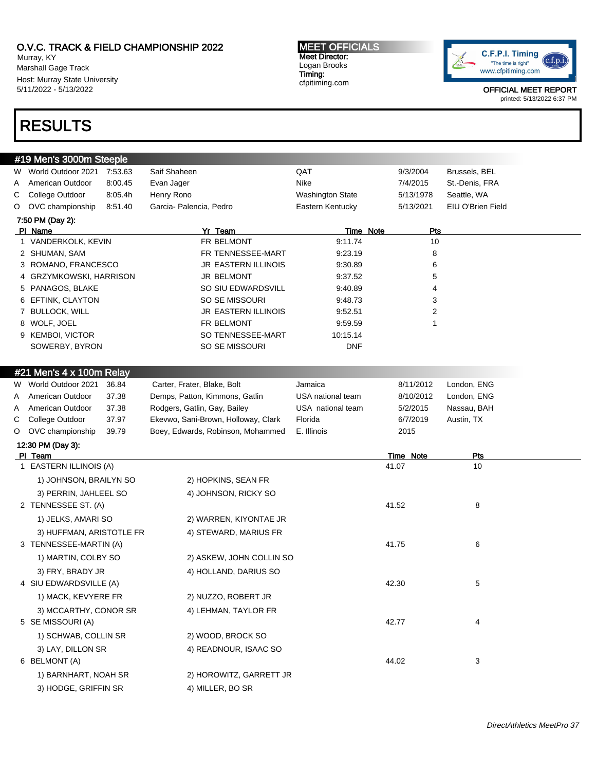Murray, KY Marshall Gage Track Host: Murray State University 5/11/2022 - 5/13/2022

#### MEET OFFICIALS Meet Director: Logan Brooks Timing: cfpitiming.com



OFFICIAL MEET REPORT printed: 5/13/2022 6:37 PM

# RESULTS

|   | #19 Men's 3000m Steeple    |         |                                     |                   |           |                |                   |
|---|----------------------------|---------|-------------------------------------|-------------------|-----------|----------------|-------------------|
| W | World Outdoor 2021 7:53.63 |         | Saif Shaheen                        | QAT               | 9/3/2004  |                | Brussels, BEL     |
| A | American Outdoor           | 8:00.45 | Evan Jager                          | Nike              | 7/4/2015  |                | St.-Denis, FRA    |
| С | College Outdoor            | 8:05.4h | Henry Rono                          | Washington State  | 5/13/1978 |                | Seattle, WA       |
| O | OVC championship           | 8:51.40 | Garcia- Palencia, Pedro             | Eastern Kentucky  | 5/13/2021 |                | EIU O'Brien Field |
|   | 7:50 PM (Day 2):           |         |                                     |                   |           |                |                   |
|   | PI Name                    |         | Yr Team                             | Time Note         |           | Pts            |                   |
|   | 1 VANDERKOLK, KEVIN        |         | FR BELMONT                          | 9:11.74           |           | 10             |                   |
|   | 2 SHUMAN, SAM              |         | FR TENNESSEE-MART                   | 9:23.19           |           | 8              |                   |
|   | 3 ROMANO, FRANCESCO        |         | JR EASTERN ILLINOIS                 | 9:30.89           |           | 6              |                   |
|   | 4 GRZYMKOWSKI, HARRISON    |         | <b>JR BELMONT</b>                   | 9:37.52           |           | 5              |                   |
|   | 5 PANAGOS, BLAKE           |         | SO SIU EDWARDSVILL                  | 9:40.89           |           | 4              |                   |
|   | 6 EFTINK, CLAYTON          |         | SO SE MISSOURI                      | 9:48.73           |           | 3              |                   |
|   | 7 BULLOCK, WILL            |         | JR EASTERN ILLINOIS                 | 9:52.51           |           | $\overline{2}$ |                   |
|   | 8 WOLF, JOEL               |         | FR BELMONT                          | 9:59.59           |           | 1              |                   |
|   | 9 KEMBOI, VICTOR           |         | SO TENNESSEE-MART                   | 10:15.14          |           |                |                   |
|   | SOWERBY, BYRON             |         | SO SE MISSOURI                      | <b>DNF</b>        |           |                |                   |
|   | #21 Men's 4 x 100m Relay   |         |                                     |                   |           |                |                   |
| W | World Outdoor 2021         | 36.84   | Carter, Frater, Blake, Bolt         | Jamaica           | 8/11/2012 |                | London, ENG       |
| A | American Outdoor           | 37.38   | Demps, Patton, Kimmons, Gatlin      | USA national team | 8/10/2012 |                | London, ENG       |
| A | American Outdoor           | 37.38   | Rodgers, Gatlin, Gay, Bailey        | USA national team | 5/2/2015  |                | Nassau, BAH       |
| С | College Outdoor            | 37.97   | Ekevwo, Sani-Brown, Holloway, Clark | Florida           | 6/7/2019  |                | Austin, TX        |
| O | OVC championship           | 39.79   | Boey, Edwards, Robinson, Mohammed   | E. Illinois       | 2015      |                |                   |
|   | 12:30 PM (Day 3):          |         |                                     |                   |           |                |                   |
|   | PI Team                    |         |                                     |                   | Time Note |                | Pts               |
|   | 1 EASTERN ILLINOIS (A)     |         |                                     |                   | 41.07     |                | 10                |
|   | 1) JOHNSON, BRAILYN SO     |         | 2) HOPKINS, SEAN FR                 |                   |           |                |                   |
|   | 3) PERRIN, JAHLEEL SO      |         | 4) JOHNSON, RICKY SO                |                   |           |                |                   |
|   | 2 TENNESSEE ST. (A)        |         |                                     |                   | 41.52     |                | 8                 |
|   | 1) JELKS, AMARI SO         |         | 2) WARREN, KIYONTAE JR              |                   |           |                |                   |
|   | 3) HUFFMAN, ARISTOTLE FR   |         | 4) STEWARD, MARIUS FR               |                   |           |                |                   |
|   | 3 TENNESSEE-MARTIN (A)     |         |                                     |                   | 41.75     |                | 6                 |
|   | 1) MARTIN, COLBY SO        |         | 2) ASKEW, JOHN COLLIN SO            |                   |           |                |                   |
|   | 3) FRY, BRADY JR           |         | 4) HOLLAND, DARIUS SO               |                   |           |                |                   |
|   | 4 SIU EDWARDSVILLE (A)     |         |                                     |                   | 42.30     |                | 5                 |
|   | 1) MACK, KEVYERE FR        |         | 2) NUZZO, ROBERT JR                 |                   |           |                |                   |
|   | 3) MCCARTHY, CONOR SR      |         | 4) LEHMAN, TAYLOR FR                |                   |           |                |                   |
|   | 5 SE MISSOURI (A)          |         |                                     |                   | 42.77     |                | 4                 |
|   | 1) SCHWAB, COLLIN SR       |         | 2) WOOD, BROCK SO                   |                   |           |                |                   |
|   | 3) LAY, DILLON SR          |         | 4) READNOUR, ISAAC SO               |                   |           |                |                   |
|   | 6 BELMONT (A)              |         |                                     |                   | 44.02     |                | 3                 |
|   | 1) BARNHART, NOAH SR       |         | 2) HOROWITZ, GARRETT JR             |                   |           |                |                   |
|   | 3) HODGE, GRIFFIN SR       |         | 4) MILLER, BO SR                    |                   |           |                |                   |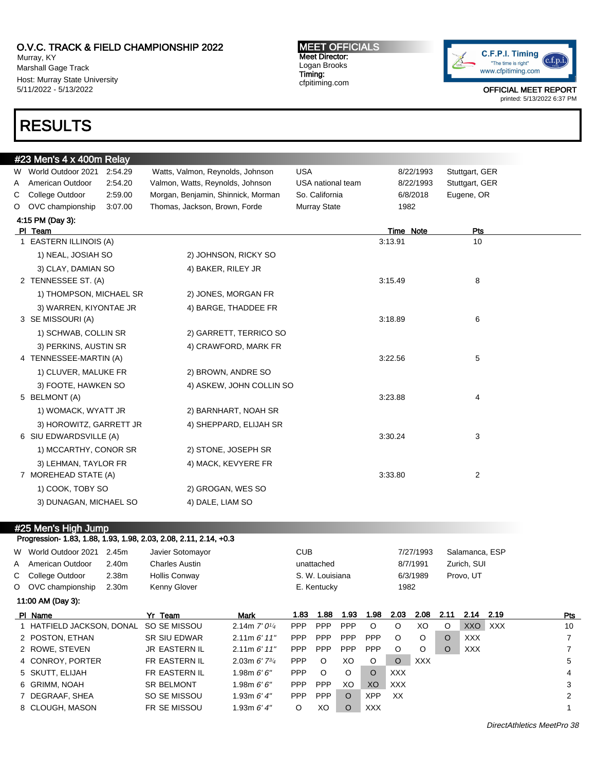Murray, KY Marshall Gage Track Host: Murray State University 5/11/2022 - 5/13/2022

# RESULTS

MEET OFFICIALS Meet Director: Logan Brooks Timing: cfpitiming.com



OFFICIAL MEET REPORT printed: 5/13/2022 6:37 PM

|   | #23 Men's 4 x 400m Relay |         |                                    |                   |           |                |
|---|--------------------------|---------|------------------------------------|-------------------|-----------|----------------|
|   | W World Outdoor 2021     | 2:54.29 | Watts, Valmon, Reynolds, Johnson   | <b>USA</b>        | 8/22/1993 | Stuttgart, GER |
| Α | American Outdoor         | 2:54.20 | Valmon, Watts, Reynolds, Johnson   | USA national team | 8/22/1993 | Stuttgart, GER |
| С | College Outdoor          | 2:59.00 | Morgan, Benjamin, Shinnick, Morman | So. California    | 6/8/2018  | Eugene, OR     |
| O | OVC championship         | 3:07.00 | Thomas, Jackson, Brown, Forde      | Murray State      | 1982      |                |
|   | 4:15 PM (Day 3):         |         |                                    |                   |           |                |
|   | PI Team                  |         |                                    |                   | Time Note | Pts            |
|   | 1 EASTERN ILLINOIS (A)   |         |                                    |                   | 3:13.91   | 10             |
|   | 1) NEAL, JOSIAH SO       |         | 2) JOHNSON, RICKY SO               |                   |           |                |
|   | 3) CLAY, DAMIAN SO       |         | 4) BAKER, RILEY JR                 |                   |           |                |
|   | 2 TENNESSEE ST. (A)      |         |                                    |                   | 3:15.49   | 8              |
|   | 1) THOMPSON, MICHAEL SR  |         | 2) JONES, MORGAN FR                |                   |           |                |
|   | 3) WARREN, KIYONTAE JR   |         | 4) BARGE, THADDEE FR               |                   |           |                |
|   | 3 SE MISSOURI (A)        |         |                                    |                   | 3:18.89   | 6              |
|   | 1) SCHWAB, COLLIN SR     |         | 2) GARRETT, TERRICO SO             |                   |           |                |
|   | 3) PERKINS, AUSTIN SR    |         | 4) CRAWFORD, MARK FR               |                   |           |                |
|   | 4 TENNESSEE-MARTIN (A)   |         |                                    |                   | 3:22.56   | 5              |
|   | 1) CLUVER, MALUKE FR     |         | 2) BROWN, ANDRE SO                 |                   |           |                |
|   | 3) FOOTE, HAWKEN SO      |         | 4) ASKEW, JOHN COLLIN SO           |                   |           |                |
|   | 5 BELMONT (A)            |         |                                    |                   | 3:23.88   | 4              |
|   | 1) WOMACK, WYATT JR      |         | 2) BARNHART, NOAH SR               |                   |           |                |
|   | 3) HOROWITZ, GARRETT JR  |         | 4) SHEPPARD, ELIJAH SR             |                   |           |                |
|   | 6 SIU EDWARDSVILLE (A)   |         |                                    |                   | 3:30.24   | 3              |
|   | 1) MCCARTHY, CONOR SR    |         | 2) STONE, JOSEPH SR                |                   |           |                |
|   | 3) LEHMAN, TAYLOR FR     |         | 4) MACK, KEVYERE FR                |                   |           |                |
|   | 7 MOREHEAD STATE (A)     |         |                                    |                   | 3:33.80   | 2              |
|   | 1) COOK, TOBY SO         |         | 2) GROGAN, WES SO                  |                   |           |                |
|   | 3) DUNAGAN, MICHAEL SO   |         | 4) DALE, LIAM SO                   |                   |           |                |
|   |                          |         |                                    |                   |           |                |

### #25 Men's High Jump

Progression- 1.83, 1.88, 1.93, 1.98, 2.03, 2.08, 2.11, 2.14, +0.3

|                   | W World Outdoor 2021<br>A American Outdoor<br>C College Outdoor | 2.45m<br>2.40m<br>2.38m | Javier Sotomayor<br><b>Charles Austin</b><br><b>Hollis Conway</b> |                        | <b>CUB</b> | unattached<br>S. W. Louisiana |            |            |         | 7/27/1993<br>8/7/1991<br>6/3/1989 |          | Salamanca, ESP<br>Zurich, SUI<br>Provo, UT |            |     |
|-------------------|-----------------------------------------------------------------|-------------------------|-------------------------------------------------------------------|------------------------|------------|-------------------------------|------------|------------|---------|-----------------------------------|----------|--------------------------------------------|------------|-----|
|                   | O OVC championship                                              | 2.30 <sub>m</sub>       | Kenny Glover                                                      |                        |            | E. Kentucky                   |            |            | 1982    |                                   |          |                                            |            |     |
| 11:00 AM (Day 3): |                                                                 |                         |                                                                   |                        |            |                               |            |            |         |                                   |          |                                            |            |     |
|                   | PI Name                                                         |                         | Yr Team                                                           | <b>Mark</b>            | 1.83       | 1.88                          | 1.93       | 1.98       | 2.03    | 2.08                              | 2.11     | 2.14                                       | 2.19       | Pts |
|                   | 1 HATFIELD JACKSON, DONAL                                       |                         | SO SE MISSOU                                                      | 2.14m $7'0\frac{1}{4}$ | <b>PPP</b> | <b>PPP</b>                    | <b>PPP</b> | $\circ$    | $\circ$ | XO                                | $\circ$  | <b>XXO</b>                                 | <b>XXX</b> | 10  |
|                   | 2 POSTON, ETHAN                                                 |                         | <b>SR SIU EDWAR</b>                                               | 2.11m 6' 11''          | <b>PPP</b> | <b>PPP</b>                    | <b>PPP</b> | <b>PPP</b> | $\circ$ | $\circ$                           | $\Omega$ | <b>XXX</b>                                 |            | 7   |
|                   | 2 ROWE, STEVEN                                                  |                         | <b>JR EASTERN IL</b>                                              | 2.11m 6' 11''          | <b>PPP</b> | <b>PPP</b>                    | <b>PPP</b> | <b>PPP</b> | $\circ$ | O                                 | $\circ$  | <b>XXX</b>                                 |            | 7   |
|                   | 4 CONROY, PORTER                                                |                         | FR EASTERN IL                                                     | 2.03m $6'$ $7^{3/4}$   | PPP        | $\circ$                       | XO         | O          | $\circ$ | <b>XXX</b>                        |          |                                            |            | 5   |
|                   | 5 SKUTT, ELIJAH                                                 |                         | FR EASTERN IL                                                     | 1.98m $6'6''$          | <b>PPP</b> | $\circ$                       | $\circ$    | $\Omega$   | XXX     |                                   |          |                                            |            | 4   |
|                   | 6 GRIMM, NOAH                                                   |                         | <b>SR BELMONT</b>                                                 | 1.98m $6'6''$          | <b>PPP</b> | PPP                           | XO         | XO         | XXX     |                                   |          |                                            |            | 3   |
|                   | 7 DEGRAAF, SHEA                                                 |                         | SO SE MISSOU                                                      | 1.93m $6'$ 4"          | <b>PPP</b> | <b>PPP</b>                    | $\circ$    | XPP        | XX      |                                   |          |                                            |            | 2   |
|                   | 8 CLOUGH, MASON                                                 |                         | FR SE MISSOU                                                      | 1.93m $6'$ 4"          | O          | XO                            | $\circ$    | XXX.       |         |                                   |          |                                            |            |     |
|                   |                                                                 |                         |                                                                   |                        |            |                               |            |            |         |                                   |          |                                            |            |     |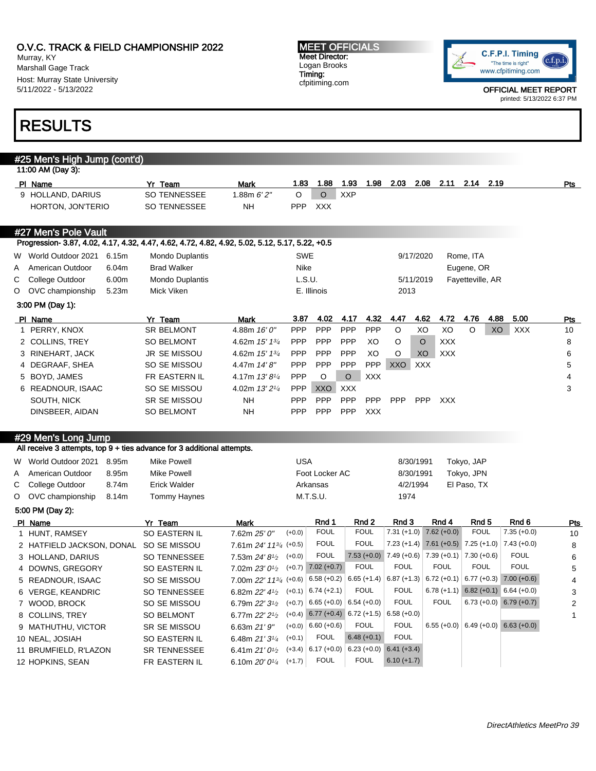Murray, KY Marshall Gage Track Host: Murray State University 5/11/2022 - 5/13/2022

#### MEET OFFICIALS Meet Director: Logan Brooks Timing: cfpitiming.com



OFFICIAL MEET REPORT printed: 5/13/2022 6:37 PM

# RESULTS

|   | #25 Men's High Jump (cont'd)                                                                    |                        |                                                              |            |                        |                                                                           |               |                                                 |                                                 |                                       |                |
|---|-------------------------------------------------------------------------------------------------|------------------------|--------------------------------------------------------------|------------|------------------------|---------------------------------------------------------------------------|---------------|-------------------------------------------------|-------------------------------------------------|---------------------------------------|----------------|
|   | 11:00 AM (Day 3):                                                                               |                        |                                                              |            |                        |                                                                           |               |                                                 |                                                 |                                       |                |
|   | PI Name                                                                                         | Yr Team                | <b>Mark</b>                                                  | 1.83       | 1.88                   | 1.93<br>1.98                                                              | 2.03          | 2.08<br>2.11                                    | 2.14<br>2.19                                    |                                       | Pts            |
|   | 9 HOLLAND, DARIUS                                                                               | SO TENNESSEE           | 1.88m $6'2''$                                                | O          | $\circ$                | <b>XXP</b>                                                                |               |                                                 |                                                 |                                       |                |
|   | HORTON, JON'TERIO                                                                               | SO TENNESSEE           | NΗ                                                           | <b>PPP</b> | <b>XXX</b>             |                                                                           |               |                                                 |                                                 |                                       |                |
|   | #27 Men's Pole Vault                                                                            |                        |                                                              |            |                        |                                                                           |               |                                                 |                                                 |                                       |                |
|   | Progression- 3.87, 4.02, 4.17, 4.32, 4.47, 4.62, 4.72, 4.82, 4.92, 5.02, 5.12, 5.17, 5.22, +0.5 |                        |                                                              |            |                        |                                                                           |               |                                                 |                                                 |                                       |                |
|   | W World Outdoor 2021<br>6.15m                                                                   | <b>Mondo Duplantis</b> |                                                              | SWE        |                        |                                                                           | 9/17/2020     |                                                 | Rome, ITA                                       |                                       |                |
| Α | American Outdoor<br>6.04m                                                                       | <b>Brad Walker</b>     |                                                              | Nike       |                        |                                                                           |               |                                                 | Eugene, OR                                      |                                       |                |
| С | College Outdoor<br>6.00m                                                                        | Mondo Duplantis        |                                                              | L.S.U.     |                        |                                                                           | 5/11/2019     |                                                 | Fayetteville, AR                                |                                       |                |
| O | OVC championship<br>5.23m                                                                       | Mick Viken             |                                                              |            | E. Illinois            |                                                                           | 2013          |                                                 |                                                 |                                       |                |
|   | 3:00 PM (Day 1):                                                                                |                        |                                                              |            |                        |                                                                           |               |                                                 |                                                 |                                       |                |
|   | PI Name                                                                                         | Yr Team                | Mark                                                         | 3.87       | 4.02                   | 4.17<br>4.32                                                              | 4.47          | 4.62<br>4.72                                    | 4.76<br>4.88                                    | 5.00                                  | <b>Pts</b>     |
| 1 | PERRY, KNOX                                                                                     | SR BELMONT             | 4.88m 16' 0"                                                 | PPP        | PPP                    | <b>PPP</b><br>PPP                                                         | $\mathsf O$   | XO<br>XO                                        | O<br>XO                                         | <b>XXX</b>                            | 10             |
|   | 2 COLLINS, TREY                                                                                 | <b>SO BELMONT</b>      | 4.62m $15'$ $13'$                                            | <b>PPP</b> | <b>PPP</b>             | PPP<br>XO                                                                 | O             | $\circ$<br><b>XXX</b>                           |                                                 |                                       | 8              |
|   | 3 RINEHART, JACK                                                                                | <b>JR SE MISSOU</b>    | 4.62m 15' 13/4                                               | <b>PPP</b> | <b>PPP</b>             | PPP<br>XO                                                                 | O             | XO<br><b>XXX</b>                                |                                                 |                                       | 6              |
|   | 4 DEGRAAF, SHEA                                                                                 | SO SE MISSOU           | 4.47m 14'8"                                                  | PPP        | PPP                    | PPP<br>PPP                                                                | XXO           | <b>XXX</b>                                      |                                                 |                                       | 5              |
|   | 5 BOYD, JAMES                                                                                   | FR EASTERN IL          | 4.17m $13'8\frac{1}{4}$                                      | PPP        | O                      | $\circ$<br><b>XXX</b>                                                     |               |                                                 |                                                 |                                       | $\overline{4}$ |
|   | 6 READNOUR, ISAAC                                                                               | SO SE MISSOU           | 4.02m 13' 21/4                                               | <b>PPP</b> | XXO                    | <b>XXX</b>                                                                |               |                                                 |                                                 |                                       | 3              |
|   | SOUTH, NICK                                                                                     | SR SE MISSOU           | NΗ                                                           | PPP        | PPP                    | <b>PPP</b><br>PPP                                                         | <b>PPP</b>    | PPP<br><b>XXX</b>                               |                                                 |                                       |                |
|   | DINSBEER, AIDAN                                                                                 | <b>SO BELMONT</b>      | <b>NH</b>                                                    | PPP        | PPP                    | PPP<br><b>XXX</b>                                                         |               |                                                 |                                                 |                                       |                |
|   |                                                                                                 |                        |                                                              |            |                        |                                                                           |               |                                                 |                                                 |                                       |                |
|   | #29 Men's Long Jump                                                                             |                        |                                                              |            |                        |                                                                           |               |                                                 |                                                 |                                       |                |
|   | All receive 3 attempts, top 9 + ties advance for 3 additional attempts.                         |                        |                                                              |            |                        |                                                                           |               |                                                 |                                                 |                                       |                |
|   | W World Outdoor 2021<br>8.95m                                                                   | <b>Mike Powell</b>     |                                                              | <b>USA</b> |                        |                                                                           | 8/30/1991     |                                                 | Tokyo, JAP                                      |                                       |                |
| Α | American Outdoor<br>8.95m                                                                       | <b>Mike Powell</b>     |                                                              |            | Foot Locker AC         |                                                                           | 8/30/1991     |                                                 | Tokyo, JPN                                      |                                       |                |
| С | 8.74m<br>College Outdoor                                                                        | <b>Erick Walder</b>    |                                                              |            | Arkansas               |                                                                           | 4/2/1994      |                                                 | El Paso, TX                                     |                                       |                |
| O | OVC championship<br>8.14m                                                                       | <b>Tommy Haynes</b>    |                                                              |            | M.T.S.U.               |                                                                           | 1974          |                                                 |                                                 |                                       |                |
|   | 5:00 PM (Day 2):                                                                                |                        |                                                              |            |                        |                                                                           |               |                                                 |                                                 |                                       |                |
|   | PI Name                                                                                         | Yr Team                | <b>Mark</b>                                                  |            | Rnd 1                  | Rnd 2                                                                     | Rnd 3         | Rnd 4                                           | Rnd <sub>5</sub>                                | Rnd <sub>6</sub>                      | Pts            |
|   | 1 HUNT, RAMSEY                                                                                  | SO EASTERN IL          | 7.62m 25' 0"                                                 | $(+0.0)$   | <b>FOUL</b>            | <b>FOUL</b>                                                               |               | $7.31 (+1.0)$ $7.62 (+0.0)$                     | <b>FOUL</b>                                     | $7.35 (+0.0)$                         | 10             |
|   | 2 HATFIELD JACKSON, DONAL SO SE MISSOU                                                          |                        | 7.61m 24' 1134 (+0.5)                                        |            | <b>FOUL</b>            | <b>FOUL</b>                                                               |               |                                                 | 7.23 (+1.4) 7.61 (+0.5) 7.25 (+1.0) 7.43 (+0.0) |                                       | 8              |
|   | 3 HOLLAND, DARIUS                                                                               | <b>SO TENNESSEE</b>    | 7.53m 24' 8 <sup>1/2</sup>                                   | $(+0.0)$   | <b>FOUL</b>            |                                                                           |               | 7.53 (+0.0) 7.49 (+0.6) 7.39 (+0.1) 7.30 (+0.6) |                                                 | <b>FOUL</b>                           | 6              |
|   | 4 DOWNS, GREGORY                                                                                | <b>SO EASTERN IL</b>   | 7.02m $23'0\frac{1}{2}$                                      |            | $(+0.7)$ 7.02 $(+0.7)$ | <b>FOUL</b>                                                               | <b>FOUL</b>   | <b>FOUL</b>                                     | <b>FOUL</b>                                     | <b>FOUL</b>                           | 5              |
|   | 5 READNOUR, ISAAC                                                                               | SO SE MISSOU           | 7.00m 22' 113/4 (+0.6)                                       |            |                        | $6.58 (+0.2) 6.65 (+1.4) 6.87 (+1.3) 6.72 (+0.1) 6.77 (+0.3) 7.00 (+0.6)$ |               |                                                 |                                                 |                                       | 4              |
|   | 6 VERGE, KEANDRIC                                                                               | SO TENNESSEE           | 6.82m $22'$ 4 <sup>1</sup> / <sub>2</sub> (+0.1) 6.74 (+2.1) |            |                        | <b>FOUL</b>                                                               | FOUL          |                                                 | $6.78 (+1.1) 6.82 (+0.1) 6.64 (+0.0)$           |                                       | 3              |
|   | 7 WOOD, BROCK                                                                                   | SO SE MISSOU           | 6.79m $22'3^{1/2}$ (+0.7) 6.65 (+0.0) 6.54 (+0.0)            |            |                        |                                                                           | <b>FOUL</b>   | FOUL                                            |                                                 | $6.73 (+0.0) 6.79 (+0.7)$             | 2              |
|   | 8 COLLINS, TREY                                                                                 | SO BELMONT             | 6.77m 22' 2 <sup>1</sup> / <sub>2</sub>                      |            |                        | $(+0.4)$ 6.77 $(+0.4)$ 6.72 $(+1.5)$ 6.58 $(+0.0)$                        |               |                                                 |                                                 |                                       | 1              |
|   | 9 MATHUTHU, VICTOR                                                                              | SR SE MISSOU           | 6.63m 21'9''                                                 |            | $(+0.0)$ 6.60 $(+0.6)$ | <b>FOUL</b>                                                               | <b>FOUL</b>   |                                                 |                                                 | $6.55 (+0.0)$ 6.49 (+0.0) 6.63 (+0.0) |                |
|   | 10 NEAL, JOSIAH                                                                                 | SO EASTERN IL          | 6.48m $21'3\frac{1}{4}$                                      | $(+0.1)$   | <b>FOUL</b>            | $6.48 (+0.1)$                                                             | <b>FOUL</b>   |                                                 |                                                 |                                       |                |
|   | 11 BRUMFIELD, R'LAZON                                                                           | SR TENNESSEE           | 6.41m $21'0\frac{1}{2}$                                      |            |                        | $(+3.4)$ 6.17 (+0.0) 6.23 (+0.0) 6.41 (+3.4)                              |               |                                                 |                                                 |                                       |                |
|   | 12 HOPKINS, SEAN                                                                                | FR EASTERN IL          | 6.10m $20'0^{1/4}$ (+1.7)                                    |            | <b>FOUL</b>            | <b>FOUL</b>                                                               | $6.10 (+1.7)$ |                                                 |                                                 |                                       |                |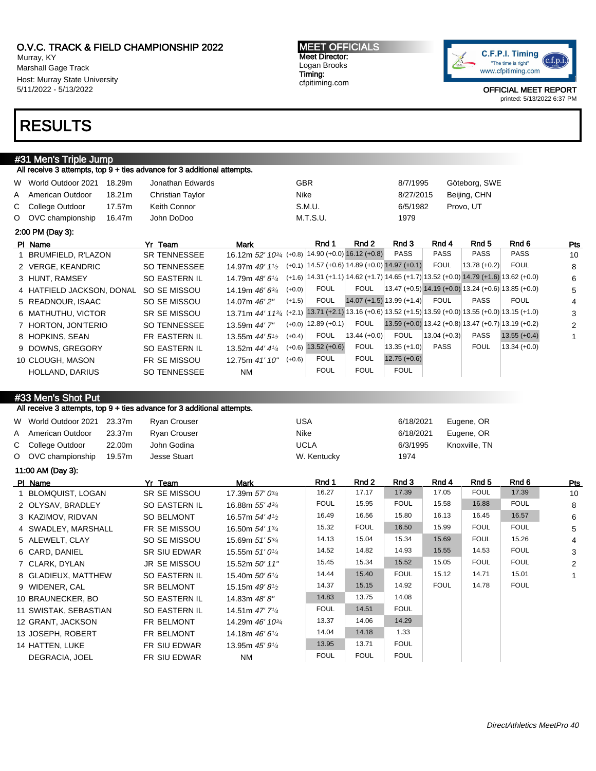Murray, KY Marshall Gage Track Host: Murray State University 5/11/2022 - 5/13/2022

# RESULTS

## #31 Men's Triple Jump

All receive 3 attempts, top 9 + ties advance for 3 additional attempts.

| W World Outdoor 2021      | 18.29m             | Jonathan Edwards    |                                       | <b>GBR</b> |                 |                             | 8/7/1995                                              |                 | Göteborg, SWE                                                                     |                |     |
|---------------------------|--------------------|---------------------|---------------------------------------|------------|-----------------|-----------------------------|-------------------------------------------------------|-----------------|-----------------------------------------------------------------------------------|----------------|-----|
| A American Outdoor        | 18.21 <sub>m</sub> | Christian Taylor    |                                       | Nike       |                 |                             | 8/27/2015                                             |                 | Beijing, CHN                                                                      |                |     |
| C College Outdoor         | 17.57m             | Keith Connor        |                                       |            | S.M.U.          |                             | 6/5/1982                                              |                 | Provo, UT                                                                         |                |     |
| O OVC championship        | 16.47m             | John DoDoo          |                                       |            | M.T.S.U.        |                             | 1979                                                  |                 |                                                                                   |                |     |
| 2:00 PM (Day 3):          |                    |                     |                                       |            |                 |                             |                                                       |                 |                                                                                   |                |     |
| PI Name                   |                    | Yr Team             | Mark                                  |            | Rnd 1           | Rnd 2                       | Rnd 3                                                 | Rnd 4           | Rnd 5                                                                             | Rnd 6          | Pts |
| 1 BRUMFIELD, R'LAZON      |                    | <b>SR TENNESSEE</b> | 16.12m 52' 10 <sup>3/4</sup> (+0.8)   |            |                 | $14.90 (+0.0) 16.12 (+0.8)$ | PASS                                                  | <b>PASS</b>     | <b>PASS</b>                                                                       | <b>PASS</b>    | 10  |
| 2 VERGE, KEANDRIC         |                    | <b>SO TENNESSEE</b> | 14.97m 49' $1\frac{1}{2}$             |            |                 |                             | $(+0.1)$   14.57 (+0.6)   14.89 (+0.0)   14.97 (+0.1) | <b>FOUL</b>     | $13.78(+0.2)$                                                                     | <b>FOUL</b>    | 8   |
| 3 HUNT, RAMSEY            |                    | SO EASTERN IL       | 14.79m 48' 61/4                       | $(+1.6)$   |                 |                             |                                                       |                 | $(14.31 (+1.1))$ 14.62 (+1.7) 14.65 (+1.7) 13.52 (+0.0) 14.79 (+1.6) 13.62 (+0.0) |                | 6   |
| 4 HATFIELD JACKSON, DONAL |                    | SO SE MISSOU        | 14.19m $46'6^{3}/4$                   | $(+0.0)$   | <b>FOUL</b>     | <b>FOUL</b>                 |                                                       |                 | 13.47 (+0.5) 14.19 (+0.0) 13.24 (+0.6) 13.85 (+0.0)                               |                | 5   |
| 5 READNOUR, ISAAC         |                    | SO SE MISSOU        | 14.07m 46' 2"                         | $(+1.5)$   | <b>FOUL</b>     |                             | $14.07 (+1.5) 13.99 (+1.4)$                           | <b>FOUL</b>     | <b>PASS</b>                                                                       | <b>FOUL</b>    | 4   |
| 6 MATHUTHU, VICTOR        |                    | SR SE MISSOU        | 13.71m $44'$ 11 <sup>3/4</sup> (+2.1) |            |                 |                             |                                                       |                 | $13.71$ (+2.1) 13.16 (+0.6) 13.52 (+1.5) 13.59 (+0.0) 13.55 (+0.0) 13.15 (+1.0)   |                | 3   |
| 7 HORTON, JON'TERIO       |                    | <b>SO TENNESSEE</b> | 13.59m 44' 7"                         | $(+0.0)$   | $ 12.89(+0.1) $ | <b>FOUL</b>                 |                                                       |                 | $13.59 (+0.0) 13.42 (+0.8) 13.47 (+0.7) 13.19 (+0.2)$                             |                | 2   |
| 8 HOPKINS, SEAN           |                    | FR EASTERN IL       | 13.55m $44'5\frac{1}{2}$              | $(+0.4)$   | <b>FOUL</b>     | $13.44 (+0.0)$              | <b>FOUL</b>                                           | $ 13.04(+0.3) $ | <b>PASS</b>                                                                       | $13.55 (+0.4)$ | 1   |
| 9 DOWNS, GREGORY          |                    | SO EASTERN IL       | 13.52m 44' 41/4                       | $(+0.6)$   | $13.52 (+0.6)$  | <b>FOUL</b>                 | $13.35 (+1.0)$                                        | <b>PASS</b>     | <b>FOUL</b>                                                                       | 13.34 (+0.0)   |     |
| 10 CLOUGH, MASON          |                    | FR SE MISSOU        | 12.75m 41' 10"                        | $(+0.6)$   | <b>FOUL</b>     | <b>FOUL</b>                 | $12.75 (+0.6)$                                        |                 |                                                                                   |                |     |
| HOLLAND, DARIUS           |                    | <b>SO TENNESSEE</b> | <b>NM</b>                             |            | <b>FOUL</b>     | <b>FOUL</b>                 | <b>FOUL</b>                                           |                 |                                                                                   |                |     |

### #33 Men's Shot Put

All receive 3 attempts, top 9 + ties advance for 3 additional attempts.

| W World Outdoor 2021 23.37m |        | Ryan Crouser | USA         | 6/18/2021 | Eugene, OR    |
|-----------------------------|--------|--------------|-------------|-----------|---------------|
| A American Outdoor          | 23.37m | Rvan Crouser | Nike        | 6/18/2021 | Eugene, OR    |
| C College Outdoor           | 22.00m | John Godina  | <b>UCLA</b> | 6/3/1995  | Knoxville, TN |
| O OVC championship          | 19.57m | Jesse Stuart | W. Kentucky | 1974      |               |

11:00 AM (Day 3):

| PI Name               | Yr Team             | Mark                         | Rnd 1       | Rnd 2       | Rnd 3       | Rnd 4       | Rnd 5       | Rnd 6       | Pts |
|-----------------------|---------------------|------------------------------|-------------|-------------|-------------|-------------|-------------|-------------|-----|
| 1 BLOMQUIST, LOGAN    | SR SE MISSOU        | 17.39m 57' 03/4              | 16.27       | 17.17       | 17.39       | 17.05       | <b>FOUL</b> | 17.39       | 10  |
| 2 OLYSAV, BRADLEY     | SO EASTERN IL       | 16.88m 55' 434               | <b>FOUL</b> | 15.95       | <b>FOUL</b> | 15.58       | 16.88       | <b>FOUL</b> | 8   |
| 3 KAZIMOV, RIDVAN     | SO BELMONT          | 16.57m 54' 41/2              | 16.49       | 16.56       | 15.80       | 16.13       | 16.45       | 16.57       | 6   |
| 4 SWADLEY, MARSHALL   | FR SE MISSOU        | 16.50m 54' 1 <sup>3/4</sup>  | 15.32       | <b>FOUL</b> | 16.50       | 15.99       | <b>FOUL</b> | <b>FOUL</b> | 5   |
| 5 ALEWELT, CLAY       | SO SE MISSOU        | 15.69m 51' 534               | 14.13       | 15.04       | 15.34       | 15.69       | <b>FOUL</b> | 15.26       | 4   |
| 6 CARD, DANIEL        | SR SIU EDWAR        | 15.55m $51'0\frac{1}{4}$     | 14.52       | 14.82       | 14.93       | 15.55       | 14.53       | <b>FOUL</b> | 3   |
| 7 CLARK, DYLAN        | <b>JR SE MISSOU</b> | 15.52m 50' 11"               | 15.45       | 15.34       | 15.52       | 15.05       | <b>FOUL</b> | <b>FOUL</b> | 2   |
| 8 GLADIEUX, MATTHEW   | SO EASTERN IL       | 15.40m $50'6''$              | 14.44       | 15.40       | <b>FOUL</b> | 15.12       | 14.71       | 15.01       |     |
| 9 WIDENER, CAL        | <b>SR BELMONT</b>   | 15.15m $49'8\frac{1}{2}$     | 14.37       | 15.15       | 14.92       | <b>FOUL</b> | 14.78       | <b>FOUL</b> |     |
| 10 BRAUNECKER, BO     | SO EASTERN IL       | 14.83m 48'8"                 | 14.83       | 13.75       | 14.08       |             |             |             |     |
| 11 SWISTAK, SEBASTIAN | SO EASTERN IL       | 14.51m $47'$ 7 $\frac{1}{4}$ | <b>FOUL</b> | 14.51       | <b>FOUL</b> |             |             |             |     |
| 12 GRANT, JACKSON     | FR BELMONT          | 14.29m 46' 10 <sup>3/4</sup> | 13.37       | 14.06       | 14.29       |             |             |             |     |
| 13 JOSEPH, ROBERT     | FR BELMONT          | 14.18m 46' 61/4              | 14.04       | 14.18       | 1.33        |             |             |             |     |
| 14 HATTEN, LUKE       | FR SIU EDWAR        | 13.95m 45' 91/4              | 13.95       | 13.71       | <b>FOUL</b> |             |             |             |     |
| DEGRACIA, JOEL        | FR SIU EDWAR        | <b>NM</b>                    | <b>FOUL</b> | <b>FOUL</b> | <b>FOUL</b> |             |             |             |     |



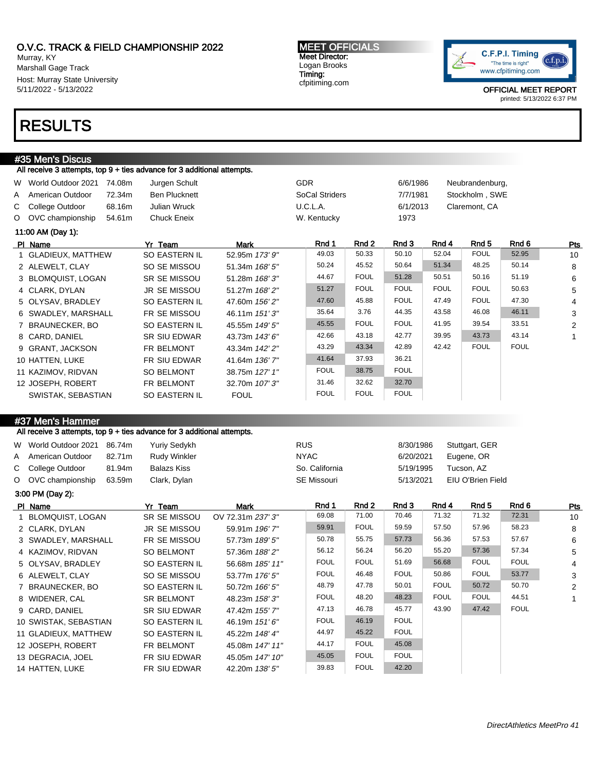Murray, KY Marshall Gage Track Host: Murray State University 5/11/2022 - 5/13/2022

# RESULTS

### #35 Men's Discus

All receive 3 attempts, top 9 + ties advance for 3 additional attempts.

| W World Outdoor 2021<br>A American Outdoor | 74.08m<br>72.34m | Jurgen Schult<br><b>Ben Plucknett</b> |                | <b>GDR</b><br>SoCal Striders |             | 6/6/1986<br>7/7/1981 |             | Neubrandenburg,<br>Stockholm, SWE |             |                |
|--------------------------------------------|------------------|---------------------------------------|----------------|------------------------------|-------------|----------------------|-------------|-----------------------------------|-------------|----------------|
| C College Outdoor                          | 68.16m           | <b>Julian Wruck</b>                   |                | U.C.L.A.                     |             | 6/1/2013             |             | Claremont, CA                     |             |                |
| O OVC championship                         | 54.61m           | <b>Chuck Eneix</b>                    |                | W. Kentucky                  |             | 1973                 |             |                                   |             |                |
| 11:00 AM (Day 1):                          |                  |                                       |                |                              |             |                      |             |                                   |             |                |
| PI Name                                    |                  | Yr Team                               | Mark           | Rnd 1                        | Rnd 2       | Rnd 3                | Rnd 4       | Rnd 5                             | Rnd 6       | Pts            |
| 1 GLADIEUX, MATTHEW                        |                  | <b>SO EASTERN IL</b>                  | 52.95m 173' 9" | 49.03                        | 50.33       | 50.10                | 52.04       | <b>FOUL</b>                       | 52.95       | 10             |
| 2 ALEWELT, CLAY                            |                  | SO SE MISSOU                          | 51.34m 168' 5" | 50.24                        | 45.52       | 50.64                | 51.34       | 48.25                             | 50.14       | 8              |
| 3 BLOMQUIST, LOGAN                         |                  | <b>SR SE MISSOU</b>                   | 51.28m 168'3"  | 44.67                        | <b>FOUL</b> | 51.28                | 50.51       | 50.16                             | 51.19       | 6              |
| 4 CLARK, DYLAN                             |                  | <b>JR SE MISSOU</b>                   | 51.27m 168'2"  | 51.27                        | <b>FOUL</b> | <b>FOUL</b>          | <b>FOUL</b> | <b>FOUL</b>                       | 50.63       | 5              |
| 5 OLYSAV, BRADLEY                          |                  | SO EASTERN IL                         | 47.60m 156' 2" | 47.60                        | 45.88       | <b>FOUL</b>          | 47.49       | <b>FOUL</b>                       | 47.30       | 4              |
| 6 SWADLEY, MARSHALL                        |                  | FR SE MISSOU                          | 46.11m 151'3"  | 35.64                        | 3.76        | 44.35                | 43.58       | 46.08                             | 46.11       | 3              |
| 7 BRAUNECKER, BO                           |                  | SO EASTERN IL                         | 45.55m 149' 5" | 45.55                        | <b>FOUL</b> | <b>FOUL</b>          | 41.95       | 39.54                             | 33.51       | $\overline{2}$ |
| 8 CARD, DANIEL                             |                  | <b>SR SIU EDWAR</b>                   | 43.73m 143' 6" | 42.66                        | 43.18       | 42.77                | 39.95       | 43.73                             | 43.14       |                |
| 9 GRANT, JACKSON                           |                  | FR BELMONT                            | 43.34m 142' 2" | 43.29                        | 43.34       | 42.89                | 42.42       | <b>FOUL</b>                       | <b>FOUL</b> |                |
| 10 HATTEN, LUKE                            |                  | FR SIU EDWAR                          | 41.64m 136' 7" | 41.64                        | 37.93       | 36.21                |             |                                   |             |                |
| 11 KAZIMOV, RIDVAN                         |                  | <b>SO BELMONT</b>                     | 38.75m 127' 1" | <b>FOUL</b>                  | 38.75       | <b>FOUL</b>          |             |                                   |             |                |
| 12 JOSEPH, ROBERT                          |                  | FR BELMONT                            | 32.70m 107' 3" | 31.46                        | 32.62       | 32.70                |             |                                   |             |                |
| SWISTAK, SEBASTIAN                         |                  | SO EASTERN IL                         | <b>FOUL</b>    | <b>FOUL</b>                  | <b>FOUL</b> | <b>FOUL</b>          |             |                                   |             |                |

MEET OFFICIALS Meet Director: Logan Brooks Timing: cfpitiming.com

# #37 Men's Hammer

All receive 3 attempts, top 9 + ties advance for 3 additional attempts.

| W World Outdoor 2021 86.74m |        | Yuriy Sedykh | <b>RUS</b>     | 8/30/1986 | Stuttgart, GER    |
|-----------------------------|--------|--------------|----------------|-----------|-------------------|
| A American Outdoor          | 82.71m | Rudy Winkler | <b>NYAC</b>    | 6/20/2021 | Eugene, OR        |
| C College Outdoor           | 81.94m | Balazs Kiss  | So. California | 5/19/1995 | Tucson, AZ        |
| O OVC championship          | 63.59m | Clark, Dylan | SE Missouri    | 5/13/2021 | EIU O'Brien Field |

3:00 PM (Day 2):

| PI Name               | Yr Team              | Mark              | Rnd 1       | Rnd 2       | Rnd 3       | Rnd 4       | Rnd 5       | Rnd 6       | <b>Pts</b>     |
|-----------------------|----------------------|-------------------|-------------|-------------|-------------|-------------|-------------|-------------|----------------|
| 1 BLOMQUIST, LOGAN    | <b>SR SE MISSOU</b>  | OV 72.31m 237' 3" | 69.08       | 71.00       | 70.46       | 71.32       | 71.32       | 72.31       | 10             |
| 2 CLARK, DYLAN        | JR SE MISSOU         | 59.91m 196' 7"    | 59.91       | <b>FOUL</b> | 59.59       | 57.50       | 57.96       | 58.23       | 8              |
| 3 SWADLEY, MARSHALL   | FR SE MISSOU         | 57.73m 189' 5"    | 50.78       | 55.75       | 57.73       | 56.36       | 57.53       | 57.67       | 6              |
| 4 KAZIMOV, RIDVAN     | SO BELMONT           | 57.36m 188' 2"    | 56.12       | 56.24       | 56.20       | 55.20       | 57.36       | 57.34       | 5              |
| 5 OLYSAV, BRADLEY     | SO EASTERN IL        | 56.68m 185' 11"   | <b>FOUL</b> | <b>FOUL</b> | 51.69       | 56.68       | <b>FOUL</b> | <b>FOUL</b> | $\overline{4}$ |
| 6 ALEWELT, CLAY       | SO SE MISSOU         | 53.77m 176' 5"    | <b>FOUL</b> | 46.48       | <b>FOUL</b> | 50.86       | <b>FOUL</b> | 53.77       | 3              |
| 7 BRAUNECKER, BO      | SO EASTERN IL        | 50.72m 166' 5"    | 48.79       | 47.78       | 50.01       | <b>FOUL</b> | 50.72       | 50.70       | 2              |
| 8 WIDENER, CAL        | <b>SR BELMONT</b>    | 48.23m 158'3"     | <b>FOUL</b> | 48.20       | 48.23       | <b>FOUL</b> | <b>FOUL</b> | 44.51       | $\mathbf{1}$   |
| 9 CARD, DANIEL        | <b>SR SIU EDWAR</b>  | 47.42m 155' 7"    | 47.13       | 46.78       | 45.77       | 43.90       | 47.42       | <b>FOUL</b> |                |
| 10 SWISTAK, SEBASTIAN | SO EASTERN IL        | 46.19m 151'6"     | <b>FOUL</b> | 46.19       | <b>FOUL</b> |             |             |             |                |
| 11 GLADIEUX, MATTHEW  | <b>SO EASTERN IL</b> | 45.22m 148' 4"    | 44.97       | 45.22       | <b>FOUL</b> |             |             |             |                |
| 12 JOSEPH, ROBERT     | FR BELMONT           | 45.08m 147' 11"   | 44.17       | <b>FOUL</b> | 45.08       |             |             |             |                |
| 13 DEGRACIA, JOEL     | FR SIU EDWAR         | 45.05m 147' 10"   | 45.05       | <b>FOUL</b> | <b>FOUL</b> |             |             |             |                |
| 14 HATTEN, LUKE       | FR SIU EDWAR         | 42.20m 138' 5"    | 39.83       | <b>FOUL</b> | 42.20       |             |             |             |                |
|                       |                      |                   |             |             |             |             |             |             |                |

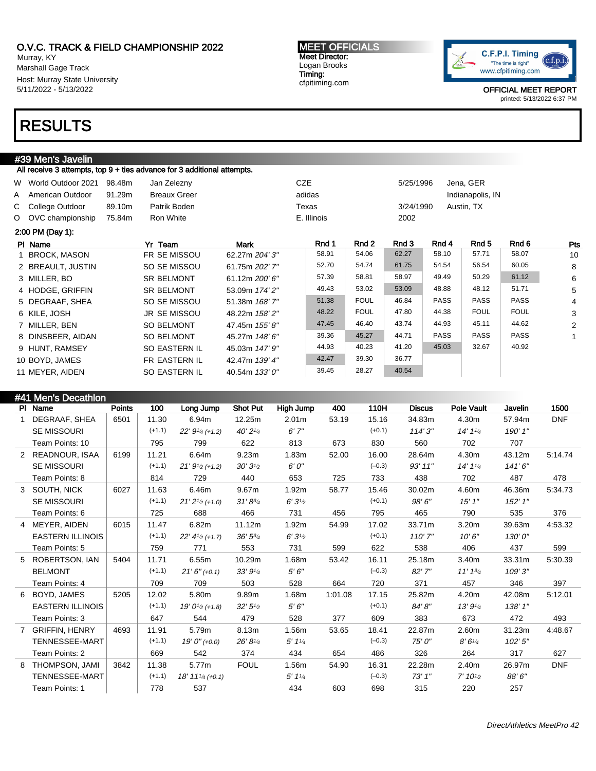Murray, KY Marshall Gage Track Host: Murray State University 5/11/2022 - 5/13/2022

# RESULTS

# #39 Men's Javelin

All receive 3 attempts, top 9 + ties advance for 3 additional attempts.

| W World Outdoor 2021<br>A American Outdoor<br>C College Outdoor<br>O OVC championship | 98.48m<br>91.29m<br>89.10m<br>75.84m | Jan Zelezny<br><b>Breaux Greer</b><br>Patrik Boden<br>Ron White |                | <b>CZE</b><br>adidas<br>Texas<br>E. Illinois |             | 5/25/1996<br>3/24/1990<br>2002 |             | Jena, GER<br>Indianapolis, IN<br>Austin, TX |             |                |
|---------------------------------------------------------------------------------------|--------------------------------------|-----------------------------------------------------------------|----------------|----------------------------------------------|-------------|--------------------------------|-------------|---------------------------------------------|-------------|----------------|
| 2:00 PM (Day 1):                                                                      |                                      |                                                                 |                |                                              |             |                                |             |                                             |             |                |
| PI Name                                                                               |                                      | Yr Team                                                         | Mark           | Rnd 1                                        | Rnd 2       | Rnd 3                          | Rnd 4       | Rnd 5                                       | Rnd 6       | <b>Pts</b>     |
| <b>BROCK, MASON</b>                                                                   |                                      | FR SE MISSOU                                                    | 62.27m 204' 3" | 58.91                                        | 54.06       | 62.27                          | 58.10       | 57.71                                       | 58.07       | 10             |
| 2 BREAULT, JUSTIN                                                                     |                                      | SO SE MISSOU                                                    | 61.75m 202' 7" | 52.70                                        | 54.74       | 61.75                          | 54.54       | 56.54                                       | 60.05       | 8              |
| 3 MILLER, BO                                                                          |                                      | <b>SR BELMONT</b>                                               | 61.12m 200' 6" | 57.39                                        | 58.81       | 58.97                          | 49.49       | 50.29                                       | 61.12       | 6              |
| 4 HODGE, GRIFFIN                                                                      |                                      | <b>SR BELMONT</b>                                               | 53.09m 174' 2" | 49.43                                        | 53.02       | 53.09                          | 48.88       | 48.12                                       | 51.71       | 5              |
| 5 DEGRAAF, SHEA                                                                       |                                      | SO SE MISSOU                                                    | 51.38m 168' 7" | 51.38                                        | <b>FOUL</b> | 46.84                          | <b>PASS</b> | <b>PASS</b>                                 | <b>PASS</b> | $\overline{4}$ |
| 6 KILE, JOSH                                                                          |                                      | <b>JR SE MISSOU</b>                                             | 48.22m 158'2"  | 48.22                                        | <b>FOUL</b> | 47.80                          | 44.38       | <b>FOUL</b>                                 | <b>FOUL</b> | 3              |
| 7 MILLER, BEN                                                                         |                                      | <b>SO BELMONT</b>                                               | 47.45m 155'8"  | 47.45                                        | 46.40       | 43.74                          | 44.93       | 45.11                                       | 44.62       | 2              |
| 8 DINSBEER, AIDAN                                                                     |                                      | <b>SO BELMONT</b>                                               | 45.27m 148' 6" | 39.36                                        | 45.27       | 44.71                          | <b>PASS</b> | <b>PASS</b>                                 | <b>PASS</b> | 1              |
| 9 HUNT, RAMSEY                                                                        |                                      | <b>SO EASTERN IL</b>                                            | 45.03m 147' 9" | 44.93                                        | 40.23       | 41.20                          | 45.03       | 32.67                                       | 40.92       |                |
| 10 BOYD, JAMES                                                                        |                                      | FR EASTERN IL                                                   | 42.47m 139' 4" | 42.47                                        | 39.30       | 36.77                          |             |                                             |             |                |
| 11 MEYER, AIDEN                                                                       |                                      | <b>SO EASTERN IL</b>                                            | 40.54m 133' 0" | 39.45                                        | 28.27       | 40.54                          |             |                                             |             |                |

Timing:

|   | #41 Men's Decathlon     |               |          |                              |                 |                   |         |          |               |                                  |         |            |  |
|---|-------------------------|---------------|----------|------------------------------|-----------------|-------------------|---------|----------|---------------|----------------------------------|---------|------------|--|
|   | PI Name                 | <b>Points</b> | 100      | Long Jump                    | <b>Shot Put</b> | High Jump         | 400     | 110H     | <b>Discus</b> | Pole Vault                       | Javelin | 1500       |  |
|   | DEGRAAF, SHEA           | 6501          | 11.30    | 6.94m                        | 12.25m          | 2.01 <sub>m</sub> | 53.19   | 15.16    | 34.83m        | 4.30m                            | 57.94m  | <b>DNF</b> |  |
|   | <b>SE MISSOURI</b>      |               | $(+1.1)$ | $22' 9'$ <sup>4</sup> (+1.2) | 40' 21/4        | 6'7''             |         | $(+0.1)$ | 114'3''       | 14'11 <sub>4</sub>               | 190' 1" |            |  |
|   | Team Points: 10         |               | 795      | 799                          | 622             | 813               | 673     | 830      | 560           | 702                              | 707     |            |  |
|   | 2 READNOUR, ISAA        | 6199          | 11.21    | 6.64m                        | 9.23m           | 1.83m             | 52.00   | 16.00    | 28.64m        | 4.30m                            | 43.12m  | 5:14.74    |  |
|   | <b>SE MISSOURI</b>      |               | $(+1.1)$ | $21'9_{2}$ (+1.2)            | 30'31/2         | 6'0''             |         | $(-0.3)$ | $93'$ 11"     | 14'11 <sub>4</sub>               | 141'6'' |            |  |
|   | Team Points: 8          |               | 814      | 729                          | 440             | 653               | 725     | 733      | 438           | 702                              | 487     | 478        |  |
|   | 3 SOUTH, NICK           | 6027          | 11.63    | 6.46m                        | 9.67m           | 1.92m             | 58.77   | 15.46    | 30.02m        | 4.60m                            | 46.36m  | 5:34.73    |  |
|   | <b>SE MISSOURI</b>      |               | $(+1.1)$ | $21'2_{2}$ (+1.0)            | $31'8^{3/4}$    | 6'3'              |         | $(+0.1)$ | 98'6"         | 15'1''                           | 152'1'' |            |  |
|   | Team Points: 6          |               | 725      | 688                          | 466             | 731               | 456     | 795      | 465           | 790                              | 535     | 376        |  |
|   | 4 MEYER, AIDEN          | 6015          | 11.47    | 6.82m                        | 11.12m          | 1.92m             | 54.99   | 17.02    | 33.71m        | 3.20 <sub>m</sub>                | 39.63m  | 4:53.32    |  |
|   | <b>EASTERN ILLINOIS</b> |               | $(+1.1)$ | $22' 41/2$ (+1.7)            | $36' 5^{3}/4$   | 6'3'              |         | $(+0.1)$ | 110'7''       | 10'6''                           | 130'0'' |            |  |
|   | Team Points: 5          |               | 759      | 771                          | 553             | 731               | 599     | 622      | 538           | 406                              | 437     | 599        |  |
|   | 5 ROBERTSON, IAN        | 5404          | 11.71    | 6.55m                        | 10.29m          | 1.68m             | 53.42   | 16.11    | 25.18m        | 3.40m                            | 33.31m  | 5:30.39    |  |
|   | <b>BELMONT</b>          |               | $(+1.1)$ | $21'6''$ (+0.1)              | 33' 91/4        | 5'6''             |         | $(-0.3)$ | 82'7"         | 11' 13/4                         | 109'3'' |            |  |
|   | Team Points: 4          |               | 709      | 709                          | 503             | 528               | 664     | 720      | 371           | 457                              | 346     | 397        |  |
|   | 6 BOYD, JAMES           | 5205          | 12.02    | 5.80m                        | 9.89m           | 1.68m             | 1:01.08 | 17.15    | 25.82m        | 4.20m                            | 42.08m  | 5:12.01    |  |
|   | <b>EASTERN ILLINOIS</b> |               | $(+1.1)$ | $19'0_{2}$ (+1.8)            | 32'5''          | 5'6''             |         | $(+0.1)$ | 84'8"         | 13'9'4                           | 138'1'' |            |  |
|   | Team Points: 3          |               | 647      | 544                          | 479             | 528               | 377     | 609      | 383           | 673                              | 472     | 493        |  |
|   | <b>GRIFFIN, HENRY</b>   | 4693          | 11.91    | 5.79m                        | 8.13m           | 1.56m             | 53.65   | 18.41    | 22.87m        | 2.60m                            | 31.23m  | 4:48.67    |  |
|   | <b>TENNESSEE-MART</b>   |               | $(+1.1)$ | $19'0''$ (+0.0)              | 26' 81/4        | 5' 11/4           |         | $(-0.3)$ | 75'0''        | $8'6'$ <sup><math>4</math></sup> | 102'5'' |            |  |
|   | Team Points: 2          |               | 669      | 542                          | 374             | 434               | 654     | 486      | 326           | 264                              | 317     | 627        |  |
| 8 | THOMPSON, JAMI          | 3842          | 11.38    | 5.77m                        | <b>FOUL</b>     | 1.56m             | 54.90   | 16.31    | 22.28m        | 2.40m                            | 26.97m  | <b>DNF</b> |  |
|   | <b>TENNESSEE-MART</b>   |               | $(+1.1)$ | $18' 11'$ /4 (+0.1)          |                 | 5'11/4            |         | $(-0.3)$ | 73'1''        | $7' 10^{1/2}$                    | 88'6"   |            |  |
|   | Team Points: 1          |               | 778      | 537                          |                 | 434               | 603     | 698      | 315           | 220                              | 257     |            |  |
|   |                         |               |          |                              |                 |                   |         |          |               |                                  |         |            |  |

MEET OFFICIALS Meet Director: Logan Brooks cfpitiming.com

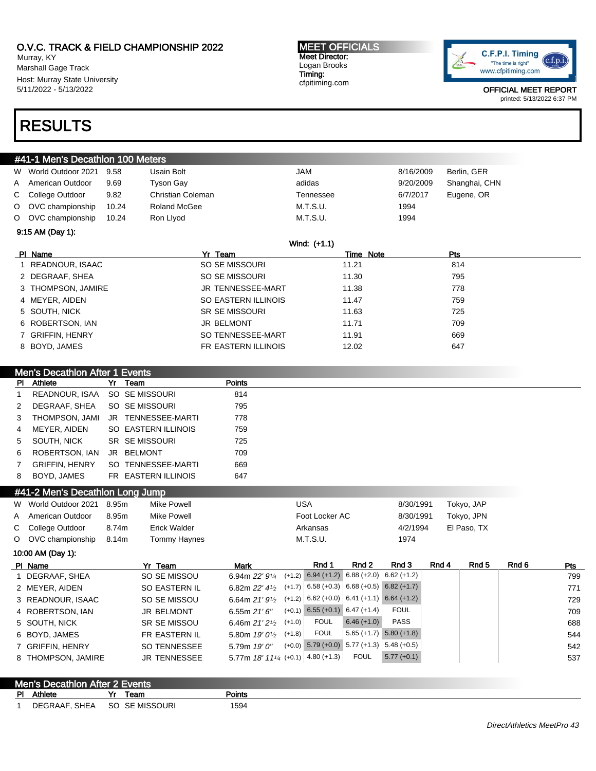Murray, KY Marshall Gage Track Host: Murray State University 5/11/2022 - 5/13/2022

#### MEET OFFICIALS Meet Director: Logan Brooks Timing: cfpitiming.com



OFFICIAL MEET REPORT printed: 5/13/2022 6:37 PM

# RESULTS

| #41-1 Men's Decathlon 100 Meters |                      |       |                       |           |           |           |               |  |  |  |
|----------------------------------|----------------------|-------|-----------------------|-----------|-----------|-----------|---------------|--|--|--|
|                                  | W World Outdoor 2021 | 9.58  | Usain Bolt            | JAM       |           | 8/16/2009 | Berlin, GER   |  |  |  |
|                                  | A American Outdoor   | 9.69  | <b>Tyson Gay</b>      | adidas    |           | 9/20/2009 | Shanghai, CHN |  |  |  |
|                                  | C College Outdoor    | 9.82  | Christian Coleman     | Tennessee |           | 6/7/2017  | Eugene, OR    |  |  |  |
|                                  | O OVC championship   | 10.24 | Roland McGee          | M.T.S.U.  |           | 1994      |               |  |  |  |
|                                  | O OVC championship   | 10.24 | Ron Llyod             | M.T.S.U.  |           | 1994      |               |  |  |  |
|                                  | $9:15$ AM (Day 1):   |       |                       |           |           |           |               |  |  |  |
| Wind: (+1.1)                     |                      |       |                       |           |           |           |               |  |  |  |
|                                  | PI Name              |       | Yr Team               |           | Time Note |           | Pts           |  |  |  |
|                                  | 1 READNOUR, ISAAC    |       | SO SE MISSOURI        |           | 11.21     |           | 814           |  |  |  |
|                                  | 2 DEGRAAF, SHEA      |       | SO SE MISSOURI        |           | 11.30     |           | 795           |  |  |  |
|                                  | 3 THOMPSON, JAMIRE   |       | JR TENNESSEE-MART     |           | 11.38     |           | 778           |  |  |  |
|                                  | 4 MEYER, AIDEN       |       | SO EASTERN ILLINOIS   |           | 11.47     |           | 759           |  |  |  |
|                                  | 5 SOUTH, NICK        |       | <b>SR SE MISSOURI</b> |           | 11.63     |           | 725           |  |  |  |
|                                  | 6 ROBERTSON, IAN     |       | <b>JR BELMONT</b>     |           | 11.71     |           | 709           |  |  |  |
|                                  | 7 GRIFFIN, HENRY     |       | SO TENNESSEE-MART     |           | 11.91     |           | 669           |  |  |  |
|                                  | 8 BOYD, JAMES        |       | FR EASTERN ILLINOIS   |           | 12.02     |           | 647           |  |  |  |
|                                  |                      |       |                       |           |           |           |               |  |  |  |

| <b>Men's Decathlon After 1 Events</b> |                               |  |                                   |               |  |  |  |  |  |
|---------------------------------------|-------------------------------|--|-----------------------------------|---------------|--|--|--|--|--|
|                                       | <b>PI</b> Athlete             |  | Yr Team                           | <b>Points</b> |  |  |  |  |  |
| 1                                     | READNOUR, ISAA SO SE MISSOURI |  |                                   | 814           |  |  |  |  |  |
| 2                                     | DEGRAAF, SHEA                 |  | SO SE MISSOURI                    | 795           |  |  |  |  |  |
| $3^{\circ}$                           |                               |  | THOMPSON, JAMI JR TENNESSEE-MARTI | 778           |  |  |  |  |  |
|                                       | 4 MEYER, AIDEN                |  | SO EASTERN ILLINOIS               | 759           |  |  |  |  |  |
| 5                                     | SOUTH. NICK                   |  | SR SE MISSOURI                    | 725           |  |  |  |  |  |
| 6                                     | ROBERTSON, IAN JR BELMONT     |  |                                   | 709           |  |  |  |  |  |
| $\mathbf{7}$                          | <b>GRIFFIN, HENRY</b>         |  | SO TENNESSEE-MARTI                | 669           |  |  |  |  |  |
| 8                                     | BOYD, JAMES                   |  | FR EASTERN ILLINOIS               | 647           |  |  |  |  |  |

## #41-2 Men's Decathlon Long Jump

| W World Outdoor 2021 8.95m |       | Mike Powell  | USA            | 8/30/1991 | Tokyo, JAP  |
|----------------------------|-------|--------------|----------------|-----------|-------------|
| A American Outdoor         | 8.95m | Mike Powell  | Foot Locker AC | 8/30/1991 | Tokyo, JPN  |
| C College Outdoor          | 8.74m | Erick Walder | Arkansas       | 4/2/1994  | El Paso, TX |
| O OVC championship         | 8.14m | Tommy Haynes | M.T.S.U.       | 1974      |             |

10:00 AM (Day 1):

| PI Name            | Yr Team             | Mark                                                | Rnd 1                                              | Rnd 2         | Rnd 3         | Rnd 4 | Rnd 5 | Rnd 6 | <b>Pts</b> |
|--------------------|---------------------|-----------------------------------------------------|----------------------------------------------------|---------------|---------------|-------|-------|-------|------------|
| DEGRAAF, SHEA      | SO SE MISSOU        | 6.94m $22'9'4$                                      | $(+1.2)$ 6.94 $(+1.2)$ 6.88 $(+2.0)$ 6.62 $(+1.2)$ |               |               |       |       |       | 799        |
| 2 MEYER, AIDEN     | SO EASTERN IL       | 6.82m $22'$ 4 <sup>1</sup> / <sub>2</sub>           | $(+1.7)$ 6.58 (+0.3) 6.68 (+0.5) 6.82 (+1.7)       |               |               |       |       |       | 771        |
| 3 READNOUR, ISAAC  | SO SE MISSOU        | 6.64m 21' $9\frac{1}{2}$                            | $(+1.2)$ 6.62 (+0.0) 6.41 (+1.1) 6.64 (+1.2)       |               |               |       |       |       | 729        |
| 4 ROBERTSON, IAN   | <b>JR BELMONT</b>   | 6.55m $21'6''$                                      | $(+0.1)$ 6.55 $(+0.1)$ 6.47 $(+1.4)$               |               | FOUL          |       |       |       | 709        |
| 5 SOUTH, NICK      | SR SE MISSOU        | 6.46m $21'2'$                                       | <b>FOUL</b><br>$(+1.0)$                            | $6.46 (+1.0)$ | <b>PASS</b>   |       |       |       | 688        |
| 6 BOYD, JAMES      | FR EASTERN IL       | 5.80m $19'0\%$                                      | <b>FOUL</b><br>$(+1.8)$                            | $5.65 (+1.7)$ | $5.80 (+1.8)$ |       |       |       | 544        |
| 7 GRIFFIN, HENRY   | <b>SO TENNESSEE</b> | 5.79m $19'0''$                                      | $(+0.0)$ 5.79 $(+0.0)$ 5.77 $(+1.3)$ 5.48 $(+0.5)$ |               |               |       |       |       | 542        |
| 8 THOMPSON, JAMIRE | JR TENNESSEE        | 5.77m $18'$ $11'$ / <sub>4</sub> (+0.1) 4.80 (+1.3) |                                                    | <b>FOUL</b>   | $5.77(+0.1)$  |       |       |       | 537        |

|    | Men's Decathlon After 2 Events |                |        |  |
|----|--------------------------------|----------------|--------|--|
| PI | Athlete                        | Team           | Points |  |
|    | DEGRAAF, SHEA                  | SO SE MISSOURI | 1594   |  |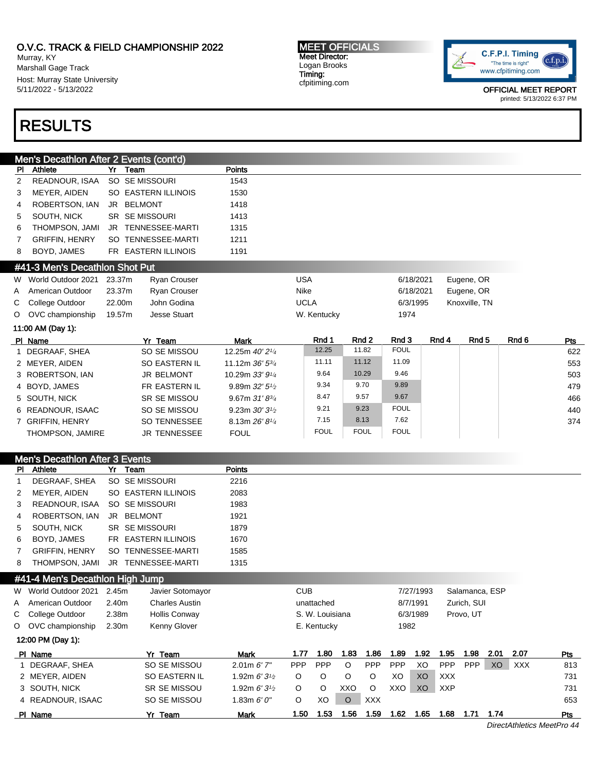Murray, KY Marshall Gage Track Host: Murray State University 5/11/2022 - 5/13/2022

# RESULTS

MEET OFFICIALS Meet Director: Logan Brooks Timing: cfpitiming.com



OFFICIAL MEET REPORT printed: 5/13/2022 6:37 PM

|              | Men's Decathlon After 2 Events (cont'd) |        |                       |                            |                 |             |             |       |                |       |            |
|--------------|-----------------------------------------|--------|-----------------------|----------------------------|-----------------|-------------|-------------|-------|----------------|-------|------------|
| PI.          | <b>Athlete</b>                          | Yr     | Team                  | Points                     |                 |             |             |       |                |       |            |
| 2            | READNOUR, ISAA                          |        | SO SE MISSOURI        | 1543                       |                 |             |             |       |                |       |            |
| 3            | MEYER, AIDEN                            |        | SO EASTERN ILLINOIS   | 1530                       |                 |             |             |       |                |       |            |
| 4            | ROBERTSON, IAN                          |        | JR BELMONT            | 1418                       |                 |             |             |       |                |       |            |
| 5            | SOUTH, NICK                             |        | <b>SR SEMISSOURI</b>  | 1413                       |                 |             |             |       |                |       |            |
| 6            | THOMPSON, JAMI                          |        | JR TENNESSEE-MARTI    | 1315                       |                 |             |             |       |                |       |            |
| 7            | <b>GRIFFIN, HENRY</b>                   |        | SO TENNESSEE-MARTI    | 1211                       |                 |             |             |       |                |       |            |
| 8            | BOYD, JAMES                             |        | FR EASTERN ILLINOIS   | 1191                       |                 |             |             |       |                |       |            |
|              | #41-3 Men's Decathlon Shot Put          |        |                       |                            |                 |             |             |       |                |       |            |
| W            | World Outdoor 2021                      | 23.37m | <b>Ryan Crouser</b>   |                            | <b>USA</b>      |             | 6/18/2021   |       | Eugene, OR     |       |            |
| A            | American Outdoor                        | 23.37m | Ryan Crouser          |                            | Nike            |             | 6/18/2021   |       | Eugene, OR     |       |            |
| С            | College Outdoor                         | 22.00m | John Godina           |                            | <b>UCLA</b>     |             | 6/3/1995    |       | Knoxville, TN  |       |            |
|              | O OVC championship                      | 19.57m | <b>Jesse Stuart</b>   |                            | W. Kentucky     |             | 1974        |       |                |       |            |
|              | 11:00 AM (Day 1):                       |        |                       |                            |                 |             |             |       |                |       |            |
|              | PI Name                                 |        | Yr Team               | <b>Mark</b>                | Rnd 1           | Rnd 2       | Rnd 3       | Rnd 4 | Rnd 5          | Rnd 6 | <u>Pts</u> |
|              | 1 DEGRAAF, SHEA                         |        | SO SE MISSOU          | 12.25m 40' 21/4            | 12.25           | 11.82       | <b>FOUL</b> |       |                |       | 622        |
|              | 2 MEYER, AIDEN                          |        | SO EASTERN IL         | 11.12m 36' 53/4            | 11.11           | 11.12       | 11.09       |       |                |       | 553        |
|              | 3 ROBERTSON, IAN                        |        | <b>JR BELMONT</b>     | 10.29m 33' 91/4            | 9.64            | 10.29       | 9.46        |       |                |       | 503        |
|              | 4 BOYD, JAMES                           |        | FR EASTERN IL         | 9.89m $32'5'$              | 9.34            | 9.70        | 9.89        |       |                |       | 479        |
|              | 5 SOUTH, NICK                           |        | SR SE MISSOU          | 9.67m $31'8^{3/4}$         | 8.47            | 9.57        | 9.67        |       |                |       | 466        |
|              | 6 READNOUR, ISAAC                       |        | SO SE MISSOU          | 9.23m $30'3'$              | 9.21            | 9.23        | <b>FOUL</b> |       |                |       | 440        |
|              | 7 GRIFFIN, HENRY                        |        | <b>SO TENNESSEE</b>   | 8.13m 26' 8 <sup>1/4</sup> | 7.15            | 8.13        | 7.62        |       |                |       | 374        |
|              | THOMPSON, JAMIRE                        |        | <b>JR TENNESSEE</b>   | <b>FOUL</b>                | <b>FOUL</b>     | <b>FOUL</b> | <b>FOUL</b> |       |                |       |            |
|              |                                         |        |                       |                            |                 |             |             |       |                |       |            |
|              | <b>Men's Decathlon After 3 Events</b>   |        |                       |                            |                 |             |             |       |                |       |            |
| PI.          | Athlete                                 |        | Yr Team               | Points                     |                 |             |             |       |                |       |            |
| $\mathbf{1}$ | DEGRAAF, SHEA                           |        | SO SE MISSOURI        | 2216                       |                 |             |             |       |                |       |            |
| 2            | MEYER, AIDEN                            |        | SO EASTERN ILLINOIS   | 2083                       |                 |             |             |       |                |       |            |
| 3            | READNOUR, ISAA                          |        | SO SE MISSOURI        | 1983                       |                 |             |             |       |                |       |            |
| 4            | ROBERTSON, IAN                          |        | JR BELMONT            | 1921                       |                 |             |             |       |                |       |            |
| 5            | SOUTH, NICK                             |        | <b>SR SEMISSOURI</b>  | 1879                       |                 |             |             |       |                |       |            |
| 6            | BOYD, JAMES                             |        | FR EASTERN ILLINOIS   | 1670                       |                 |             |             |       |                |       |            |
| 7            | <b>GRIFFIN, HENRY</b>                   |        | SO TENNESSEE-MARTI    | 1585                       |                 |             |             |       |                |       |            |
| 8            | THOMPSON, JAMI                          |        | JR TENNESSEE-MARTI    | 1315                       |                 |             |             |       |                |       |            |
|              | #41-4 Men's Decathlon High Jump         |        |                       |                            |                 |             |             |       |                |       |            |
| W            | World Outdoor 2021                      | 2.45m  | Javier Sotomayor      |                            | <b>CUB</b>      |             | 7/27/1993   |       | Salamanca, ESP |       |            |
| Α            | American Outdoor                        | 2.40m  | <b>Charles Austin</b> |                            | unattached      |             | 8/7/1991    |       | Zurich, SUI    |       |            |
| С            | College Outdoor                         | 2.38m  | <b>Hollis Conway</b>  |                            | S. W. Louisiana |             | 6/3/1989    |       | Provo, UT      |       |            |
| O            | OVC championship                        | 2.30m  | <b>Kenny Glover</b>   |                            | E. Kentucky     |             | 1982        |       |                |       |            |

| 12:00 PM (Day 1): |                     |                        |      |            |      |            |            |      |            |            |      |            |     |
|-------------------|---------------------|------------------------|------|------------|------|------------|------------|------|------------|------------|------|------------|-----|
| PI Name           | Yr Team             | Mark                   | 1.77 | 1.80       | 1.83 | 1.86       | 1.89       | 1.92 | .95        | ∣.98       | 2.01 | 2.07       | Pts |
| DEGRAAF, SHEA     | SO SE MISSOU        | $2.01m$ 6' $7''$       | PPP  | <b>PPP</b> | O    | <b>PPP</b> | <b>PPP</b> | XO   | <b>PPP</b> | <b>PPP</b> | XO   | <b>XXX</b> | 813 |
| 2 MEYER, AIDEN    | SO EASTERN IL       | 1.92m $6'3\frac{1}{2}$ |      |            |      |            | XO         | XO   | <b>XXX</b> |            |      |            | 731 |
| 3 SOUTH, NICK     | <b>SR SE MISSOU</b> | 1.92m $6'3\frac{1}{2}$ |      | O          | XXO  | O          | XXO        | XO   | <b>XXP</b> |            |      |            | 731 |
| 4 READNOUR, ISAAC | SO SE MISSOU        | 1.83m $6'0''$          | O    | XO         |      | <b>XXX</b> |            |      |            |            |      |            | 653 |
| PI Name           | Yr Team             | Mark                   | 1.50 | 1.53       | .56  | . .59      | l.62       | 1.65 | .68        |            | 1.74 |            | Pts |

DirectAthletics MeetPro 44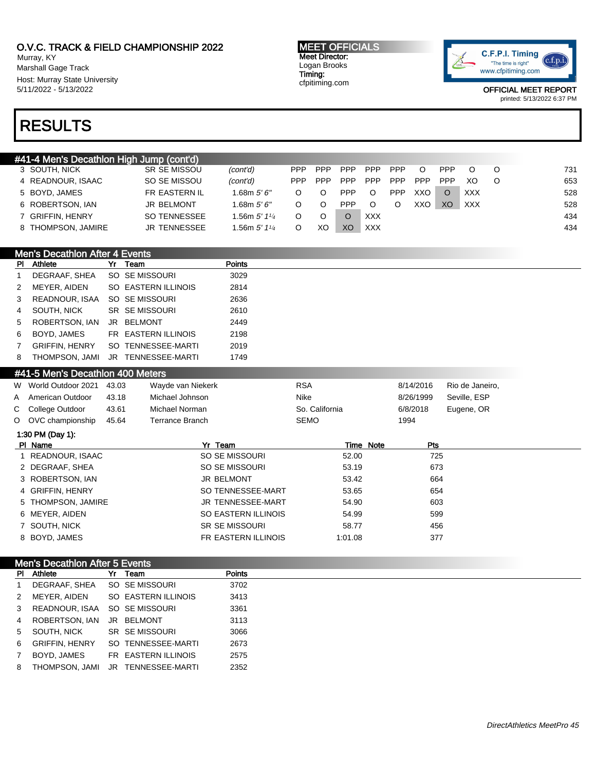Murray, KY Marshall Gage Track Host: Murray State University 5/11/2022 - 5/13/2022

MEET OFFICIALS Meet Director: Logan Brooks Timing: cfpitiming.com



OFFICIAL MEET REPORT

printed: 5/13/2022 6:37 PM

# RESULTS

|                    | #41-4 Men's Decathlon High Jump (cont'd) |                     |                            |      |            |            |            |            |            |            |            |         |     |
|--------------------|------------------------------------------|---------------------|----------------------------|------|------------|------------|------------|------------|------------|------------|------------|---------|-----|
| 3 SOUTH, NICK      |                                          | <b>SR SE MISSOU</b> | (cont'd)                   | PPP. | <b>PPP</b> | <b>PPP</b> | <b>PPP</b> | <b>PPP</b> | $\circ$    | <b>PPP</b> |            | ∩       | 731 |
| 4 READNOUR, ISAAC  |                                          | SO SE MISSOU        | (cont'd)                   | PPP. | <b>PPP</b> | <b>PPP</b> | <b>PPP</b> | <b>PPP</b> | <b>PPP</b> | <b>PPP</b> | XΟ         | $\circ$ | 653 |
| 5 BOYD, JAMES      |                                          | FR EASTERN IL       | 1.68m $5'6''$              |      | O          | <b>PPP</b> | O          | <b>PPP</b> | XXO        | $\Omega$   | XXX        |         | 528 |
| 6 ROBERTSON, IAN   |                                          | <b>JR BELMONT</b>   | 1.68m $5'6''$              |      | O          | <b>PPP</b> |            |            | XXO        | XO         | <b>XXX</b> |         | 528 |
| 7 GRIFFIN, HENRY   |                                          | SO TENNESSEE        | 1.56m $5'$ 1 $\frac{1}{4}$ |      |            |            | <b>XXX</b> |            |            |            |            |         | 434 |
| 8 THOMPSON, JAMIRE |                                          | <b>JR TENNESSEE</b> | 1.56m $5'$ 1 $\frac{1}{4}$ |      | XС         | XO         | XXX.       |            |            |            |            |         | 434 |

|                | <b>Men's Decathlon After 4 Events</b> |                                   |               |
|----------------|---------------------------------------|-----------------------------------|---------------|
|                | <b>PI</b> Athlete                     | Yr Team                           | <b>Points</b> |
|                | DEGRAAF, SHEA                         | SO SE MISSOURI                    | 3029          |
| 2              | MEYER, AIDEN                          | SO EASTERN ILLINOIS               | 2814          |
| 3              | READNOUR, ISAA                        | SO SE MISSOURI                    | 2636          |
| $\overline{4}$ | SOUTH, NICK                           | SR SE MISSOURI                    | 2610          |
| 5              | ROBERTSON, IAN                        | JR BELMONT                        | 2449          |
| 6              | BOYD, JAMES                           | FR EASTERN ILLINOIS               | 2198          |
| $7^{\circ}$    | <b>GRIFFIN, HENRY</b>                 | SO TENNESSEE-MARTI                | 2019          |
| 8              |                                       | THOMPSON, JAMI JR TENNESSEE-MARTI | 1749          |

| #41-5 Men's Decathlon 400 Meters |
|----------------------------------|
|                                  |

|   | PI Name              |       | Yr<br>Team        | Note<br>Time   | Pts       |                 |
|---|----------------------|-------|-------------------|----------------|-----------|-----------------|
|   | 1:30 PM (Day 1):     |       |                   |                |           |                 |
|   | O OVC championship   | 45.64 | Terrance Branch   | SEMO           | 1994      |                 |
|   | C College Outdoor    | 43.61 | Michael Norman    | So. California | 6/8/2018  | Eugene, OR      |
| A | American Outdoor     | 43.18 | Michael Johnson   | Nike           | 8/26/1999 | Seville, ESP    |
|   | W World Outdoor 2021 | 43.03 | Wayde van Niekerk | <b>RSA</b>     | 8/14/2016 | Rio de Janeiro, |

| .                  |                       |         | .   |
|--------------------|-----------------------|---------|-----|
| 1 READNOUR, ISAAC  | SO SE MISSOURI        | 52.00   | 725 |
| 2 DEGRAAF, SHEA    | SO SE MISSOURI        | 53.19   | 673 |
| 3 ROBERTSON, IAN   | JR BELMONT            | 53.42   | 664 |
| 4 GRIFFIN, HENRY   | SO TENNESSEE-MART     | 53.65   | 654 |
| 5 THOMPSON, JAMIRE | JR TENNESSEE-MART     | 54.90   | 603 |
| 6 MEYER, AIDEN     | SO EASTERN ILLINOIS   | 54.99   | 599 |
| 7 SOUTH, NICK      | <b>SR SE MISSOURI</b> | 58.77   | 456 |
| 8 BOYD, JAMES      | FR EASTERN ILLINOIS   | 1:01.08 | 377 |
|                    |                       |         |     |

|   | <b>Men's Decathlon After 5 Events</b> |                                   |               |  |  |
|---|---------------------------------------|-----------------------------------|---------------|--|--|
|   | PI Athlete                            | Yr Team                           | <b>Points</b> |  |  |
| 1 | DEGRAAF, SHEA                         | SO SE MISSOURI                    | 3702          |  |  |
| 2 | MEYER, AIDEN                          | SO EASTERN ILLINOIS               | 3413          |  |  |
| 3 | READNOUR. ISAA                        | SO SE MISSOURI                    | 3361          |  |  |
| 4 | ROBERTSON, IAN                        | JR BELMONT                        | 3113          |  |  |
| 5 | SOUTH, NICK                           | SR SE MISSOURI                    | 3066          |  |  |
| 6 | <b>GRIFFIN, HENRY</b>                 | SO TENNESSEE-MARTI                | 2673          |  |  |
| 7 | BOYD, JAMES                           | FR EASTERN ILLINOIS               | 2575          |  |  |
| 8 |                                       | THOMPSON, JAMI JR TENNESSEE-MARTI | 2352          |  |  |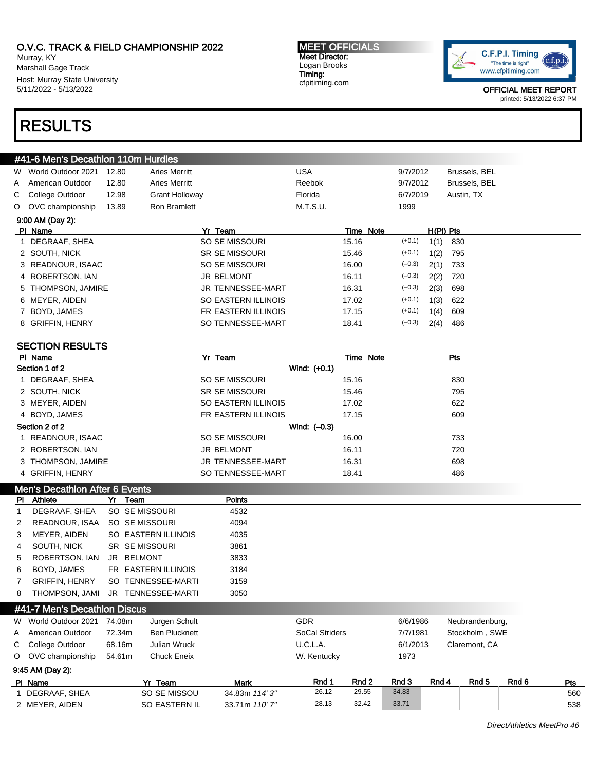Murray, KY Marshall Gage Track Host: Murray State University 5/11/2022 - 5/13/2022

# RESULTS

MEET OFFICIALS Meet Director: Logan Brooks Timing: cfpitiming.com



OFFICIAL MEET REPORT printed: 5/13/2022 6:37 PM

|         | #41-6 Men's Decathlon 110m Hurdles |       |                       |                              |           |      |               |
|---------|------------------------------------|-------|-----------------------|------------------------------|-----------|------|---------------|
| W       | World Outdoor 2021                 | 12.80 | <b>Aries Merritt</b>  | <b>USA</b>                   | 9/7/2012  |      | Brussels, BEL |
| A       | American Outdoor                   | 12.80 | <b>Aries Merritt</b>  | Reebok                       | 9/7/2012  |      | Brussels, BEL |
| С       | College Outdoor                    | 12.98 | <b>Grant Holloway</b> | Florida                      | 6/7/2019  |      | Austin, TX    |
| $\circ$ | OVC championship                   | 13.89 | Ron Bramlett          | M.T.S.U.                     | 1999      |      |               |
|         | 9:00 AM (Day 2):                   |       |                       |                              |           |      |               |
|         | PI Name                            |       | Yr Team               |                              | Time Note |      | H(PI) Pts     |
|         | 1 DEGRAAF, SHEA                    |       | SO SE MISSOURI        | 15.16                        | $(+0.1)$  | 1(1) | 830           |
|         | 2 SOUTH, NICK                      |       | <b>SR SE MISSOURI</b> | 15.46                        | $(+0.1)$  | 1(2) | 795           |
|         | 3 READNOUR, ISAAC                  |       | SO SE MISSOURI        | 16.00                        | $(-0.3)$  | 2(1) | 733           |
|         | 4 ROBERTSON, IAN                   |       | <b>JR BELMONT</b>     | 16.11                        | $(-0.3)$  | 2(2) | 720           |
| 5       | <b>THOMPSON, JAMIRE</b>            |       |                       | 16.31<br>JR TENNESSEE-MART   | $(-0.3)$  | 2(3) | 698           |
|         | 6 MEYER, AIDEN                     |       |                       | SO EASTERN ILLINOIS<br>17.02 | $(+0.1)$  | 1(3) | 622           |
|         | BOYD, JAMES                        |       |                       | FR EASTERN ILLINOIS<br>17.15 | $(+0.1)$  | 1(4) | 609           |
| 8       | <b>GRIFFIN, HENRY</b>              |       |                       | SO TENNESSEE-MART<br>18.41   | $(-0.3)$  | 2(4) | 486           |
|         | <b>SECTION RESULTS</b>             |       |                       |                              |           |      |               |
|         | PI Name                            |       | Yr Team               |                              | Time Note |      | Pts           |
|         | Section 1 of 2                     |       |                       | Wind: (+0.1)                 |           |      |               |
|         | DEGRAAF, SHEA                      |       | SO SE MISSOURI        | 15.16                        |           |      | 830           |
|         | 2 SOUTH, NICK                      |       | <b>SR SE MISSOURI</b> | 15.46                        |           |      | 795           |
|         | 3 MEYER, AIDEN                     |       |                       | SO EASTERN ILLINOIS<br>17.02 |           |      | 622           |
|         | 4 BOYD, JAMES                      |       |                       | FR EASTERN ILLINOIS<br>17.15 |           |      | 609           |
|         | Section 2 of 2                     |       |                       | Wind: $(-0.3)$               |           |      |               |
|         | 1 READNOUR, ISAAC                  |       | SO SE MISSOURI        | 16.00                        |           |      | 733           |
|         | 2 ROBERTSON, IAN                   |       | <b>JR BELMONT</b>     | 16.11                        |           |      | 720           |

## Men's Decathlon After 6 Events

| PI. | Athlete                           |    | Yr Team             | Points |
|-----|-----------------------------------|----|---------------------|--------|
|     | DEGRAAF, SHEA                     |    | SO SE MISSOURI      | 4532   |
| 2   | READNOUR, ISAA                    |    | SO SE MISSOURI      | 4094   |
| З   | MEYER, AIDEN                      |    | SO EASTERN ILLINOIS | 4035   |
| 4   | SOUTH, NICK                       |    | SR SE MISSOURI      | 3861   |
| 5.  | ROBERTSON, IAN                    | JR | BELMONT             | 3833   |
| 6.  | BOYD, JAMES                       |    | FR EASTERN ILLINOIS | 3184   |
|     | <b>GRIFFIN, HENRY</b>             |    | SO TENNESSEE-MARTI  | 3159   |
| 8   | THOMPSON. JAMI                    |    | JR TENNESSEE-MARTI  | 3050   |
|     | 444 7 Martin Bancard Low Block on |    |                     |        |

3 THOMPSON, JAMIRE G98 CHENNESSEE-MART 16.31 698 4 GRIFFIN, HENRY 68 AM SO TENNESSEE-MART 18.41 18.41 486

| #41-7 Men's Decathlon Discus |        |                      |                       |             |          |          |                |                 |       |  |
|------------------------------|--------|----------------------|-----------------------|-------------|----------|----------|----------------|-----------------|-------|--|
| W World Outdoor 2021         | 74.08m | Jurgen Schult        |                       | <b>GDR</b>  |          | 6/6/1986 |                | Neubrandenburg, |       |  |
| A American Outdoor           | 72.34m | <b>Ben Plucknett</b> | <b>SoCal Striders</b> |             |          | 7/7/1981 | Stockholm, SWE |                 |       |  |
| C College Outdoor            | 68.16m | <b>Julian Wruck</b>  |                       | U.C.L.A.    | 6/1/2013 |          |                | Claremont, CA   |       |  |
| O OVC championship           | 54.61m | <b>Chuck Eneix</b>   |                       | W. Kentucky |          | 1973     |                |                 |       |  |
| 9:45 AM (Day 2):             |        |                      |                       |             |          |          |                |                 |       |  |
| PI Name                      |        | Yr Team              | <b>Mark</b>           | Rnd 1       | Rnd 2    | Rnd 3    | Rnd 4          | Rnd 5           | Rnd 6 |  |
| 1 DEGRAAF, SHEA              |        | SO SE MISSOU         | 34.83m 114'3"         | 26.12       | 29.55    | 34.83    |                |                 |       |  |
| 2 MEYER, AIDEN               |        | <b>SO EASTERN IL</b> | 33.71m 110' 7"        | 28.13       | 32.42    | 33.71    |                |                 |       |  |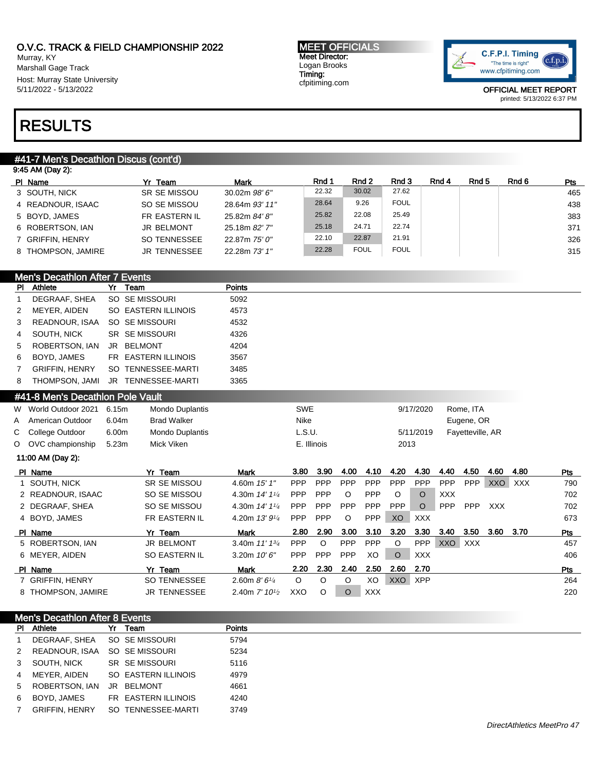Murray, KY Marshall Gage Track Host: Murray State University 5/11/2022 - 5/13/2022

#### MEET OFFICIALS Meet Director: Logan Brooks Timing: cfpitiming.com



OFFICIAL MEET REPORT printed: 5/13/2022 6:37 PM

# RESULTS

# #41-7 Men's Decathlon Discus (cont'd)

| 9:45 AM (Day 2): |                    |                     |                   |       |             |             |       |       |       |            |
|------------------|--------------------|---------------------|-------------------|-------|-------------|-------------|-------|-------|-------|------------|
| PI Name          |                    | Yr Team             | <b>Mark</b>       | Rnd 1 | Rnd 2       | Rnd 3       | Rnd 4 | Rnd 5 | Rnd 6 | <b>Pts</b> |
|                  | 3 SOUTH, NICK      | <b>SR SE MISSOU</b> | $30.02m$ $98'6''$ | 22.32 | 30.02       | 27.62       |       |       |       | 465        |
|                  | 4 READNOUR, ISAAC  | SO SE MISSOU        | 28.64m 93' 11"    | 28.64 | 9.26        | <b>FOUL</b> |       |       |       | 438        |
|                  | 5 BOYD, JAMES      | FR EASTERN IL       | 25.82m 84' 8"     | 25.82 | 22.08       | 25.49       |       |       |       | 383        |
|                  | 6 ROBERTSON, IAN   | <b>JR BELMONT</b>   | 25.18m 82' 7"     | 25.18 | 24.71       | 22.74       |       |       |       | 371        |
|                  | 7 GRIFFIN, HENRY   | SO TENNESSEE        | 22.87m 75' 0"     | 22.10 | 22.87       | 21.91       |       |       |       | 326        |
|                  | 8 THOMPSON, JAMIRE | <b>JR TENNESSEE</b> | 22.28m 73' 1"     | 22.28 | <b>FOUL</b> | <b>FOUL</b> |       |       |       | 315        |

# Men's Decathlon After 7 Events

| PI | Athlete               | Yr | Team                 | <b>Points</b> |
|----|-----------------------|----|----------------------|---------------|
| 1  | DEGRAAF, SHEA         |    | SO SE MISSOURI       | 5092          |
| 2  | MEYER, AIDEN          |    | SO EASTERN ILLINOIS  | 4573          |
| 3  | READNOUR, ISAA        |    | SO SE MISSOURI       | 4532          |
| 4  | SOUTH, NICK           |    | <b>SR SEMISSOURI</b> | 4326          |
| 5  | ROBERTSON, IAN        |    | JR BELMONT           | 4204          |
| 6  | BOYD, JAMES           |    | FR EASTERN ILLINOIS  | 3567          |
| 7  | <b>GRIFFIN, HENRY</b> |    | SO TENNESSEE-MARTI   | 3485          |
| 8  | THOMPSON, JAMI        |    | JR TENNESSEE-MARTI   | 3365          |

### #41-8 Men's Decathlon Pole Vault

|   | $\pi$ T $\sim$ MeTs Decannon Tole vault |       |                        |                              |            |             |            |            |            |            |            |                  |            |      |     |
|---|-----------------------------------------|-------|------------------------|------------------------------|------------|-------------|------------|------------|------------|------------|------------|------------------|------------|------|-----|
|   | W World Outdoor 2021                    | 6.15m | <b>Mondo Duplantis</b> |                              | <b>SWE</b> |             |            |            |            | 9/17/2020  |            | Rome, ITA        |            |      |     |
| A | American Outdoor                        | 6.04m | <b>Brad Walker</b>     |                              | Nike       |             |            |            |            |            |            | Eugene, OR       |            |      |     |
|   | C College Outdoor                       | 6.00m | Mondo Duplantis        |                              | L.S.U.     |             |            |            |            | 5/11/2019  |            | Fayetteville, AR |            |      |     |
|   | O OVC championship                      | 5.23m | Mick Viken             |                              |            | E. Illinois |            |            | 2013       |            |            |                  |            |      |     |
|   | 11:00 AM (Day 2):                       |       |                        |                              |            |             |            |            |            |            |            |                  |            |      |     |
|   | PI Name                                 |       | Yr Team                | Mark                         | 3.80       | 3.90        | 4.00       | 4.10       | 4.20       | 4.30       | 4.40       | 4.50             | 4.60       | 4.80 | Pts |
|   | 1 SOUTH, NICK                           |       | <b>SR SE MISSOU</b>    | 4.60m $15'1''$               | <b>PPP</b> | <b>PPP</b>  | <b>PPP</b> | <b>PPP</b> | <b>PPP</b> | <b>PPP</b> | <b>PPP</b> | <b>PPP</b>       | <b>XXO</b> | XXX  | 790 |
|   | 2 READNOUR, ISAAC                       |       | SO SE MISSOU           | 4.30m $14'1'4$               | <b>PPP</b> | <b>PPP</b>  | $\circ$    | <b>PPP</b> | $\circ$    | $\circ$    | <b>XXX</b> |                  |            |      | 702 |
|   | 2 DEGRAAF, SHEA                         |       | SO SE MISSOU           | 4.30m $14'$ $1\frac{1}{4}$   | <b>PPP</b> | PPP         | <b>PPP</b> | <b>PPP</b> | <b>PPP</b> | $\circ$    | PPP        | <b>PPP</b>       | <b>XXX</b> |      | 702 |
|   | 4 BOYD, JAMES                           |       | <b>FR EASTERN IL</b>   | 4.20m $13'9'4$               | <b>PPP</b> | <b>PPP</b>  | O          | <b>PPP</b> | XO         | <b>XXX</b> |            |                  |            |      | 673 |
|   | PI Name                                 |       | Yr Team                | Mark                         | 2.80       | 2.90        | 3.00       | 3.10       | 3.20       | 3.30       | 3.40       | 3.50             | 3.60       | 3.70 | Pts |
|   | 5 ROBERTSON, IAN                        |       | <b>JR BELMONT</b>      | 3.40m $11'$ $13'$            | <b>PPP</b> | $\circ$     | <b>PPP</b> | <b>PPP</b> | $\circ$    | <b>PPP</b> | XXO        | <b>XXX</b>       |            |      | 457 |
|   | 6 MEYER, AIDEN                          |       | <b>SO EASTERN IL</b>   | 3.20m $10'6''$               | <b>PPP</b> | <b>PPP</b>  | <b>PPP</b> | XO         | $\circ$    | <b>XXX</b> |            |                  |            |      | 406 |
|   | PI Name                                 |       | Yr Team                | Mark                         | 2.20       | 2.30        | 2.40       | 2.50       | 2.60       | 2.70       |            |                  |            |      | Pts |
|   | 7 GRIFFIN, HENRY                        |       | <b>SO TENNESSEE</b>    | 2.60m $8'6''/4$              | $\circ$    | ∩           | O          | XO         | XXO        | <b>XPP</b> |            |                  |            |      | 264 |
|   | 8 THOMPSON, JAMIRE                      |       | <b>JR TENNESSEE</b>    | 2.40m $7'$ 10 <sup>1/2</sup> | XXO        | $\circ$     | O          | XXX        |            |            |            |                  |            |      | 220 |

### Men's Decathlon After 8 Events Pl Athlete Yr Team Points 1 DEGRAAF, SHEA SO SE MISSOURI 5794 2 READNOUR, ISAA SO SE MISSOURI 5234 3 SOUTH, NICK SR SE MISSOURI 5116 4 MEYER, AIDEN SO EASTERN ILLINOIS 4979 5 ROBERTSON, IAN JR BELMONT 4661 6 BOYD, JAMES FR EASTERN ILLINOIS 4240

7 GRIFFIN, HENRY SO TENNESSEE-MARTI 3749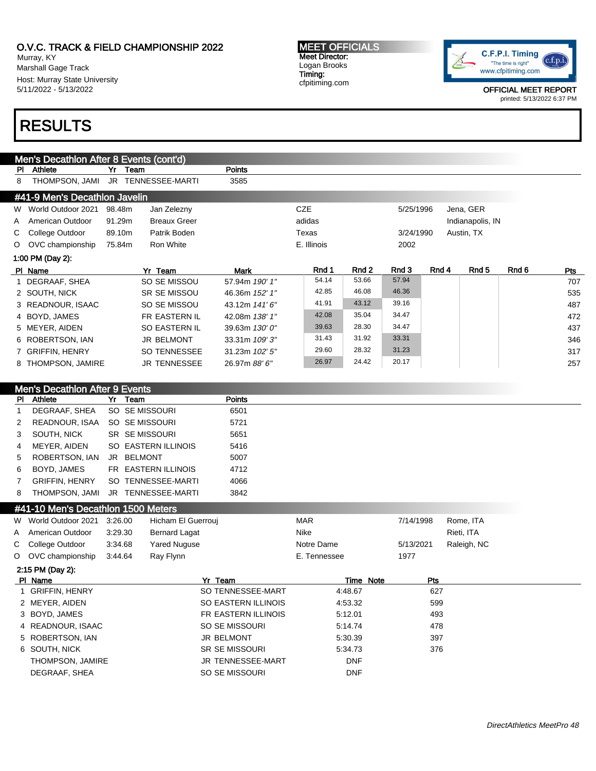Murray, KY Marshall Gage Track Host: Murray State University 5/11/2022 - 5/13/2022

# RESULTS

Men's Decathlon After 8 Events (cont'd) PI Athlete **Yr** Team **POINTS** 8 THOMPSON, JAMI JR TENNESSEE-MARTI 3585 #41-9 Men's Decathlon Javelin W World Outdoor 2021 98.48m Jan Zelezny CZE CZE 5/25/1996 Jena, GER A American Outdoor 91.29m Breaux Greer and adidas adidas and adidas and Indianapolis, IN C College Outdoor 89.10m Patrik Boden Texas Texas 3/24/1990 Austin, TX O OVC championship 75.84m Ron White **E. Illinois** E. Illinois 2002 1:00 PM (Day 2): Pl Name Yr Team Mark Rnd 1 Rnd 2 Rnd 3 Rnd 4 Rnd 5 Rnd 6 Pts 1 DEGRAAF, SHEA SO SE MISSOU 57.94m 190' 1" 54.14 53.66 57.94 707 2 SOUTH, NICK SR SE MISSOU 46.36m 152' 1" 42.85 46.08 46.36 535 3 READNOUR, ISAAC SO SE MISSOU 43.12m 141' 6" 41.91 43.12 39.16 487 4 BOYD, JAMES FR EASTERN IL 42.08m 138' 1" 42.08 35.04 34.47 472 5 MEYER, AIDEN SO EASTERN IL 39.63m 130' 0" 39.63 28.30 34.47 437 6 ROBERTSON, IAN JR BELMONT 33.31m 109' 3" 31.43 31.92 33.31 346 7 GRIFFIN, HENRY SO TENNESSEE 31.23m 102' 5" 29.60 28.32 31.23 317 8 THOMPSON, JAMIRE JR TENNESSEE 26.97m 88' 6" 26.97 24.42 20.17 257

## Men's Decathlon After 9 Events PI Athlete Yr Team Points 1 DEGRAAF, SHEA SO SE MISSOURI 6501 2 READNOUR, ISAA SO SE MISSOURI 5721 3 SOUTH, NICK SR SE MISSOURI 5651 4 MEYER, AIDEN SO EASTERN ILLINOIS 5416 5 ROBERTSON, IAN JR BELMONT 5007 6 BOYD, JAMES FR EASTERN ILLINOIS 4712 7 GRIFFIN, HENRY SO TENNESSEE-MARTI 4066 8 THOMPSON, JAMI JR TENNESSEE-MARTI 3842 #41-10 Men's Decathlon 1500 Meters W World Outdoor 2021 3:26.00 Hicham El Guerrouj MAR MAR 7/14/1998 Rome, ITA A American Outdoor 3:29.30 Bernard Lagat Nike Nike Rieti, ITA C College Outdoor 3:34.68 Yared Nuguse Notre Dame 16/13/2021 Raleigh, NC O OVC championship 3:44.64 Ray Flynn E. Tennessee 1977 2:15 PM (Day 2): PI Name **Product Product Product Product Product Product Product Product Product Product Product Product Product** 1 GRIFFIN, HENRY **SO TENNESSEE-MART** 4:48.67 627 2 MEYER, AIDEN SO EASTERN ILLINOIS 4:53.32 599

| 3 BOYD, JAMES     | FR EASTERN ILLINOIS   | 5:12.01    | 493 |
|-------------------|-----------------------|------------|-----|
| 4 READNOUR, ISAAC | SO SE MISSOURI        | 5:14.74    | 478 |
| 5 ROBERTSON, IAN  | JR BELMONT            | 5:30.39    | 397 |
| 6 SOUTH, NICK     | <b>SR SE MISSOURI</b> | 5:34.73    | 376 |
| THOMPSON, JAMIRE  | JR TENNESSEE-MART     | <b>DNF</b> |     |
| DEGRAAF, SHEA     | SO SE MISSOURI        | <b>DNF</b> |     |

#### MEET OFFICIALS Meet Director: Logan Brooks Timing: cfpitiming.com